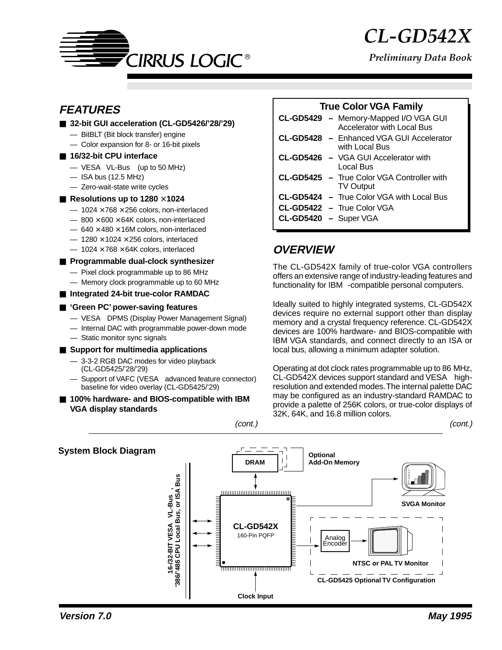

*Preliminary Data Book*

# **FEATURES**

- **32-bit GUI acceleration (CL-GD5426/'28/'29)** 
	- BitBLT (Bit block transfer) engine
	- Color expansion for 8- or 16-bit pixels

#### ■ **16/32-bit CPU interface**

- $-$  VESA® VL-Bus<sup>™</sup> (up to 50 MHz)
- ISA bus (12.5 MHz)
- Zero-wait-state write cycles
- **Resolutions up to 1280**  $\times$  1024
	- $-1024 \times 768 \times 256$  colors, non-interlaced
	- $-800 \times 600 \times 64$ K colors, non-interlaced
	- $-640 \times 480 \times 16M$  colors, non-interlaced
	- $-1280 \times 1024 \times 256$  colors, interlaced
	- $-$  1024  $\times$  768  $\times$  64K colors, interlaced

#### ■ **Programmable dual-clock synthesizer**

- Pixel clock programmable up to 86 MHz
- Memory clock programmable up to 60 MHz

#### ■ **Integrated 24-bit true-color RAMDAC**

#### ■ **'Green PC' power-saving features**

- VESA<sup>®</sup> DPMS (Display Power Management Signal)
- Internal DAC with programmable power-down mode
- Static monitor sync signals

#### ■ **Support for multimedia applications**

- 3-3-2 RGB DAC modes for video playback (CL-GD5425/'28/'29)
- $-$  Support of VAFC (VESA<sup>®</sup> advanced feature connector) baseline for video overlay (CL-GD5425/'29)
- 100% hardware- and BIOS-compatible with IBM<sup>®</sup> **VGA display standards**

#### **True Color VGA Family**

|                       | CL-GD5429 - Memory-Mapped I/O VGA GUI<br><b>Accelerator with Local Bus</b> |
|-----------------------|----------------------------------------------------------------------------|
|                       | CL-GD5428 - Enhanced VGA GUI Accelerator<br>with Local Bus                 |
|                       | <b>CL-GD5426 – VGA GUI Accelerator with</b><br>Local Bus                   |
|                       | <b>CL-GD5425</b> - True Color VGA Controller with<br><b>TV Output</b>      |
|                       | <b>CL-GD5424</b> - True Color VGA with Local Bus                           |
|                       | $CL-GD5422 - True Color VGA$                                               |
| CL-GD5420 - Super VGA |                                                                            |

# **OVERVIEW**

The CL-GD542X family of true-color VGA controllers offers an extensive range of industry-leading features and functionality for IBM®-compatible personal computers.

Ideally suited to highly integrated systems, CL-GD542X devices require no external support other than display memory and a crystal frequency reference. CL-GD542X devices are 100% hardware- and BIOS-compatible with IBM VGA standards, and connect directly to an ISA or local bus, allowing a minimum adapter solution.

Operating at dot clock rates programmable up to 86 MHz,  $CL$ -GD542X devices support standard and VESA<sup>®</sup> highresolution and extended modes. The internal palette DAC may be configured as an industry-standard RAMDAC to provide a palette of 256K colors, or true-color displays of 32K, 64K, and 16.8 million colors.

(cont.) (cont.)

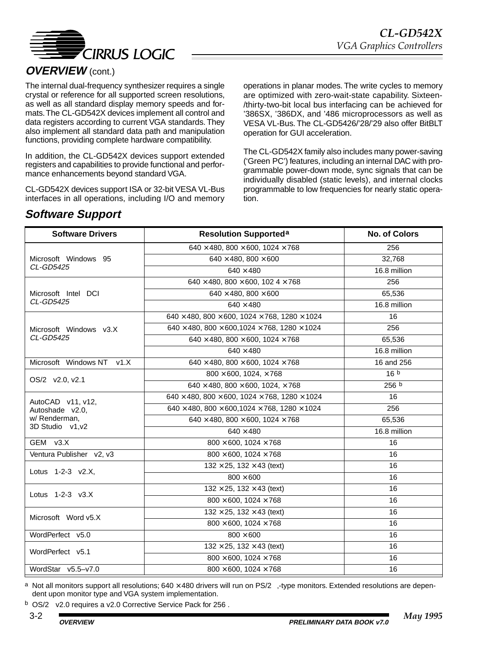

# **OVERVIEW** (cont.)

The internal dual-frequency synthesizer requires a single crystal or reference for all supported screen resolutions, as well as all standard display memory speeds and formats. The CL-GD542X devices implement all control and data registers according to current VGA standards. They also implement all standard data path and manipulation functions, providing complete hardware compatibility.

In addition, the CL-GD542X devices support extended registers and capabilities to provide functional and performance enhancements beyond standard VGA.

CL-GD542X devices support ISA or 32-bit VESA VL-Bus interfaces in all operations, including I/O and memory

operations in planar modes. The write cycles to memory are optimized with zero-wait-state capability. Sixteen- /thirty-two-bit local bus interfacing can be achieved for '386SX, '386DX, and '486 microprocessors as well as VESA VL-Bus. The CL-GD5426/'28/'29 also offer BitBLT operation for GUI acceleration.

The CL-GD542X family also includes many power-saving ('Green PC') features, including an internal DAC with programmable power-down mode, sync signals that can be individually disabled (static levels), and internal clocks programmable to low frequencies for nearly static operation.

# **Software Support**

| <b>Software Drivers</b>                          | <b>Resolution Supporteda</b>                                                | <b>No. of Colors</b> |
|--------------------------------------------------|-----------------------------------------------------------------------------|----------------------|
|                                                  | $640 \times 480, 800 \times 600, 1024 \times 768$                           | 256                  |
| Microsoft <sup>®</sup> Windows <sup>®</sup> 95   | $640 \times 480, 800 \times 600$                                            | 32,768               |
| CL-GD5425                                        | $640 \times 480$                                                            | 16.8 million         |
|                                                  | $640 \times 480$ , $800 \times 600$ , $1024 \times 768$                     | 256                  |
| Microsoft <sup>®</sup> Intel <sup>®</sup> DCI    | $640 \times 480, 800 \times 600$                                            | 65,536               |
| CL-GD5425                                        | $\overline{6}$ 40 $\times$ 480                                              | 16.8 million         |
|                                                  | $640 \times 480, 800 \times 600, 1024 \times 768, 1280 \times 1024$         | 16                   |
| Microsoft <sup>®</sup> Windows <sup>®</sup> v3.X | $640 \times 480$ , $800 \times 600$ , 1024 $\times$ 768, 1280 $\times$ 1024 | 256                  |
| CL-GD5425                                        | $640 \times 480, 800 \times 600, 1024 \times 768$                           | 65,536               |
|                                                  | $640 \times 480$                                                            | 16.8 million         |
| Microsoft <sup>®</sup> Windows NT™ v1.X          | $640 \times 480, 800 \times 600, 1024 \times 768$                           | 16 and $256$         |
| OS/2 <sup>®</sup> v2.0, v2.1                     | $800 \times 600$ , 1024, $\times$ 768                                       | 16 <sup>b</sup>      |
|                                                  | $640 \times 480, 800 \times 600, 1024, \times 768$                          | 256 b                |
| AutoCAD <sup>®</sup> v11, v12,                   | $640 \times 480, 800 \times 600, 1024 \times 768, 1280 \times 1024$         | 16                   |
| Autoshade <sup>®</sup> v2.0,                     | $640 \times 480$ , $800 \times 600$ , 1024 $\times$ 768, 1280 $\times$ 1024 | 256                  |
| w/ Renderman.                                    | $640 \times 480, 800 \times 600, 1024 \times 768$                           | 65,536               |
| 3D Studio <sup>™</sup> v1,v2                     | $640 \times 480$                                                            | 16.8 million         |
| GEM™ v3.X                                        | $800 \times 600$ , $1024 \times 768$                                        | 16                   |
| Ventura Publisher® v2, v3                        | $800 \times 600$ , $1024 \times 768$                                        | 16                   |
| Lotus <sup>®</sup> 1-2-3 <sup>®</sup> v2.X,      | $132 \times 25$ , $132 \times 43$ (text)                                    | 16                   |
|                                                  | $800 \times 600$                                                            | 16                   |
| Lotus <sup>®</sup> 1-2-3 <sup>®</sup> v3.X       | $132 \times 25$ , $132 \times 43$ (text)                                    | 16                   |
|                                                  | $800 \times 600$ , $1024 \times 768$                                        | 16                   |
| Microsoft <sup>®</sup> Word v5.X                 | $132 \times 25$ , $132 \times 43$ (text)                                    | 16                   |
|                                                  | $800 \times 600, 1024 \times 768$                                           | 16                   |
| WordPerfect <sup>®</sup> v5.0                    | $800 \times 600$                                                            | 16                   |
| WordPerfect <sup>®</sup> v5.1                    | $132 \times 25$ , $132 \times 43$ (text)                                    | 16                   |
|                                                  | $800 \times 600$ , $1024 \times 768$                                        | 16                   |
| WordStar <sup>®</sup> v5.5-v7.0                  | $800 \times 600$ , $1024 \times 768$                                        | 16                   |

 $a$  Not all monitors support all resolutions; 640 × 480 drivers will run on PS/2®,-type monitors. Extended resolutions are dependent upon monitor type and VGA system implementation.

b OS/2<sup>®</sup> v2.0 requires a v2.0 Corrective Service Pack for 256.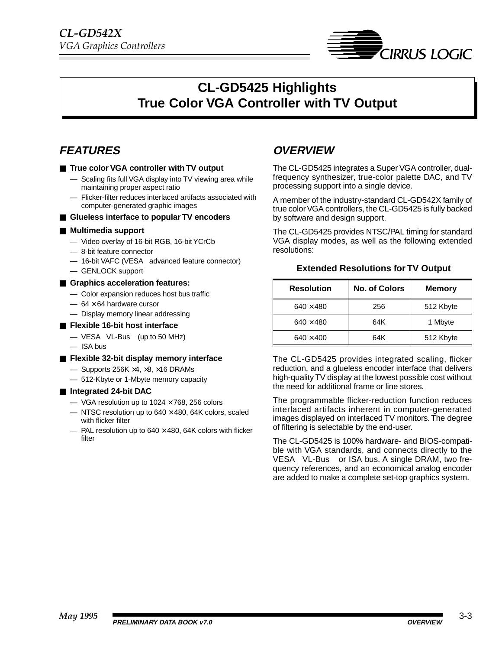

# **CL-GD5425 Highlights True Color VGA Controller with TV Output**

# **FEATURES**

#### ■ **True color VGA controller with TV output**

- Scaling fits full VGA display into TV viewing area while maintaining proper aspect ratio
- Flicker-filter reduces interlaced artifacts associated with computer-generated graphic images

#### ■ Glueless interface to popular TV encoders

#### ■ **Multimedia support**

- Video overlay of 16-bit RGB, 16-bit YCrCb
- 8-bit feature connector
- $-$  16-bit VAFC (VESA® advanced feature connector) — GENLOCK support

#### ■ Graphics acceleration features:

- Color expansion reduces host bus traffic
- $-64 \times 64$  hardware cursor
- Display memory linear addressing

#### ■ **Flexible 16-bit host interface**

- $-$  VESA® VL-Bus<sup>™</sup> (up to 50 MHz)
- ISA bus

#### ■ Flexible 32-bit display memory interface

- $-$  Supports 256K  $\times$ 4,  $\times$ 8,  $\times$ 16 DRAMs
- 512-Kbyte or 1-Mbyte memory capacity

#### ■ **Integrated 24-bit DAC**

- $-$  VGA resolution up to 1024  $\times$  768, 256 colors
- $-$  NTSC resolution up to 640  $\times$  480, 64K colors, scaled with flicker filter
- $-$  PAL resolution up to 640  $\times$  480, 64K colors with flicker filter

# **OVERVIEW**

The CL-GD5425 integrates a Super VGA controller, dualfrequency synthesizer, true-color palette DAC, and TV processing support into a single device.

A member of the industry-standard CL-GD542X family of true color VGA controllers, the CL-GD5425 is fully backed by software and design support.

The CL-GD5425 provides NTSC/PAL timing for standard VGA display modes, as well as the following extended resolutions:

#### **Extended Resolutions for TV Output**

| <b>Resolution</b> | <b>No. of Colors</b> | <b>Memory</b> |
|-------------------|----------------------|---------------|
| $640 \times 480$  | 256                  | 512 Kbyte     |
| $640 \times 480$  | 64K                  | 1 Mbyte       |
| $640 \times 400$  | 64K                  | 512 Kbyte     |

The CL-GD5425 provides integrated scaling, flicker reduction, and a glueless encoder interface that delivers high-quality TV display at the lowest possible cost without the need for additional frame or line stores.

The programmable flicker-reduction function reduces interlaced artifacts inherent in computer-generated images displayed on interlaced TV monitors. The degree of filtering is selectable by the end-user.

The CL-GD5425 is 100% hardware- and BIOS-compatible with VGA standards, and connects directly to the VESA<sup>®</sup> VL-Bus<sup>™</sup> or ISA bus. A single DRAM, two frequency references, and an economical analog encoder are added to make a complete set-top graphics system.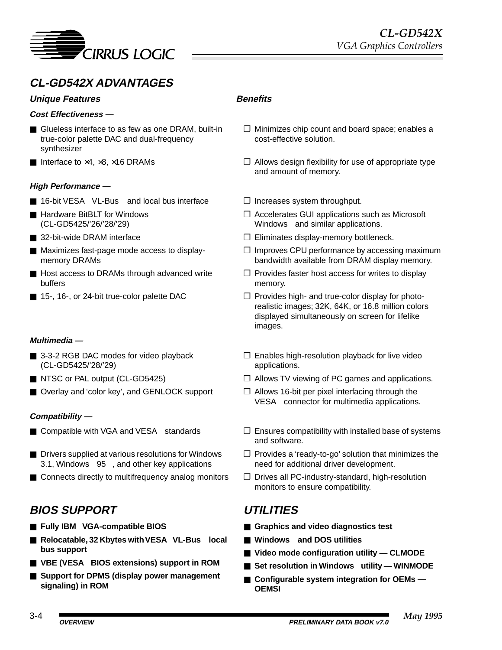

# **CL-GD542X ADVANTAGES**

#### **Unique Features Construction Construction Construction Construction Construction Construction Construction Construction Construction Construction Construction Construction Construction Construction Construction Constructi**

#### **Cost Effectiveness —**

- Glueless interface to as few as one DRAM, built-in true-color palette DAC and dual-frequency synthesizer
- 

#### **High Performance —**

- 16-bit VESA<sup>®</sup> VL-Bus<sup>™</sup> and local bus interface □ □ Increases system throughput.
- Hardware BitBLT for Windows<sup>®</sup> (CL-GD5425/'26/'28/'29)
- 
- Maximizes fast-page mode access to displaymemory DRAMs
- Host access to DRAMs through advanced write buffers
- 

#### **Multimedia —**

- 3-3-2 RGB DAC modes for video playback (CL-GD5425/'28/'29)
- 
- Overlay and 'color key', and GENLOCK support □ Allows 16-bit per pixel interfacing through the

#### **Compatibility —**

- 
- $\blacksquare$  Drivers supplied at various resolutions for Windows<sup>®</sup> 3.1, Windows<sup>®</sup> 95<sup> $™$ </sup>, and other key applications
- Connects directly to multifrequency analog monitors □ Drives all PC-industry-standard, high-resolution

# **BIOS SUPPORT**

- **Fully IBM<sup>®</sup> VGA-compatible BIOS**
- **Relocatable, 32 Kbytes with VESA<sup>®</sup> VL-Bus<sup>™</sup> local bus support**
- VBE (VESA<sup>®</sup> BIOS extensions) support in ROM
- Support for DPMS (display power management **signaling) in ROM**

- ❒ Minimizes chip count and board space; enables a cost-effective solution.
- Interface to ×4, ×8, ×16 DRAMs ◯ Allows design flexibility for use of appropriate type and amount of memory.
	-
	- $\Box$  Accelerates GUI applications such as Microsoft<sup>®</sup> Windows $\mathcal{F}$  and similar applications.
- 32-bit-wide DRAM interface □ □ □ Eliminates display-memory bottleneck.
	- ❒ Improves CPU performance by accessing maximum bandwidth available from DRAM display memory.
	- ❒ Provides faster host access for writes to display memory.
- 15-, 16-, or 24-bit true-color palette DAC □ Provides high- and true-color display for photorealistic images; 32K, 64K, or 16.8 million colors displayed simultaneously on screen for lifelike images.
	- ❒ Enables high-resolution playback for live video applications.
- NTSC or PAL output (CL-GD5425) □ Allows TV viewing of PC games and applications.
	- VESA<sup>®</sup> connector for multimedia applications.
- Compatible with VGA and VESA<sup>®</sup> standards □ □ Ensures compatibility with installed base of systems and software.
	- ❒ Provides a 'ready-to-go' solution that minimizes the need for additional driver development.
	- monitors to ensure compatibility.

# **UTILITIES**

- Graphics and video diagnostics test
- Windows<sup>®</sup> and DOS utilities
- Video mode configuration utility CLMODE
- Set resolution in Windows<sup>®</sup> utility WINMODE
- Configurable system integration for OEMs **OEMSI**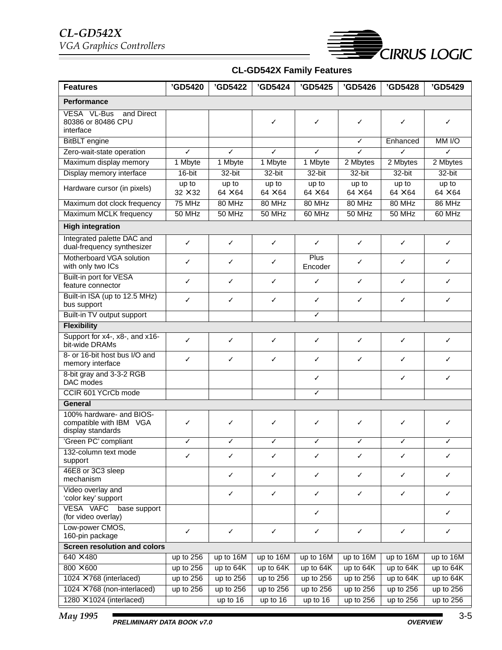# *CL-GD542X*

*VGA Graphics Controllers*



# **CL-GD542X Family Features**

| <b>Features</b>                                                                     | 'GD5420                             | 'GD5422                 | 'GD5424                 | 'GD5425                 | 'GD5426                 | 'GD5428                 | 'GD5429                 |  |
|-------------------------------------------------------------------------------------|-------------------------------------|-------------------------|-------------------------|-------------------------|-------------------------|-------------------------|-------------------------|--|
| <b>Performance</b>                                                                  |                                     |                         |                         |                         |                         |                         |                         |  |
| VESA <sup>®</sup> VL-Bus <sup>™</sup> and Direct<br>80386 or 80486 CPU<br>interface |                                     |                         | ✓                       | ✓                       | ✓                       | ✓                       | ✓                       |  |
| <b>BitBLT</b> engine                                                                |                                     |                         |                         |                         | ✓                       | Enhanced                | MM <sub>I/O</sub>       |  |
| Zero-wait-state operation                                                           | ✓                                   | $\overline{\checkmark}$ | ✓                       | ✓                       | $\overline{\checkmark}$ | $\overline{\checkmark}$ | ✓                       |  |
| Maximum display memory                                                              | 1 Mbyte                             | 1 Mbyte                 | 1 Mbyte                 | 1 Mbyte                 | 2 Mbytes                | 2 Mbytes                | 2 Mbytes                |  |
| Display memory interface                                                            | $16-bit$                            | $32-bit$                | $32-bit$                | 32-bit                  | 32-bit                  | 32-bit                  | 32-bit                  |  |
| Hardware cursor (in pixels)                                                         | up to<br>$32 \times 32$             | up to<br>$64 \times 64$ | up to<br>$64 \times 64$ | up to<br>$64 \times 64$ | up to<br>$64 \times 64$ | up to<br>$64 \times 64$ | up to<br>$64 \times 64$ |  |
| Maximum dot clock frequency                                                         | 75 MHz                              | 80 MHz                  | 80 MHz                  | 80 MHz                  | 80 MHz                  | 80 MHz                  | <b>86 MHz</b>           |  |
| Maximum MCLK frequency                                                              | 50 MHz                              | 50 MHz                  | 50 MHz                  | 60 MHz                  | 50 MHz                  | 50 MHz                  | 60 MHz                  |  |
| <b>High integration</b>                                                             |                                     |                         |                         |                         |                         |                         |                         |  |
| Integrated palette DAC and<br>dual-frequency synthesizer                            | ✓                                   | ✓                       | ✓                       | ✓                       | ✓                       | ✓                       | ✓                       |  |
| Motherboard VGA solution<br>with only two ICs                                       | ✓                                   | ✓                       | ✓                       | $P$ lus<br>Encoder      | ✓                       | ✓                       | ✓                       |  |
| Built-in port for VESA <sup>®</sup><br>feature connector                            | ✓                                   | ✓                       | ✓                       | ✓                       | ✓                       | ✓                       | ✓                       |  |
| Built-in ISA (up to 12.5 MHz)<br>bus support                                        | ✓                                   | ✓                       | ✓                       | ✓                       | ✓                       | ✓                       | ✓                       |  |
| Built-in TV output support                                                          |                                     |                         |                         | $\overline{\checkmark}$ |                         |                         |                         |  |
| <b>Flexibility</b>                                                                  |                                     |                         |                         |                         |                         |                         |                         |  |
| Support for x4-, x8-, and x16-<br>bit-wide DRAMs                                    | ✓                                   | ✓                       | ✓                       | ✓                       | ✓                       | ✓                       | ✓                       |  |
| 8- or 16-bit host bus I/O and<br>memory interface                                   | ✓                                   | ✓                       | ✓                       | ✓                       | ✓                       | ✓                       | ✓                       |  |
| 8-bit gray and 3-3-2 RGB<br>DAC modes                                               |                                     |                         |                         | ✓                       |                         | ✓                       | ✓                       |  |
| CCIR 601 YCrCb mode                                                                 |                                     |                         |                         | ✓                       |                         |                         |                         |  |
| <b>General</b>                                                                      |                                     |                         |                         |                         |                         |                         |                         |  |
| 100% hardware- and BIOS-<br>compatible with IBM® VGA<br>display standards           | ✓                                   | ✓                       | ✓                       | ✓                       | ✓                       | ✓                       | ✓                       |  |
| 'Green PC' compliant                                                                | ✓                                   | ✓                       | ✓                       | ✓                       | ✓                       | ✓                       | ✓                       |  |
| 132-column text mode<br>support                                                     | ✓                                   | ✓                       | ✓                       | ✓                       | ✓                       | ✓                       | ✓                       |  |
| 46E8 or 3C3 sleep<br>mechanism                                                      |                                     | ✓                       | ✓                       | ✓                       | ✓                       | ✓                       | ✓                       |  |
| Video overlay and<br>'color key' support                                            |                                     | ✓                       | ✓                       | ✓                       | ✓                       | ✓                       | ✓                       |  |
| VESA <sup>®</sup> VAFC™ base support<br>(for video overlay)                         |                                     |                         |                         | ✓                       |                         |                         | ✓                       |  |
| Low-power CMOS,<br>160-pin package                                                  | $\checkmark$                        | $\checkmark$            | $\checkmark$            | ✓                       | $\checkmark$            | ✓                       | $\checkmark$            |  |
|                                                                                     | <b>Screen resolution and colors</b> |                         |                         |                         |                         |                         |                         |  |
| $640 \times 480$                                                                    | up to 256                           | up to 16M               | up to 16M               | up to 16M               | up to 16M               | up to 16M               | up to 16M               |  |
| $800 \times 600$                                                                    | up to $256$                         | up to 64K               | up to 64K               | up to 64K               | up to 64K               | up to 64K               | up to 64K               |  |
| $1024 \times 768$ (interlaced)                                                      | up to 256                           | up to $256$             | up to 256               | up to $256$             | up to 256               | up to 64K               | up to 64K               |  |
| $1024 \times 768$ (non-interlaced)                                                  | up to $256$                         | up to $256$             | up to $256$             | up to $256$             | up to $256$             | up to $256$             | up to $256$             |  |
| $1280 \times 1024$ (interlaced)                                                     |                                     | up to 16                | up to 16                | up to 16                | up to $256$             | up to $256$             | up to $256$             |  |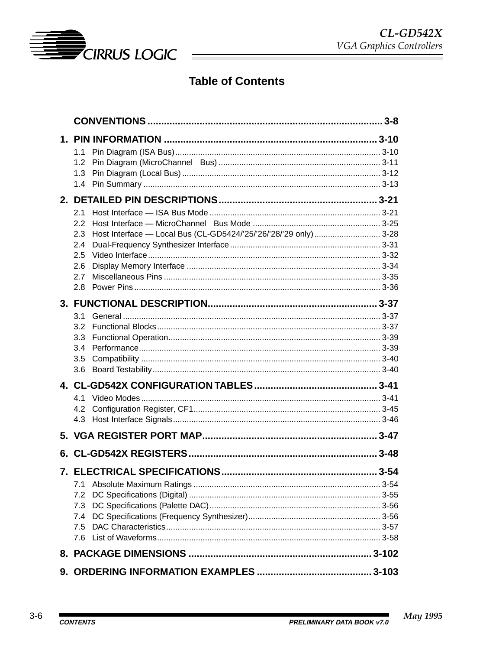

# **Table of Contents**

| 1.1<br>1.2<br>1.3<br>1.4                             |                                                                 |  |
|------------------------------------------------------|-----------------------------------------------------------------|--|
|                                                      |                                                                 |  |
| 2.1<br>2.2<br>2.3<br>2.4<br>2.5<br>2.6<br>2.7<br>2.8 | Host Interface - Local Bus (CL-GD5424/'25/'26/'28/'29 only)3-28 |  |
|                                                      |                                                                 |  |
| 3.2<br>3.3<br>3.4<br>3.5<br>3.6                      |                                                                 |  |
|                                                      |                                                                 |  |
| 4.1<br>4.2                                           |                                                                 |  |
|                                                      |                                                                 |  |
|                                                      |                                                                 |  |
|                                                      |                                                                 |  |
| 7.2<br>7.3<br>7.4<br>7.5                             |                                                                 |  |
|                                                      |                                                                 |  |
|                                                      |                                                                 |  |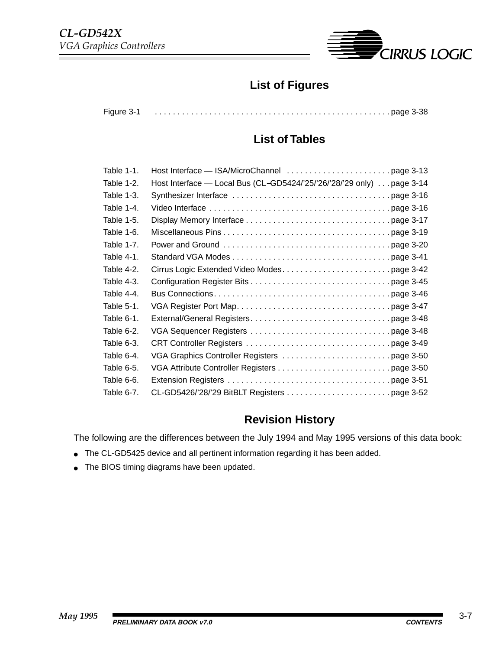

# **List of Figures**

| Figure |  |
|--------|--|
|        |  |

# **List of Tables**

| Table 1-1. |                                                                       |
|------------|-----------------------------------------------------------------------|
| Table 1-2. | Host Interface — Local Bus (CL-GD5424/'25/'26/'28/'29 only) page 3-14 |
| Table 1-3. |                                                                       |
| Table 1-4. |                                                                       |
| Table 1-5. |                                                                       |
| Table 1-6. |                                                                       |
| Table 1-7. |                                                                       |
| Table 4-1. |                                                                       |
| Table 4-2. |                                                                       |
| Table 4-3. |                                                                       |
| Table 4-4. |                                                                       |
| Table 5-1. |                                                                       |
| Table 6-1. |                                                                       |
| Table 6-2. |                                                                       |
| Table 6-3. |                                                                       |
| Table 6-4. |                                                                       |
| Table 6-5. |                                                                       |
| Table 6-6. |                                                                       |
| Table 6-7. |                                                                       |

# **Revision History**

The following are the differences between the July 1994 and May 1995 versions of this data book:

- The CL-GD5425 device and all pertinent information regarding it has been added.
- The BIOS timing diagrams have been updated.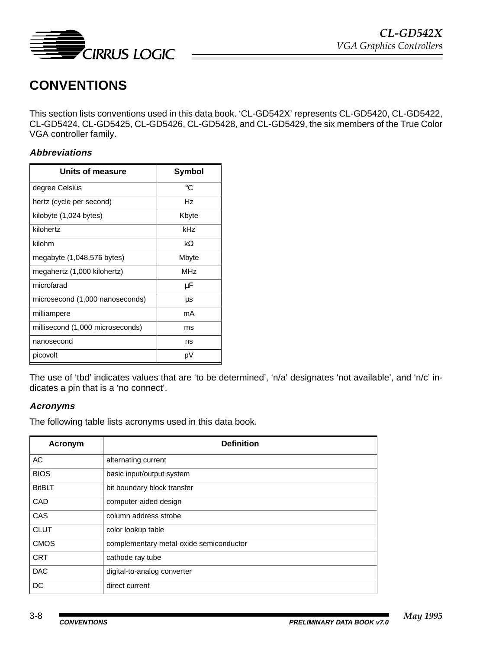

# **CONVENTIONS**

This section lists conventions used in this data book. 'CL-GD542X' represents CL-GD5420, CL-GD5422, CL-GD5424, CL-GD5425, CL-GD5426, CL-GD5428, and CL-GD5429, the six members of the True Color VGA controller family.

#### **Abbreviations**

| <b>Units of measure</b>          | Symbol                |
|----------------------------------|-----------------------|
| degree Celsius                   | °C                    |
| hertz (cycle per second)         | Hz                    |
| kilobyte (1,024 bytes)           | Kbyte                 |
| kilohertz                        | kHz                   |
| kilohm                           | kΩ                    |
| megabyte $(1,048,576$ bytes)     | Mbyte                 |
| megahertz (1,000 kilohertz)      | <b>MH<sub>z</sub></b> |
| microfarad                       | μF                    |
| microsecond (1,000 nanoseconds)  | μs                    |
| milliampere                      | mA                    |
| millisecond (1,000 microseconds) | ms                    |
| nanosecond                       | ns                    |
| picovolt                         | pV                    |

The use of 'tbd' indicates values that are 'to be determined', 'n/a' designates 'not available', and 'n/c' indicates a pin that is a 'no connect'.

#### **Acronyms**

The following table lists acronyms used in this data book.

| Acronym       | <b>Definition</b>                       |
|---------------|-----------------------------------------|
| AC            | alternating current                     |
| <b>BIOS</b>   | basic input/output system               |
| <b>BitBLT</b> | bit boundary block transfer             |
| CAD           | computer-aided design                   |
| CAS           | column address strobe                   |
| <b>CLUT</b>   | color lookup table                      |
| <b>CMOS</b>   | complementary metal-oxide semiconductor |
| <b>CRT</b>    | cathode ray tube                        |
| <b>DAC</b>    | digital-to-analog converter             |
| DC            | direct current                          |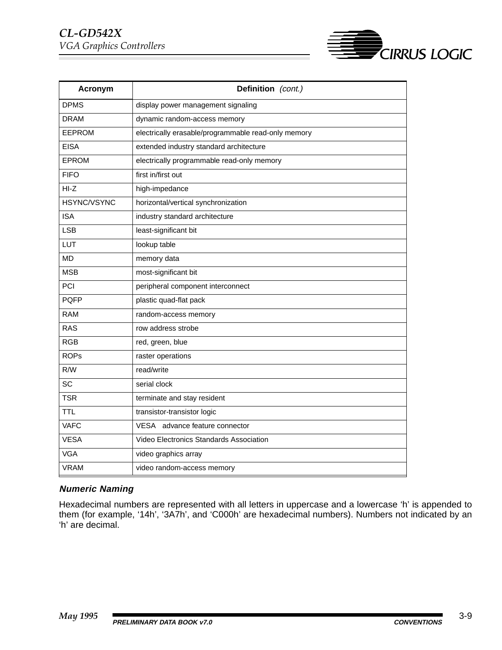

| Acronym       | Definition (cont.)                                  |
|---------------|-----------------------------------------------------|
| <b>DPMS</b>   | display power management signaling                  |
| <b>DRAM</b>   | dynamic random-access memory                        |
| <b>EEPROM</b> | electrically erasable/programmable read-only memory |
| <b>EISA</b>   | extended industry standard architecture             |
| <b>EPROM</b>  | electrically programmable read-only memory          |
| <b>FIFO</b>   | first in/first out                                  |
| $HI-Z$        | high-impedance                                      |
| HSYNC/VSYNC   | horizontal/vertical synchronization                 |
| <b>ISA</b>    | industry standard architecture                      |
| <b>LSB</b>    | least-significant bit                               |
| LUT           | lookup table                                        |
| <b>MD</b>     | memory data                                         |
| <b>MSB</b>    | most-significant bit                                |
| PCI           | peripheral component interconnect                   |
| <b>PQFP</b>   | plastic quad-flat pack                              |
| <b>RAM</b>    | random-access memory                                |
| <b>RAS</b>    | row address strobe                                  |
| <b>RGB</b>    | red, green, blue                                    |
| <b>ROPs</b>   | raster operations                                   |
| R/W           | read/write                                          |
| SC            | serial clock                                        |
| <b>TSR</b>    | terminate and stay resident                         |
| <b>TTL</b>    | transistor-transistor logic                         |
| <b>VAFC</b>   | VESA <sup>®</sup> advance feature connector         |
| <b>VESA®</b>  | Video Electronics Standards Association             |
| <b>VGA</b>    | video graphics array                                |
| <b>VRAM</b>   | video random-access memory                          |

### **Numeric Naming**

Hexadecimal numbers are represented with all letters in uppercase and a lowercase 'h' is appended to them (for example, '14h', '3A7h', and 'C000h' are hexadecimal numbers). Numbers not indicated by an 'h' are decimal.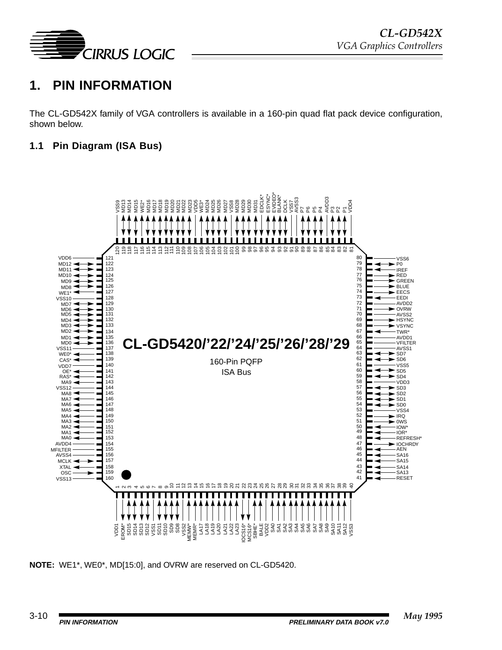

# **1. PIN INFORMATION**

The CL-GD542X family of VGA controllers is available in a 160-pin quad flat pack device configuration, shown below.

### **1.1 Pin Diagram (ISA Bus)**



**NOTE:** WE1\*, WE0\*, MD[15:0], and OVRW are reserved on CL-GD5420.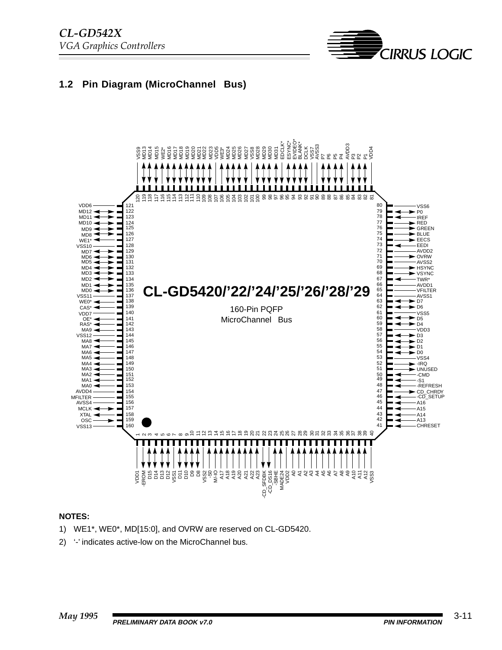

# **1.2 Pin Diagram (MicroChannel Bus)**



#### **NOTES:**

- 1) WE1\*, WE0\*, MD[15:0], and OVRW are reserved on CL-GD5420.
- 2) '-' indicates active-low on the MicroChannel bus.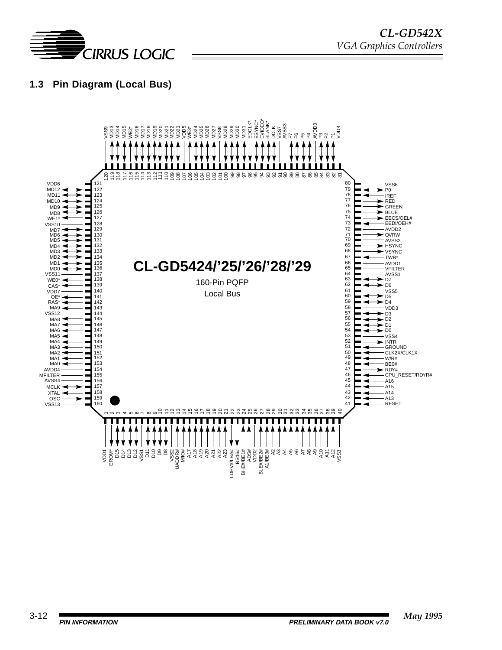

# **1.3 Pin Diagram (Local Bus)**

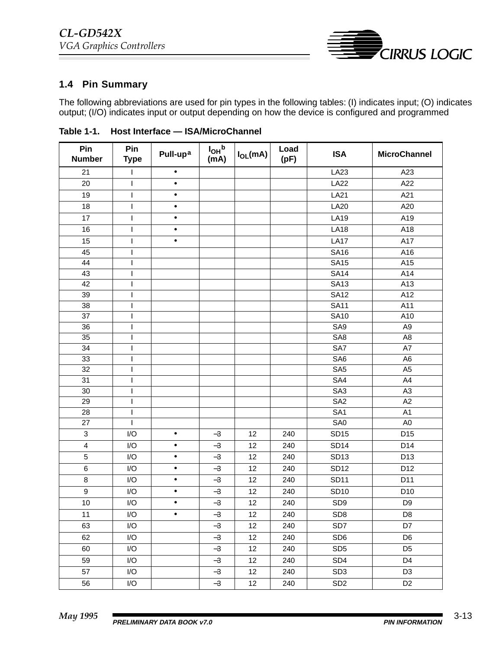

# <span id="page-12-0"></span>**1.4 Pin Summary**

The following abbreviations are used for pin types in the following tables: (I) indicates input; (O) indicates output; (I/O) indicates input or output depending on how the device is configured and programmed

| Pin<br><b>Number</b>    | Pin<br><b>Type</b>                                                                                                                                                                                                                                                                                                                                                               | Pull-up <sup>a</sup> | $\frac{\mathsf{I}_\mathsf{OH}{}^{\mathsf{b}}}{\mathsf{I}\mathsf{m}\mathsf{A}}$ | $I_{OL}(mA)$ | Load<br>(pF) | <b>ISA</b>      | <b>MicroChannel®</b> |
|-------------------------|----------------------------------------------------------------------------------------------------------------------------------------------------------------------------------------------------------------------------------------------------------------------------------------------------------------------------------------------------------------------------------|----------------------|--------------------------------------------------------------------------------|--------------|--------------|-----------------|----------------------|
| 21                      | $\mathsf{I}$                                                                                                                                                                                                                                                                                                                                                                     | $\bullet$            |                                                                                |              |              | LA23            | A23                  |
| 20                      | $\mathsf{I}$                                                                                                                                                                                                                                                                                                                                                                     | $\bullet$            |                                                                                |              |              | <b>LA22</b>     | A22                  |
| 19                      | $\sf I$                                                                                                                                                                                                                                                                                                                                                                          | $\bullet$            |                                                                                |              |              | <b>LA21</b>     | A21                  |
| 18                      | $\mathsf I$                                                                                                                                                                                                                                                                                                                                                                      | $\bullet$            |                                                                                |              |              | <b>LA20</b>     | A20                  |
| 17                      | $\sf I$                                                                                                                                                                                                                                                                                                                                                                          | $\bullet$            |                                                                                |              |              | <b>LA19</b>     | A19                  |
| 16                      | $\mathsf I$                                                                                                                                                                                                                                                                                                                                                                      | $\bullet$            |                                                                                |              |              | <b>LA18</b>     | A18                  |
| 15                      | $\mathsf I$                                                                                                                                                                                                                                                                                                                                                                      | $\bullet$            |                                                                                |              |              | <b>LA17</b>     | A17                  |
| 45                      | $\sf I$                                                                                                                                                                                                                                                                                                                                                                          |                      |                                                                                |              |              | <b>SA16</b>     | A16                  |
| 44                      | $\mathsf I$                                                                                                                                                                                                                                                                                                                                                                      |                      |                                                                                |              |              | <b>SA15</b>     | A15                  |
| 43                      | $\mathsf{I}$                                                                                                                                                                                                                                                                                                                                                                     |                      |                                                                                |              |              | <b>SA14</b>     | A14                  |
| 42                      | $\begin{array}{c} \rule{0pt}{2.5ex} \rule{0pt}{2.5ex} \rule{0pt}{2.5ex} \rule{0pt}{2.5ex} \rule{0pt}{2.5ex} \rule{0pt}{2.5ex} \rule{0pt}{2.5ex} \rule{0pt}{2.5ex} \rule{0pt}{2.5ex} \rule{0pt}{2.5ex} \rule{0pt}{2.5ex} \rule{0pt}{2.5ex} \rule{0pt}{2.5ex} \rule{0pt}{2.5ex} \rule{0pt}{2.5ex} \rule{0pt}{2.5ex} \rule{0pt}{2.5ex} \rule{0pt}{2.5ex} \rule{0pt}{2.5ex} \rule{0$ |                      |                                                                                |              |              | <b>SA13</b>     | A13                  |
| 39                      | $\mathsf I$                                                                                                                                                                                                                                                                                                                                                                      |                      |                                                                                |              |              | <b>SA12</b>     | A12                  |
| 38                      | $\mathsf{I}$                                                                                                                                                                                                                                                                                                                                                                     |                      |                                                                                |              |              | <b>SA11</b>     | A11                  |
| 37                      | $\mathsf I$                                                                                                                                                                                                                                                                                                                                                                      |                      |                                                                                |              |              | <b>SA10</b>     | A10                  |
| 36                      | $\sf I$                                                                                                                                                                                                                                                                                                                                                                          |                      |                                                                                |              |              | SA9             | A <sub>9</sub>       |
| 35                      | $\mathsf{I}$                                                                                                                                                                                                                                                                                                                                                                     |                      |                                                                                |              |              | SA8             | A <sub>8</sub>       |
| 34                      | $\mathsf I$                                                                                                                                                                                                                                                                                                                                                                      |                      |                                                                                |              |              | SA7             | A7                   |
| 33                      | $\mathsf{I}$                                                                                                                                                                                                                                                                                                                                                                     |                      |                                                                                |              |              | SA6             | A <sub>6</sub>       |
| 32                      | $\mathsf{I}$                                                                                                                                                                                                                                                                                                                                                                     |                      |                                                                                |              |              | SA <sub>5</sub> | A <sub>5</sub>       |
| 31                      | $\sf I$                                                                                                                                                                                                                                                                                                                                                                          |                      |                                                                                |              |              | SA4             | A4                   |
| 30                      | $\mathsf I$                                                                                                                                                                                                                                                                                                                                                                      |                      |                                                                                |              |              | SA <sub>3</sub> | A <sub>3</sub>       |
| 29                      | $\mathsf{l}$                                                                                                                                                                                                                                                                                                                                                                     |                      |                                                                                |              |              | SA <sub>2</sub> | A2                   |
| 28                      | $\begin{array}{c} \rule{0pt}{2.5ex} \rule{0pt}{2.5ex} \rule{0pt}{2.5ex} \rule{0pt}{2.5ex} \rule{0pt}{2.5ex} \rule{0pt}{2.5ex} \rule{0pt}{2.5ex} \rule{0pt}{2.5ex} \rule{0pt}{2.5ex} \rule{0pt}{2.5ex} \rule{0pt}{2.5ex} \rule{0pt}{2.5ex} \rule{0pt}{2.5ex} \rule{0pt}{2.5ex} \rule{0pt}{2.5ex} \rule{0pt}{2.5ex} \rule{0pt}{2.5ex} \rule{0pt}{2.5ex} \rule{0pt}{2.5ex} \rule{0$ |                      |                                                                                |              |              | SA <sub>1</sub> | A <sub>1</sub>       |
| 27                      | $\mathsf{I}$                                                                                                                                                                                                                                                                                                                                                                     |                      |                                                                                |              |              | SA <sub>0</sub> | A <sub>0</sub>       |
| $\sqrt{3}$              | I/O                                                                                                                                                                                                                                                                                                                                                                              | $\bullet$            | $-3$                                                                           | 12           | 240          | <b>SD15</b>     | D <sub>15</sub>      |
| $\overline{\mathbf{4}}$ | I/O                                                                                                                                                                                                                                                                                                                                                                              | $\bullet$            | $-3$                                                                           | 12           | 240          | <b>SD14</b>     | D14                  |
| $\overline{5}$          | I/O                                                                                                                                                                                                                                                                                                                                                                              | $\bullet$            | $-3$                                                                           | 12           | 240          | <b>SD13</b>     | D13                  |
| $\,6\,$                 | I/O                                                                                                                                                                                                                                                                                                                                                                              | $\bullet$            | $-3$                                                                           | 12           | 240          | <b>SD12</b>     | D12                  |
| $\,8\,$                 | I/O                                                                                                                                                                                                                                                                                                                                                                              | $\bullet$            | $-3$                                                                           | 12           | 240          | <b>SD11</b>     | D11                  |
| $\boldsymbol{9}$        | I/O                                                                                                                                                                                                                                                                                                                                                                              | $\bullet$            | $-3$                                                                           | 12           | 240          | <b>SD10</b>     | D <sub>10</sub>      |
| 10                      | I/O                                                                                                                                                                                                                                                                                                                                                                              | $\bullet$            | $-3$                                                                           | 12           | 240          | SD <sub>9</sub> | D <sub>9</sub>       |
| 11                      | I/O                                                                                                                                                                                                                                                                                                                                                                              | ٠                    | $-3$                                                                           | 12           | 240          | SD <sub>8</sub> | D8                   |
| 63                      | I/O                                                                                                                                                                                                                                                                                                                                                                              |                      | $-3$                                                                           | 12           | 240          | SD <sub>7</sub> | D7                   |
| 62                      | I/O                                                                                                                                                                                                                                                                                                                                                                              |                      | $-3$                                                                           | 12           | 240          | SD <sub>6</sub> | D <sub>6</sub>       |
| 60                      | I/O                                                                                                                                                                                                                                                                                                                                                                              |                      | $-3$                                                                           | 12           | 240          | SD <sub>5</sub> | D <sub>5</sub>       |
| 59                      | I/O                                                                                                                                                                                                                                                                                                                                                                              |                      | $-3$                                                                           | 12           | 240          | SD <sub>4</sub> | D <sub>4</sub>       |
| 57                      | I/O                                                                                                                                                                                                                                                                                                                                                                              |                      | $-3$                                                                           | 12           | 240          | SD <sub>3</sub> | D <sub>3</sub>       |
| 56                      | I/O                                                                                                                                                                                                                                                                                                                                                                              |                      | $-3$                                                                           | 12           | 240          | SD <sub>2</sub> | D <sub>2</sub>       |
|                         |                                                                                                                                                                                                                                                                                                                                                                                  |                      |                                                                                |              |              |                 |                      |

**Table 1-1. Host Interface — ISA/MicroChannel**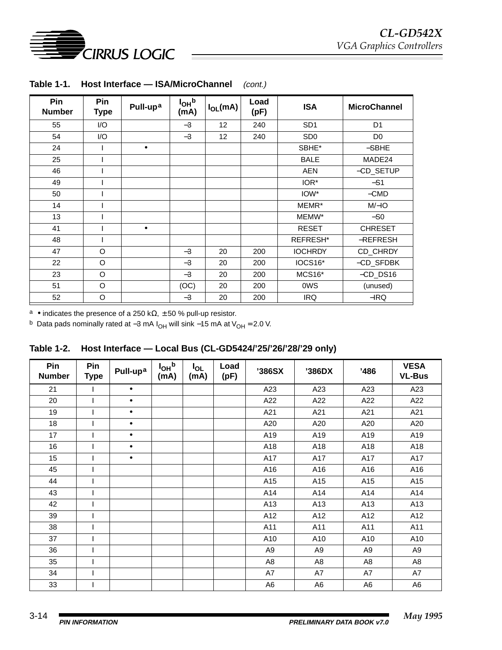<span id="page-13-0"></span>

| Pin<br><b>Number</b> | Pin<br><b>Type</b> | Pull-upa  | $I_{OH}$ <sub>b</sub><br>(mA) | $I_{OL}(mA)$ | Load<br>(pF) | <b>ISA</b>      | <b>MicroChannel<sup>®</sup></b> |
|----------------------|--------------------|-----------|-------------------------------|--------------|--------------|-----------------|---------------------------------|
| 55                   | I/O                |           | $-3$                          | 12           | 240          | SD <sub>1</sub> | D <sub>1</sub>                  |
| 54                   | I/O                |           | $-3$                          | 12           | 240          | SD <sub>0</sub> | D <sub>0</sub>                  |
| 24                   |                    | $\bullet$ |                               |              |              | SBHE*           | $-SBHE$                         |
| 25                   |                    |           |                               |              |              | <b>BALE</b>     | MADE24                          |
| 46                   |                    |           |                               |              |              | <b>AEN</b>      | -CD_SETUP                       |
| 49                   |                    |           |                               |              |              | IOR*            | $-S1$                           |
| 50                   |                    |           |                               |              |              | IOW*            | $-CMD$                          |
| 14                   | ı                  |           |                               |              |              | MEMR*           | $M/-IO$                         |
| 13                   | L                  |           |                               |              |              | MEMW*           | $-S0$                           |
| 41                   |                    | $\bullet$ |                               |              |              | <b>RESET</b>    | <b>CHRESET</b>                  |
| 48                   | ı                  |           |                               |              |              | REFRESH*        | -REFRESH                        |
| 47                   | O                  |           | $-3$                          | 20           | 200          | <b>IOCHRDY</b>  | CD_CHRDY                        |
| 22                   | $\circ$            |           | $-3$                          | 20           | 200          | IOCS16*         | -CD_SFDBK                       |
| 23                   | O                  |           | $-3$                          | 20           | 200          | MCS16*          | $-CD$ <sub>_DS16</sub>          |
| 51                   | O                  |           | (OC)                          | 20           | 200          | 0WS             | (unused)                        |
| 52                   | O                  |           | $-3$                          | 20           | 200          | <b>IRQ</b>      | $-IRQ$                          |

Table 1-1. Host Interface - ISA/MicroChannel<sup>®</sup> (cont.)

a • indicates the presence of a 250 kΩ,  $± 50$  % pull-up resistor.

b Data pads nominally rated at −3 mA  $I_{OH}$  will sink −15 mA at  $V_{OH} = 2.0$  V.

|  | Table 1-2. Host Interface - Local Bus (CL-GD5424/'25/'26/'28/'29 only) |  |
|--|------------------------------------------------------------------------|--|
|  |                                                                        |  |

| Pin<br><b>Number</b> | Pin<br>Type | Pull-up <sup>a</sup> | $I_{OH}$ <sub>b</sub><br>(mA) | $I_{OL}$<br>(mA) | Load<br>(pF) | '386SX | '386DX         | '486 | <b>VESA®</b><br><b>VL-Bus</b> ™ |
|----------------------|-------------|----------------------|-------------------------------|------------------|--------------|--------|----------------|------|---------------------------------|
| 21                   |             | $\bullet$            |                               |                  |              | A23    | A23            | A23  | A23                             |
| 20                   |             | $\bullet$            |                               |                  |              | A22    | A22            | A22  | A22                             |
| 19                   |             | $\bullet$            |                               |                  |              | A21    | A21            | A21  | A21                             |
| 18                   |             | $\bullet$            |                               |                  |              | A20    | A20            | A20  | A20                             |
| 17                   |             | $\bullet$            |                               |                  |              | A19    | A19            | A19  | A19                             |
| 16                   |             | $\bullet$            |                               |                  |              | A18    | A18            | A18  | A18                             |
| 15                   |             | $\bullet$            |                               |                  |              | A17    | A17            | A17  | A17                             |
| 45                   |             |                      |                               |                  |              | A16    | A16            | A16  | A16                             |
| 44                   |             |                      |                               |                  |              | A15    | A15            | A15  | A15                             |
| 43                   |             |                      |                               |                  |              | A14    | A14            | A14  | A14                             |
| 42                   |             |                      |                               |                  |              | A13    | A13            | A13  | A13                             |
| 39                   |             |                      |                               |                  |              | A12    | A12            | A12  | A12                             |
| 38                   |             |                      |                               |                  |              | A11    | A11            | A11  | A11                             |
| 37                   |             |                      |                               |                  |              | A10    | A10            | A10  | A10                             |
| 36                   |             |                      |                               |                  |              | A9     | A <sub>9</sub> | A9   | A <sub>9</sub>                  |
| 35                   |             |                      |                               |                  |              | A8     | A <sub>8</sub> | A8   | A <sub>8</sub>                  |
| 34                   |             |                      |                               |                  |              | A7     | A7             | A7   | A7                              |
| 33                   |             |                      |                               |                  |              | A6     | A <sub>6</sub> | A6   | A <sub>6</sub>                  |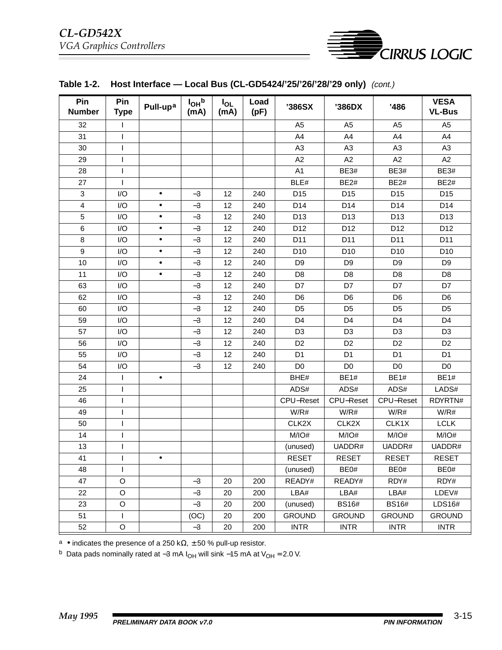

| Pin<br><b>Number</b> | Pin<br><b>Type</b> | Pull-upa  | $I_{OH}$ <sub>b</sub><br>(mA) | $I_{OL}$<br>(mA) | Load<br>(pF) | '386SX          | '386DX          | '486            | <b>VESA®</b><br><b>VL-Bus</b> ™ |
|----------------------|--------------------|-----------|-------------------------------|------------------|--------------|-----------------|-----------------|-----------------|---------------------------------|
| 32                   | I.                 |           |                               |                  |              | A <sub>5</sub>  | A <sub>5</sub>  | A <sub>5</sub>  | A <sub>5</sub>                  |
| 31                   | $\mathbf{I}$       |           |                               |                  |              | A4              | A <sub>4</sub>  | A4              | A4                              |
| 30                   | $\overline{1}$     |           |                               |                  |              | A <sub>3</sub>  | A <sub>3</sub>  | A <sub>3</sub>  | A <sub>3</sub>                  |
| 29                   | I                  |           |                               |                  |              | A2              | A2              | A2              | A2                              |
| 28                   | T                  |           |                               |                  |              | A <sub>1</sub>  | <b>BE3#</b>     | <b>BE3#</b>     | <b>BE3#</b>                     |
| 27                   | L                  |           |                               |                  |              | BLE#            | <b>BE2#</b>     | <b>BE2#</b>     | <b>BE2#</b>                     |
| 3                    | I/O                | $\bullet$ | $-3$                          | 12               | 240          | D <sub>15</sub> | D <sub>15</sub> | D <sub>15</sub> | D <sub>15</sub>                 |
| 4                    | I/O                | $\bullet$ | $-3$                          | 12               | 240          | D14             | D14             | D14             | D14                             |
| 5                    | I/O                | $\bullet$ | $-3$                          | 12               | 240          | D <sub>13</sub> | D <sub>13</sub> | D <sub>13</sub> | D <sub>13</sub>                 |
| 6                    | I/O                | $\bullet$ | $-3$                          | 12               | 240          | D12             | D12             | D12             | D12                             |
| 8                    | I/O                | $\bullet$ | $-3$                          | 12               | 240          | D11             | D11             | D11             | D11                             |
| $\boldsymbol{9}$     | I/O                | $\bullet$ | $-3$                          | 12               | 240          | D <sub>10</sub> | D <sub>10</sub> | D <sub>10</sub> | D <sub>10</sub>                 |
| 10                   | I/O                | $\bullet$ | $-3$                          | 12               | 240          | D <sub>9</sub>  | D <sub>9</sub>  | D <sub>9</sub>  | D <sub>9</sub>                  |
| 11                   | I/O                | $\bullet$ | $-3$                          | 12               | 240          | D <sub>8</sub>  | D <sub>8</sub>  | D <sub>8</sub>  | D <sub>8</sub>                  |
| 63                   | I/O                |           | $-3$                          | 12               | 240          | D7              | D7              | D7              | D7                              |
| 62                   | I/O                |           | $-3$                          | 12               | 240          | D <sub>6</sub>  | D <sub>6</sub>  | D <sub>6</sub>  | D <sub>6</sub>                  |
| 60                   | I/O                |           | $-3$                          | 12               | 240          | D <sub>5</sub>  | D <sub>5</sub>  | D <sub>5</sub>  | D <sub>5</sub>                  |
| 59                   | I/O                |           | $-3$                          | 12               | 240          | D <sub>4</sub>  | D <sub>4</sub>  | D <sub>4</sub>  | D <sub>4</sub>                  |
| 57                   | I/O                |           | $-3$                          | 12               | 240          | D <sub>3</sub>  | D <sub>3</sub>  | D <sub>3</sub>  | D <sub>3</sub>                  |
| 56                   | I/O                |           | $-3$                          | 12               | 240          | D <sub>2</sub>  | D <sub>2</sub>  | D <sub>2</sub>  | D <sub>2</sub>                  |
| 55                   | I/O                |           | $-3$                          | 12               | 240          | D <sub>1</sub>  | D <sub>1</sub>  | D <sub>1</sub>  | D <sub>1</sub>                  |
| 54                   | I/O                |           | $-3$                          | 12               | 240          | D <sub>0</sub>  | D <sub>0</sub>  | D <sub>0</sub>  | D <sub>0</sub>                  |
| 24                   | $\mathbf{I}$       | $\bullet$ |                               |                  |              | BHE#            | <b>BE1#</b>     | <b>BE1#</b>     | <b>BE1#</b>                     |
| 25                   | $\mathbf{I}$       |           |                               |                  |              | ADS#            | ADS#            | ADS#            | LADS#                           |
| 46                   | T                  |           |                               |                  |              | CPU-Reset       | CPU-Reset       | CPU-Reset       | RDYRTN#                         |
| 49                   | $\mathbf{I}$       |           |                               |                  |              | W/R#            | W/R#            | W/R#            | W/R#                            |
| 50                   | T                  |           |                               |                  |              | CLK2X           | CLK2X           | CLK1X           | <b>LCLK</b>                     |
| 14                   | T                  |           |                               |                  |              | M/IO#           | M/IO#           | M/IO#           | M/IO#                           |
| 13                   | T                  |           |                               |                  |              | (unused)        | UADDR#          | UADDR#          | UADDR#                          |
| 41                   | T                  | $\bullet$ |                               |                  |              | <b>RESET</b>    | <b>RESET</b>    | <b>RESET</b>    | <b>RESET</b>                    |
| 48                   | I.                 |           |                               |                  |              | (unused)        | BE0#            | BE0#            | BE0#                            |
| 47                   | O                  |           | $-3$                          | 20               | 200          | READY#          | READY#          | RDY#            | RDY#                            |
| 22                   | $\mathsf O$        |           | $-3$                          | 20               | 200          | LBA#            | LBA#            | LBA#            | LDEV#                           |
| 23                   | $\mathsf O$        |           | $-3$                          | 20               | 200          | (unused)        | <b>BS16#</b>    | <b>BS16#</b>    | LDS16#                          |
| 51                   | $\mathbf{I}$       |           | (OC)                          | 20               | 200          | <b>GROUND</b>   | <b>GROUND</b>   | <b>GROUND</b>   | <b>GROUND</b>                   |
| 52                   | $\mathsf O$        |           | $-3$                          | 20               | 200          | <b>INTR</b>     | <b>INTR</b>     | <b>INTR</b>     | <b>INTR</b>                     |

|  |  | Table 1-2. Host Interface - Local Bus (CL-GD5424/'25/'26/'28/'29 only) (cont.) |  |
|--|--|--------------------------------------------------------------------------------|--|
|--|--|--------------------------------------------------------------------------------|--|

a • indicates the presence of a 250 kΩ,  $±$  50 % pull-up resistor.

b Data pads nominally rated at −3 mA  $I_{OH}$  will sink −15 mA at V<sub>OH</sub> = 2.0 V.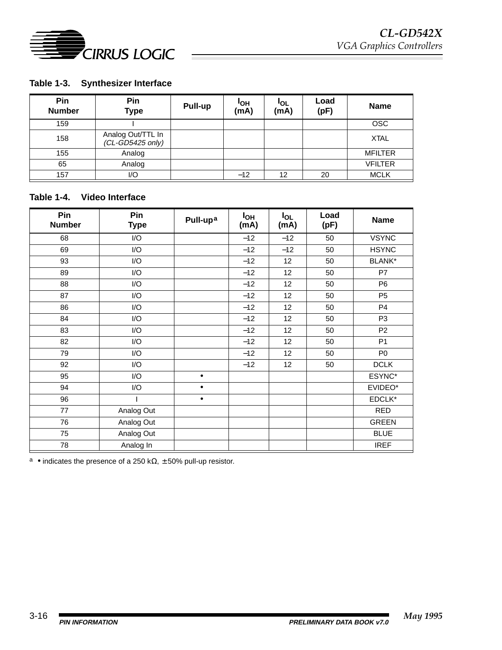<span id="page-15-0"></span>

### **Table 1-3. Synthesizer Interface**

| Pin<br><b>Number</b> | Pin<br><b>Type</b>                        | Pull-up | <b>IOH</b><br>(mA) | יסו<br>(mA) | Load<br>(pF) | <b>Name</b>    |
|----------------------|-------------------------------------------|---------|--------------------|-------------|--------------|----------------|
| 159                  |                                           |         |                    |             |              | <b>OSC</b>     |
| 158                  | Analog Out/TTL In<br>$(CL - GD5425$ only) |         |                    |             |              | <b>XTAL</b>    |
| 155                  | Analog                                    |         |                    |             |              | <b>MFILTER</b> |
| 65                   | Analog                                    |         |                    |             |              | <b>VFILTER</b> |
| 157                  | I/O                                       |         | $-12$              | 12          | 20           | <b>MCLK</b>    |

### **Table 1-4. Video Interface**

| Pin<br><b>Number</b> | Pin<br><b>Type</b> | Pull-upa  | $I_{OH}$<br>(mA) | $I_{OL}$<br>(mA) | Load<br>(pF) | <b>Name</b>    |
|----------------------|--------------------|-----------|------------------|------------------|--------------|----------------|
| 68                   | I/O                |           | $-12$            | $-12$            | 50           | <b>VSYNC</b>   |
| 69                   | I/O                |           | $-12$            | $-12$            | 50           | <b>HSYNC</b>   |
| 93                   | I/O                |           | $-12$            | 12               | 50           | <b>BLANK*</b>  |
| 89                   | I/O                |           | $-12$            | 12               | 50           | P7             |
| 88                   | I/O                |           | $-12$            | 12               | 50           | P <sub>6</sub> |
| 87                   | I/O                |           | $-12$            | 12               | 50           | P <sub>5</sub> |
| 86                   | I/O                |           | $-12$            | 12               | 50           | P <sub>4</sub> |
| 84                   | I/O                |           | $-12$            | 12               | 50           | P <sub>3</sub> |
| 83                   | I/O                |           | $-12$            | 12               | 50           | P <sub>2</sub> |
| 82                   | I/O                |           | $-12$            | 12 <sub>2</sub>  | 50           | P <sub>1</sub> |
| 79                   | I/O                |           | $-12$            | 12 <sub>2</sub>  | 50           | P <sub>0</sub> |
| 92                   | I/O                |           | $-12$            | 12 <sub>2</sub>  | 50           | <b>DCLK</b>    |
| 95                   | I/O                | $\bullet$ |                  |                  |              | ESYNC*         |
| 94                   | I/O                | $\bullet$ |                  |                  |              | EVIDEO*        |
| 96                   |                    | $\bullet$ |                  |                  |              | EDCLK*         |
| 77                   | Analog Out         |           |                  |                  |              | <b>RED</b>     |
| 76                   | Analog Out         |           |                  |                  |              | <b>GREEN</b>   |
| 75                   | Analog Out         |           |                  |                  |              | <b>BLUE</b>    |
| 78                   | Analog In          |           |                  |                  |              | <b>IREF</b>    |

a • indicates the presence of a 250 kΩ,  $±$  50% pull-up resistor.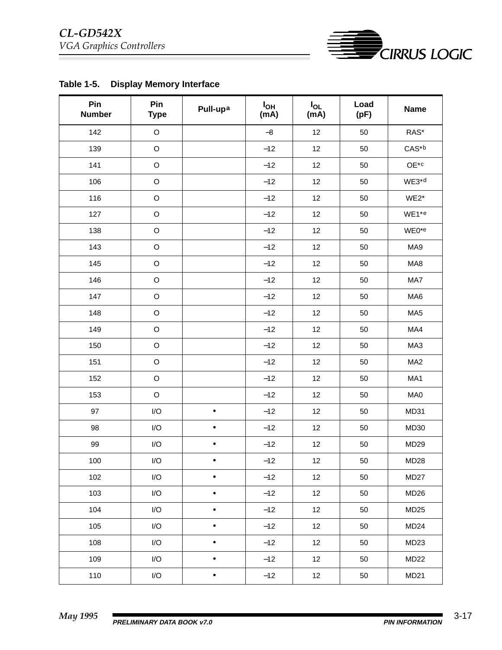

| Pin<br><b>Number</b> | Pin<br><b>Type</b>      | Pull-upa  | $I_{OH}$<br>(mA) | $I_{OL}$<br>(mA) | Load<br>(pF) | <b>Name</b>                 |
|----------------------|-------------------------|-----------|------------------|------------------|--------------|-----------------------------|
| 142                  | $\mathsf O$             |           | $-8$             | 12               | 50           | $RAS^*$                     |
| 139                  | $\mathsf O$             |           | $-12$            | 12               | 50           | $CAS^*b$                    |
| 141                  | $\mathsf O$             |           | $-12$            | 12               | 50           | $\mathsf{OE}^{*\mathsf{c}}$ |
| 106                  | $\mathsf O$             |           | $-12$            | 12               | 50           | WE3*d                       |
| 116                  | $\mathsf O$             |           | $-12$            | 12               | 50           | $WE2*$                      |
| 127                  | $\mathsf O$             |           | $-12$            | 12               | 50           | WE1*e                       |
| 138                  | $\mathsf O$             |           | $-12$            | 12               | 50           | WE0*e                       |
| 143                  | $\mathsf O$             |           | $-12$            | 12               | 50           | MA9                         |
| 145                  | $\mathsf O$             |           | $-12$            | 12               | 50           | MA8                         |
| 146                  | $\mathsf O$             |           | $-12$            | 12               | 50           | MA7                         |
| 147                  | $\mathsf O$             |           | $-12$            | 12               | 50           | MA6                         |
| 148                  | $\mathsf O$             |           | $-12$            | 12               | 50           | MA <sub>5</sub>             |
| 149                  | $\mathsf O$             |           | $-12$            | 12               | 50           | MA4                         |
| 150                  | $\mathsf O$             |           | $-12$            | 12               | 50           | MA3                         |
| 151                  | $\mathsf O$             |           | $-12$            | 12               | 50           | MA <sub>2</sub>             |
| 152                  | $\mathsf O$             |           | $-12$            | 12               | 50           | MA1                         |
| 153                  | $\hbox{O}$              |           | $-12$            | 12               | 50           | MA0                         |
| 97                   | I/O                     | $\bullet$ | $-12$            | 12               | 50           | <b>MD31</b>                 |
| 98                   | I/O                     | $\bullet$ | $-12$            | 12               | 50           | <b>MD30</b>                 |
| 99                   | I/O                     | $\bullet$ | $-12$            | 12               | $50\,$       | MD <sub>29</sub>            |
| 100                  | $\mathsf{I}/\mathsf{O}$ | $\bullet$ | $-12$            | 12               | 50           | <b>MD28</b>                 |
| 102                  | I/O                     | $\bullet$ | $-12$            | 12               | 50           | MD <sub>27</sub>            |
| 103                  | $\mathsf{I}/\mathsf{O}$ | $\bullet$ | $-12$            | 12               | 50           | MD <sub>26</sub>            |
| 104                  | I/O                     | $\bullet$ | $-12$            | 12               | 50           | <b>MD25</b>                 |
| 105                  | I/O                     | $\bullet$ | $-12$            | 12               | 50           | MD <sub>24</sub>            |
| 108                  | I/O                     | $\bullet$ | $-12$            | 12               | 50           | MD <sub>23</sub>            |
| 109                  | I/O                     | $\bullet$ | $-12$            | 12               | 50           | <b>MD22</b>                 |
| 110                  | $\mathsf{I}/\mathsf{O}$ | $\bullet$ | $-12$            | 12               | 50           | MD21                        |

# <span id="page-16-0"></span>**Table 1-5. Display Memory Interface**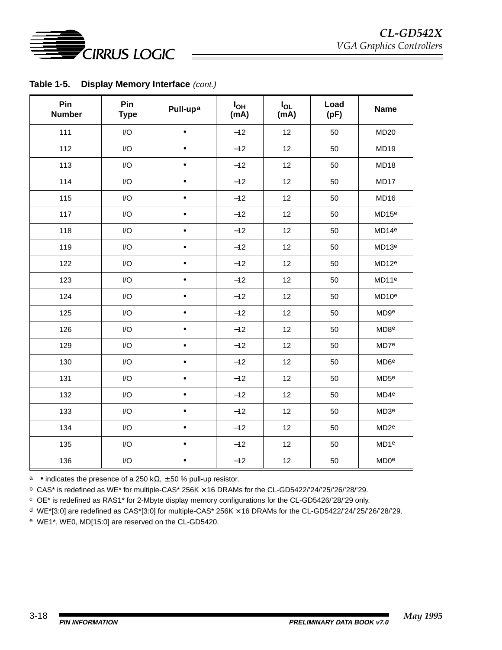

Table 1-5. Display Memory Interface (cont.)

| Pin<br><b>Number</b> | Pin<br><b>Type</b>      | Pull-upa  | $I_{OH}$<br>(mA) | $I_{OL}$<br>$(m\overline{A})$ | Load<br>(pF) | <b>Name</b>       |
|----------------------|-------------------------|-----------|------------------|-------------------------------|--------------|-------------------|
| 111                  | I/O                     | $\bullet$ | $-12$            | 12                            | 50           | <b>MD20</b>       |
| 112                  | $\mathsf{I}/\mathsf{O}$ | $\bullet$ | $-12$            | 12                            | 50           | <b>MD19</b>       |
| 113                  | I/O                     | $\bullet$ | $-12$            | 12                            | 50           | MD18              |
| 114                  | I/O                     | $\bullet$ | $-12$            | 12                            | 50           | MD17              |
| 115                  | I/O                     | $\bullet$ | $-12$            | 12                            | 50           | MD <sub>16</sub>  |
| 117                  | $\mathsf{I}/\mathsf{O}$ | $\bullet$ | $-12$            | 12                            | 50           | MD15 <sup>e</sup> |
| 118                  | I/O                     | $\bullet$ | $-12$            | 12                            | 50           | MD14 <sup>e</sup> |
| 119                  | $\mathsf{I}/\mathsf{O}$ | $\bullet$ | $-12$            | 12                            | 50           | MD13 <sup>e</sup> |
| 122                  | $\mathsf{I}/\mathsf{O}$ | $\bullet$ | $-12$            | 12                            | 50           | MD12 <sup>e</sup> |
| 123                  | $\mathsf{I}/\mathsf{O}$ | $\bullet$ | $-12$            | 12                            | 50           | MD11 <sup>e</sup> |
| 124                  | I/O                     | $\bullet$ | $-12$            | 12                            | 50           | MD <sub>10e</sub> |
| 125                  | $\mathsf{I}/\mathsf{O}$ | $\bullet$ | $-12$            | 12                            | 50           | MD9e              |
| 126                  | I/O                     | $\bullet$ | $-12$            | 12                            | 50           | MD <sub>8e</sub>  |
| 129                  | $\mathsf{I}/\mathsf{O}$ | $\bullet$ | $-12$            | 12                            | 50           | MD7 <sup>e</sup>  |
| 130                  | $\mathsf{I}/\mathsf{O}$ | $\bullet$ | $-12$            | 12                            | 50           | MD <sub>6e</sub>  |
| 131                  | I/O                     | $\bullet$ | $-12$            | 12                            | 50           | MD <sub>5</sub> e |
| 132                  | $\mathsf{I}/\mathsf{O}$ | $\bullet$ | $-12$            | 12                            | 50           | MD4e              |
| 133                  | $\mathsf{I}/\mathsf{O}$ | $\bullet$ | $-12$            | 12                            | 50           | MD3 <sup>e</sup>  |
| 134                  | I/O                     | $\bullet$ | $-12$            | 12                            | 50           | MD <sub>2</sub> e |
| 135                  | $\mathsf{I}/\mathsf{O}$ | $\bullet$ | $-12$            | 12                            | 50           | MD <sub>1e</sub>  |
| 136                  | $\sf I/O$               | $\bullet$ | $-12$            | 12                            | 50           | MD <sub>0</sub> e |

a • indicates the presence of a 250 kΩ,  $±$  50 % pull-up resistor.

 $b$  CAS\* is redefined as WE\* for multiple-CAS\* 256K  $\times$  16 DRAMs for the CL-GD5422/'24/'25/'26/'28/'29.

c OE\* is redefined as RAS1\* for 2-Mbyte display memory configurations for the CL-GD5426/'28/'29 only.

d WE\*[3:0] are redefined as CAS\*[3:0] for multiple-CAS\* 256K × 16 DRAMs for the CL-GD5422/'24/'25/'26/'28/'29.

e WE1\*, WE0, MD[15:0] are reserved on the CL-GD5420.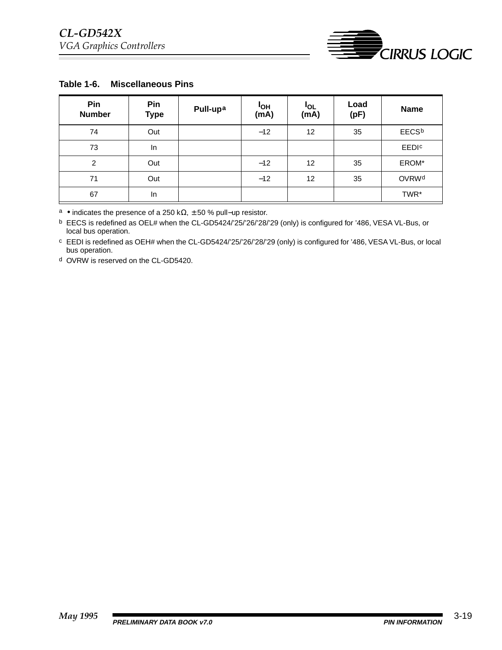

| Pin<br><b>Number</b> | Pin<br><b>Type</b> | Pull-upa | <b>I</b> OH<br>(mA) | <b>I</b> OL<br>(mA) | Load<br>(pF) | <b>Name</b>              |
|----------------------|--------------------|----------|---------------------|---------------------|--------------|--------------------------|
| 74                   | Out                |          | $-12$               | $12 \overline{ }$   | 35           | <b>EECSb</b>             |
| 73                   | In                 |          |                     |                     |              | <b>EEDI</b> <sup>c</sup> |
| $\overline{2}$       | Out                |          | $-12$               | 12                  | 35           | EROM*                    |
| 71                   | Out                |          | $-12$               | 12                  | 35           | <b>OVRWd</b>             |
| 67                   | In                 |          |                     |                     |              | TWR*                     |

#### <span id="page-18-0"></span>**Table 1-6. Miscellaneous Pins**

a • indicates the presence of a 250 kΩ,  $±$  50 % pull–up resistor.

b EECS is redefined as OEL# when the CL-GD5424/'25/'26/'28/'29 (only) is configured for '486, VESA VL-Bus, or local bus operation.

c EEDI is redefined as OEH# when the CL-GD5424/'25/'26/'28/'29 (only) is configured for '486, VESA VL-Bus, or local bus operation.

d OVRW is reserved on the CL-GD5420.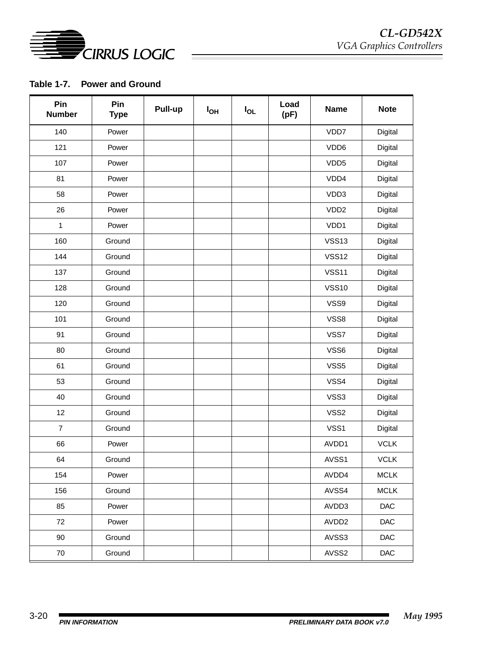<span id="page-19-0"></span>

#### **Table 1-7. Power and Ground**

| Pin<br><b>Number</b> | Pin<br><b>Type</b> | Pull-up | $I_{OH}$ | $I_{OL}$ | Load<br>(pF) | <b>Name</b>       | <b>Note</b> |
|----------------------|--------------------|---------|----------|----------|--------------|-------------------|-------------|
| 140                  | Power              |         |          |          |              | VDD7              | Digital     |
| 121                  | Power              |         |          |          |              | VDD6              | Digital     |
| 107                  | Power              |         |          |          |              | VDD5              | Digital     |
| 81                   | Power              |         |          |          |              | VDD4              | Digital     |
| 58                   | Power              |         |          |          |              | VDD3              | Digital     |
| 26                   | Power              |         |          |          |              | VDD <sub>2</sub>  | Digital     |
| 1                    | Power              |         |          |          |              | VDD1              | Digital     |
| 160                  | Ground             |         |          |          |              | <b>VSS13</b>      | Digital     |
| 144                  | Ground             |         |          |          |              | <b>VSS12</b>      | Digital     |
| 137                  | Ground             |         |          |          |              | <b>VSS11</b>      | Digital     |
| 128                  | Ground             |         |          |          |              | <b>VSS10</b>      | Digital     |
| 120                  | Ground             |         |          |          |              | VSS9              | Digital     |
| 101                  | Ground             |         |          |          |              | VSS8              | Digital     |
| 91                   | Ground             |         |          |          |              | VSS7              | Digital     |
| 80                   | Ground             |         |          |          |              | VSS6              | Digital     |
| 61                   | Ground             |         |          |          |              | VSS5              | Digital     |
| 53                   | Ground             |         |          |          |              | VSS4              | Digital     |
| 40                   | Ground             |         |          |          |              | VSS3              | Digital     |
| 12                   | Ground             |         |          |          |              | VSS2              | Digital     |
| $\overline{7}$       | Ground             |         |          |          |              | VSS1              | Digital     |
| 66                   | Power              |         |          |          |              | AVDD1             | <b>VCLK</b> |
| 64                   | Ground             |         |          |          |              | AVSS1             | <b>VCLK</b> |
| 154                  | Power              |         |          |          |              | AVDD4             | <b>MCLK</b> |
| 156                  | Ground             |         |          |          |              | AVSS4             | <b>MCLK</b> |
| 85                   | Power              |         |          |          |              | AVDD3             | DAC         |
| 72                   | Power              |         |          |          |              | AVDD <sub>2</sub> | DAC         |
| 90                   | Ground             |         |          |          |              | AVSS3             | <b>DAC</b>  |
| 70                   | Ground             |         |          |          |              | AVSS2             | DAC         |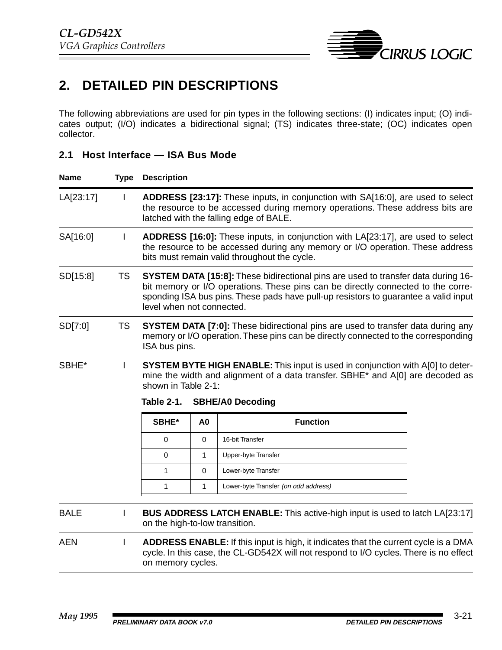

# **2. DETAILED PIN DESCRIPTIONS**

The following abbreviations are used for pin types in the following sections: (I) indicates input; (O) indicates output; (I/O) indicates a bidirectional signal; (TS) indicates three-state; (OC) indicates open collector.

### **2.1 Host Interface — ISA Bus Mode**

| <b>Name</b> | <b>Type</b>    | <b>Description</b>                |                                                                                                                                                                                                          |                                                                                                                                                                                                                                                              |  |  |  |  |
|-------------|----------------|-----------------------------------|----------------------------------------------------------------------------------------------------------------------------------------------------------------------------------------------------------|--------------------------------------------------------------------------------------------------------------------------------------------------------------------------------------------------------------------------------------------------------------|--|--|--|--|
| LA[23:17]   | T              |                                   |                                                                                                                                                                                                          | ADDRESS [23:17]: These inputs, in conjunction with SA[16:0], are used to select<br>the resource to be accessed during memory operations. These address bits are<br>latched with the falling edge of BALE.                                                    |  |  |  |  |
| SA[16:0]    | I              |                                   |                                                                                                                                                                                                          | ADDRESS [16:0]: These inputs, in conjunction with LA[23:17], are used to select<br>the resource to be accessed during any memory or I/O operation. These address<br>bits must remain valid throughout the cycle.                                             |  |  |  |  |
| SD[15:8]    | <b>TS</b>      | level when not connected.         |                                                                                                                                                                                                          | SYSTEM DATA [15:8]: These bidirectional pins are used to transfer data during 16-<br>bit memory or I/O operations. These pins can be directly connected to the corre-<br>sponding ISA bus pins. These pads have pull-up resistors to guarantee a valid input |  |  |  |  |
| SD[7:0]     | TS             |                                   | <b>SYSTEM DATA [7:0]:</b> These bidirectional pins are used to transfer data during any<br>memory or I/O operation. These pins can be directly connected to the corresponding<br>ISA bus pins.           |                                                                                                                                                                                                                                                              |  |  |  |  |
| SBHE*       | I              | shown in Table 2-1:<br>Table 2-1. |                                                                                                                                                                                                          | <b>SYSTEM BYTE HIGH ENABLE:</b> This input is used in conjunction with A[0] to deter-<br>mine the width and alignment of a data transfer. SBHE* and A[0] are decoded as<br><b>SBHE/A0 Decoding</b>                                                           |  |  |  |  |
|             |                | SBHE*                             | A0                                                                                                                                                                                                       | <b>Function</b>                                                                                                                                                                                                                                              |  |  |  |  |
|             |                | $\pmb{0}$                         | 0                                                                                                                                                                                                        | 16-bit Transfer                                                                                                                                                                                                                                              |  |  |  |  |
|             |                | 0                                 | $\mathbf{1}$                                                                                                                                                                                             | Upper-byte Transfer                                                                                                                                                                                                                                          |  |  |  |  |
|             |                | 1                                 | 0                                                                                                                                                                                                        | Lower-byte Transfer                                                                                                                                                                                                                                          |  |  |  |  |
|             |                | $\mathbf{1}$                      | $\mathbf{1}$                                                                                                                                                                                             | Lower-byte Transfer (on odd address)                                                                                                                                                                                                                         |  |  |  |  |
| <b>BALE</b> | $\overline{1}$ | on the high-to-low transition.    |                                                                                                                                                                                                          | <b>BUS ADDRESS LATCH ENABLE:</b> This active-high input is used to latch LA[23:17]                                                                                                                                                                           |  |  |  |  |
| <b>AEN</b>  | I              |                                   | <b>ADDRESS ENABLE:</b> If this input is high, it indicates that the current cycle is a DMA<br>cycle. In this case, the CL-GD542X will not respond to I/O cycles. There is no effect<br>on memory cycles. |                                                                                                                                                                                                                                                              |  |  |  |  |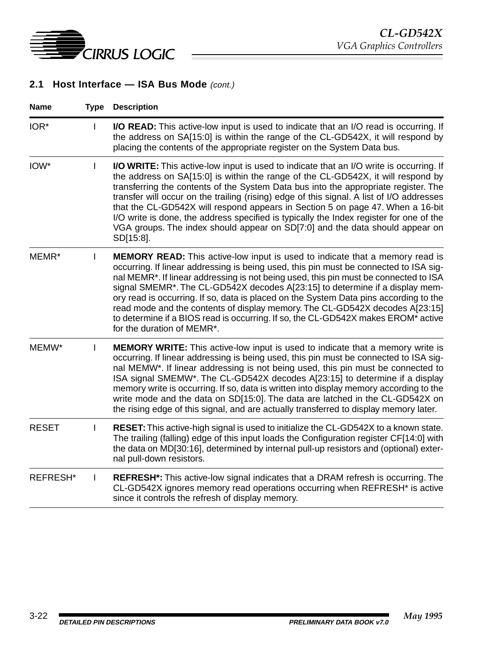

# 2.1 Host Interface - ISA Bus Mode (cont.)

| <b>Name</b>     | <b>Type</b> | <b>Description</b>                                                                                                                                                                                                                                                                                                                                                                                                                                                                                                                                                                                                                               |
|-----------------|-------------|--------------------------------------------------------------------------------------------------------------------------------------------------------------------------------------------------------------------------------------------------------------------------------------------------------------------------------------------------------------------------------------------------------------------------------------------------------------------------------------------------------------------------------------------------------------------------------------------------------------------------------------------------|
| IOR*            | L           | I/O READ: This active-low input is used to indicate that an I/O read is occurring. If<br>the address on SA[15:0] is within the range of the CL-GD542X, it will respond by<br>placing the contents of the appropriate register on the System Data bus.                                                                                                                                                                                                                                                                                                                                                                                            |
| IOW*            | L           | I/O WRITE: This active-low input is used to indicate that an I/O write is occurring. If<br>the address on SA[15:0] is within the range of the CL-GD542X, it will respond by<br>transferring the contents of the System Data bus into the appropriate register. The<br>transfer will occur on the trailing (rising) edge of this signal. A list of I/O addresses<br>that the CL-GD542X will respond appears in Section 5 on page 47. When a 16-bit<br>I/O write is done, the address specified is typically the Index register for one of the<br>VGA groups. The index should appear on SD[7:0] and the data should appear on<br>SD[15:8].        |
| MEMR*           | L           | <b>MEMORY READ:</b> This active-low input is used to indicate that a memory read is<br>occurring. If linear addressing is being used, this pin must be connected to ISA sig-<br>nal MEMR*. If linear addressing is not being used, this pin must be connected to ISA<br>signal SMEMR*. The CL-GD542X decodes A[23:15] to determine if a display mem-<br>ory read is occurring. If so, data is placed on the System Data pins according to the<br>read mode and the contents of display memory. The CL-GD542X decodes A[23:15]<br>to determine if a BIOS read is occurring. If so, the CL-GD542X makes EROM* active<br>for the duration of MEMR*. |
| MEMW*           | I           | <b>MEMORY WRITE:</b> This active-low input is used to indicate that a memory write is<br>occurring. If linear addressing is being used, this pin must be connected to ISA sig-<br>nal MEMW*. If linear addressing is not being used, this pin must be connected to<br>ISA signal SMEMW*. The CL-GD542X decodes A[23:15] to determine if a display<br>memory write is occurring. If so, data is written into display memory according to the<br>write mode and the data on SD[15:0]. The data are latched in the CL-GD542X on<br>the rising edge of this signal, and are actually transferred to display memory later.                            |
| <b>RESET</b>    | L           | <b>RESET:</b> This active-high signal is used to initialize the CL-GD542X to a known state.<br>The trailing (falling) edge of this input loads the Configuration register CF[14:0] with<br>the data on MD[30:16], determined by internal pull-up resistors and (optional) exter-<br>nal pull-down resistors.                                                                                                                                                                                                                                                                                                                                     |
| <b>REFRESH*</b> | L           | <b>REFRESH*:</b> This active-low signal indicates that a DRAM refresh is occurring. The<br>CL-GD542X ignores memory read operations occurring when REFRESH* is active<br>since it controls the refresh of display memory.                                                                                                                                                                                                                                                                                                                                                                                                                        |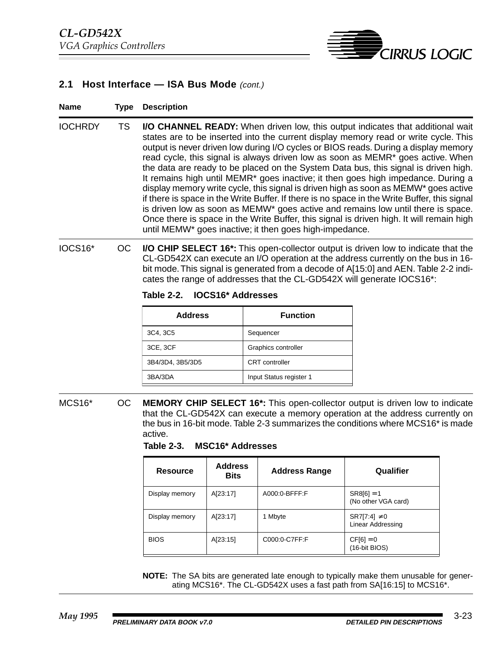

### **2.1 Host Interface — ISA Bus Mode** (cont.)

- **Name Type Description**
- IOCHRDY TS **I/O CHANNEL READY:** When driven low, this output indicates that additional wait states are to be inserted into the current display memory read or write cycle. This output is never driven low during I/O cycles or BIOS reads. During a display memory read cycle, this signal is always driven low as soon as MEMR\* goes active. When the data are ready to be placed on the System Data bus, this signal is driven high. It remains high until MEMR\* goes inactive; it then goes high impedance. During a display memory write cycle, this signal is driven high as soon as MEMW\* goes active if there is space in the Write Buffer. If there is no space in the Write Buffer, this signal is driven low as soon as MEMW\* goes active and remains low until there is space. Once there is space in the Write Buffer, this signal is driven high. It will remain high until MEMW\* goes inactive; it then goes high-impedance.

IOCS16\* OC **I/O CHIP SELECT 16\*:** This open-collector output is driven low to indicate that the CL-GD542X can execute an I/O operation at the address currently on the bus in 16 bit mode. This signal is generated from a decode of A[15:0] and AEN. Table 2-2 indicates the range of addresses that the CL-GD542X will generate IOCS16\*:

| Address          | <b>Function</b>         |
|------------------|-------------------------|
| 3C4, 3C5         | Sequencer               |
| 3CE, 3CF         | Graphics controller     |
| 3B4/3D4, 3B5/3D5 | <b>CRT</b> controller   |
| 3BA/3DA          | Input Status register 1 |

MCS16\* OC **MEMORY CHIP SELECT 16\*:** This open-collector output is driven low to indicate that the CL-GD542X can execute a memory operation at the address currently on the bus in 16-bit mode. Table 2-3 summarizes the conditions where MCS16\* is made active.

**Table 2-3. MSC16\* Addresses**

| <b>Resource</b> | <b>Address</b><br><b>Bits</b> | <b>Address Range</b> | Qualifier                              |
|-----------------|-------------------------------|----------------------|----------------------------------------|
| Display memory  | A[23:17]                      | A000:0-BFFF:F        | $SR8[6] = 1$<br>(No other VGA card)    |
| Display memory  | A[23:17]                      | 1 Mbyte              | $SRT[7:4] \neq 0$<br>Linear Addressing |
| <b>BIOS</b>     | A[23:15]                      | C000:0-C7FF:F        | $CF[6] = 0$<br>(16-bit BIOS)           |

**NOTE:** The SA bits are generated late enough to typically make them unusable for generating MCS16\*. The CL-GD542X uses a fast path from SA[16:15] to MCS16\*.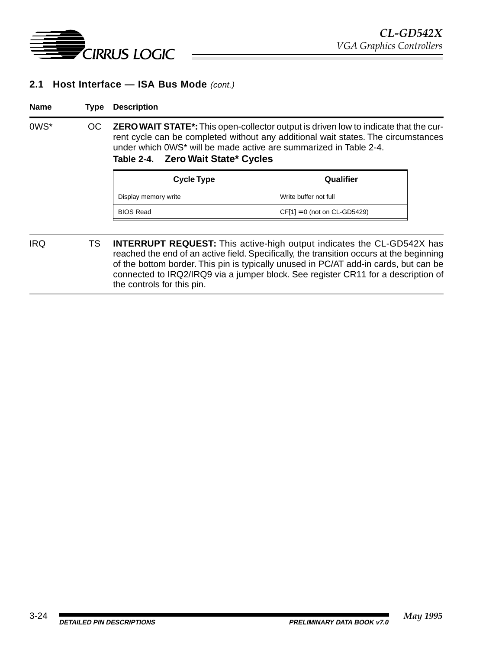

### **2.1 Host Interface — ISA Bus Mode** (cont.)

- **Name Type Description**
- 0WS\* OC **ZERO WAIT STATE\*:** This open-collector output is driven low to indicate that the current cycle can be completed without any additional wait states. The circumstances under which 0WS\* will be made active are summarized in Table 2-4.

#### **Table 2-4. Zero Wait State\* Cycles**

| <b>Cycle Type</b>    | Qualifier                         |
|----------------------|-----------------------------------|
| Display memory write | Write buffer not full             |
| <b>BIOS Read</b>     | $CF[1] = 0$ (not on $CL-GD5429$ ) |

#### IRQ TS **INTERRUPT REQUEST:** This active-high output indicates the CL-GD542X has reached the end of an active field. Specifically, the transition occurs at the beginning of the bottom border. This pin is typically unused in PC/AT add-in cards, but can be connected to IRQ2/IRQ9 via a jumper block. See register CR11 for a description of the controls for this pin.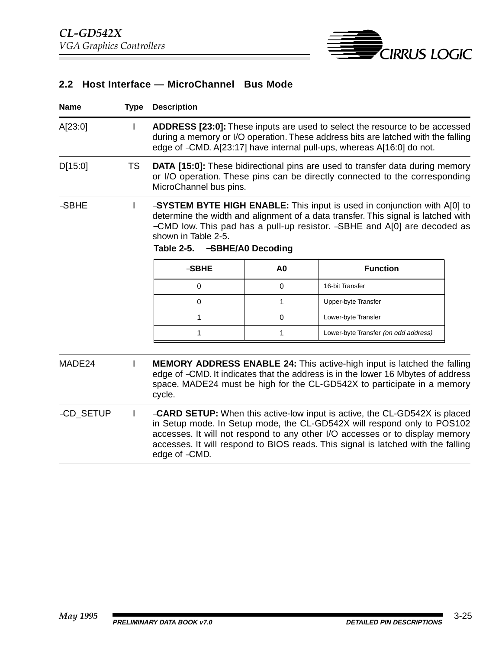

# **2.2 Host Interface — MicroChannel Bus Mode**

| <b>Name</b>         | <b>Type</b> | <b>Description</b>                                                                                                                                                                                                                                                                                                                         |                |                                                                                                                                                                                                                                           |  |
|---------------------|-------------|--------------------------------------------------------------------------------------------------------------------------------------------------------------------------------------------------------------------------------------------------------------------------------------------------------------------------------------------|----------------|-------------------------------------------------------------------------------------------------------------------------------------------------------------------------------------------------------------------------------------------|--|
| A[23:0]             |             | ADDRESS [23:0]: These inputs are used to select the resource to be accessed<br>during a memory or I/O operation. These address bits are latched with the falling<br>edge of -CMD. A[23:17] have internal pull-ups, whereas A[16:0] do not.                                                                                                 |                |                                                                                                                                                                                                                                           |  |
| D[15:0]             | TS          | <b>DATA</b> [15:0]: These bidirectional pins are used to transfer data during memory<br>or I/O operation. These pins can be directly connected to the corresponding<br>MicroChannel bus pins.                                                                                                                                              |                |                                                                                                                                                                                                                                           |  |
| -SBHE               |             | shown in Table 2-5.<br>Table 2-5. -SBHE/A0 Decoding                                                                                                                                                                                                                                                                                        |                | -SYSTEM BYTE HIGH ENABLE: This input is used in conjunction with A[0] to<br>determine the width and alignment of a data transfer. This signal is latched with<br>-CMD low. This pad has a pull-up resistor. -SBHE and A[0] are decoded as |  |
|                     |             | $-SBHE$                                                                                                                                                                                                                                                                                                                                    | A <sub>0</sub> | <b>Function</b>                                                                                                                                                                                                                           |  |
|                     |             | $\mathbf 0$                                                                                                                                                                                                                                                                                                                                | $\Omega$       | 16-bit Transfer                                                                                                                                                                                                                           |  |
|                     |             | $\mathbf 0$                                                                                                                                                                                                                                                                                                                                | 1              | Upper-byte Transfer                                                                                                                                                                                                                       |  |
|                     |             | $\mathbf{1}$                                                                                                                                                                                                                                                                                                                               | 0              | Lower-byte Transfer                                                                                                                                                                                                                       |  |
|                     |             | 1                                                                                                                                                                                                                                                                                                                                          | 1              | Lower-byte Transfer (on odd address)                                                                                                                                                                                                      |  |
| MADE24<br>-CD_SETUP | I           | <b>MEMORY ADDRESS ENABLE 24:</b> This active-high input is latched the falling<br>edge of -CMD. It indicates that the address is in the lower 16 Mbytes of address<br>space. MADE24 must be high for the CL-GD542X to participate in a memory<br>cycle.                                                                                    |                |                                                                                                                                                                                                                                           |  |
|                     | I           | -CARD SETUP: When this active-low input is active, the CL-GD542X is placed<br>in Setup mode. In Setup mode, the CL-GD542X will respond only to POS102<br>accesses. It will not respond to any other I/O accesses or to display memory<br>accesses. It will respond to BIOS reads. This signal is latched with the falling<br>edge of -CMD. |                |                                                                                                                                                                                                                                           |  |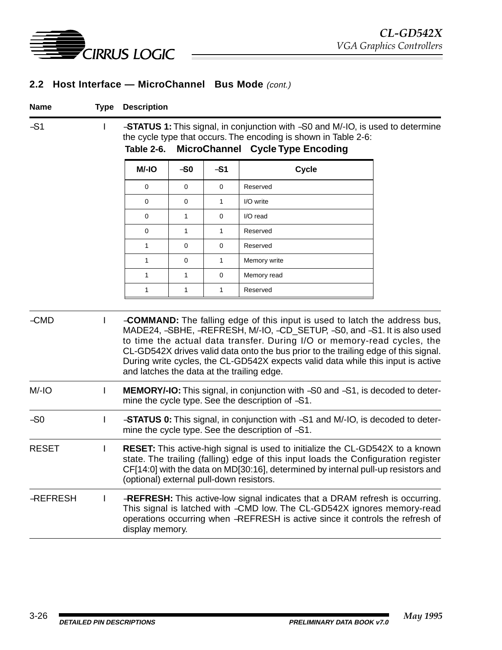



# 2.2 Host Interface — MicroChannel<sup>®</sup> Bus Mode (cont.)

| $-S1$        |                                          |       |       |                                                                                                                                                                                                                                                                                                  |  |
|--------------|------------------------------------------|-------|-------|--------------------------------------------------------------------------------------------------------------------------------------------------------------------------------------------------------------------------------------------------------------------------------------------------|--|
|              | Table 2-6.                               |       |       | -STATUS 1: This signal, in conjunction with -S0 and M/-IO, is used to determine<br>the cycle type that occurs. The encoding is shown in Table 2-6:<br>MicroChannel <sup>®</sup> Cycle Type Encoding                                                                                              |  |
|              | M/-IO                                    | $-S0$ | $-S1$ | <b>Cycle</b>                                                                                                                                                                                                                                                                                     |  |
|              | 0                                        | 0     | 0     | Reserved                                                                                                                                                                                                                                                                                         |  |
|              | 0                                        | 0     | 1     | I/O write                                                                                                                                                                                                                                                                                        |  |
|              | 0                                        | 1     | 0     | I/O read                                                                                                                                                                                                                                                                                         |  |
|              | 0                                        | 1     | 1     | Reserved                                                                                                                                                                                                                                                                                         |  |
|              | 1                                        | 0     | 0     | Reserved                                                                                                                                                                                                                                                                                         |  |
|              | 1                                        | 0     | 1     | Memory write                                                                                                                                                                                                                                                                                     |  |
|              | 1                                        | 1     | 0     | Memory read                                                                                                                                                                                                                                                                                      |  |
|              | 1                                        | 1     | 1     | Reserved                                                                                                                                                                                                                                                                                         |  |
|              |                                          |       |       | to time the actual data transfer. During I/O or memory-read cycles, the<br>CL-GD542X drives valid data onto the bus prior to the trailing edge of this signal.<br>During write cycles, the CL-GD542X expects valid data while this input is active<br>and latches the data at the trailing edge. |  |
| $M/-IO$      |                                          |       |       | <b>MEMORY/-IO:</b> This signal, in conjunction with -S0 and -S1, is decoded to deter-<br>mine the cycle type. See the description of -S1.                                                                                                                                                        |  |
| $-S0$        |                                          |       |       | -STATUS 0: This signal, in conjunction with -S1 and M/-IO, is decoded to deter-<br>mine the cycle type. See the description of -S1.                                                                                                                                                              |  |
| <b>RESET</b> | (optional) external pull-down resistors. |       |       | <b>RESET:</b> This active-high signal is used to initialize the CL-GD542X to a known<br>state. The trailing (falling) edge of this input loads the Configuration register<br>CF[14:0] with the data on MD[30:16], determined by internal pull-up resistors and                                   |  |
| -REFRESH     | display memory.                          |       |       | -REFRESH: This active-low signal indicates that a DRAM refresh is occurring.<br>This signal is latched with -CMD low. The CL-GD542X ignores memory-read<br>operations occurring when -REFRESH is active since it controls the refresh of                                                         |  |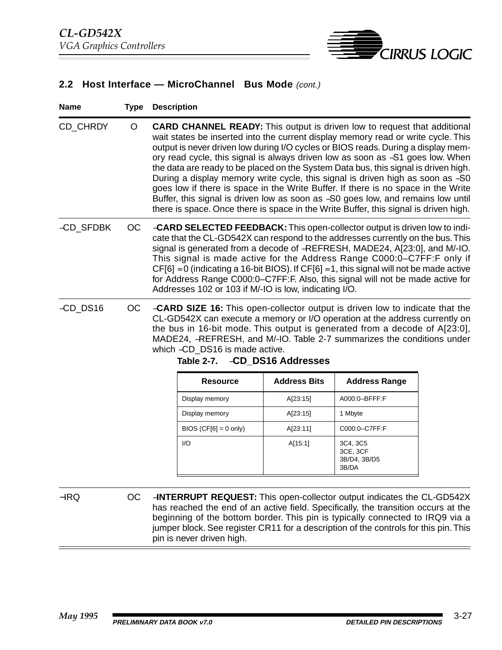

### **2.2 Host Interface — MicroChannel<sup>®</sup> Bus Mode** (cont.)

**Name Type Description**

CD\_CHRDY O **CARD CHANNEL READY:** This output is driven low to request that additional wait states be inserted into the current display memory read or write cycle. This output is never driven low during I/O cycles or BIOS reads. During a display memory read cycle, this signal is always driven low as soon as −S1 goes low. When the data are ready to be placed on the System Data bus, this signal is driven high. During a display memory write cycle, this signal is driven high as soon as −S0 goes low if there is space in the Write Buffer. If there is no space in the Write Buffer, this signal is driven low as soon as -S0 goes low, and remains low until there is space. Once there is space in the Write Buffer, this signal is driven high.

−CD\_SFDBK OC −**CARD SELECTED FEEDBACK:** This open-collector output is driven low to indicate that the CL-GD542X can respond to the addresses currently on the bus. This signal is generated from a decode of −REFRESH, MADE24, A[23:0], and M/-IO. This signal is made active for the Address Range C000:0–C7FF:F only if  $CF[6] = 0$  (indicating a 16-bit BIOS). If  $CF[6] = 1$ , this signal will not be made active for Address Range C000:0–C7FF:F. Also, this signal will not be made active for Addresses 102 or 103 if M/-IO is low, indicating I/O.

−CD\_DS16 OC −**CARD SIZE 16:** This open-collector output is driven low to indicate that the CL-GD542X can execute a memory or I/O operation at the address currently on the bus in 16-bit mode. This output is generated from a decode of A[23:0], MADE24, −REFRESH, and M/-IO. Table 2-7 summarizes the conditions under which –CD DS16 is made active.

| Resource                | <b>Address Bits</b> | <b>Address Range</b>                          |
|-------------------------|---------------------|-----------------------------------------------|
| Display memory          | A[23:15]            | A000:0-BFFF:F                                 |
| Display memory          | A[23:15]            | 1 Mbyte                                       |
| $BIOS (CF[6] = 0 only)$ | A[23:11]            | C000:0-C7FF:F                                 |
| 1/O                     | A[15:1]             | 3C4, 3C5<br>3CE, 3CF<br>3B/D4, 3B/D5<br>3B/DA |

### **Table 2-7.** −**CD\_DS16 Addresses**

−IRQ OC −**INTERRUPT REQUEST:** This open-collector output indicates the CL-GD542X has reached the end of an active field. Specifically, the transition occurs at the beginning of the bottom border. This pin is typically connected to IRQ9 via a jumper block. See register CR11 for a description of the controls for this pin. This pin is never driven high.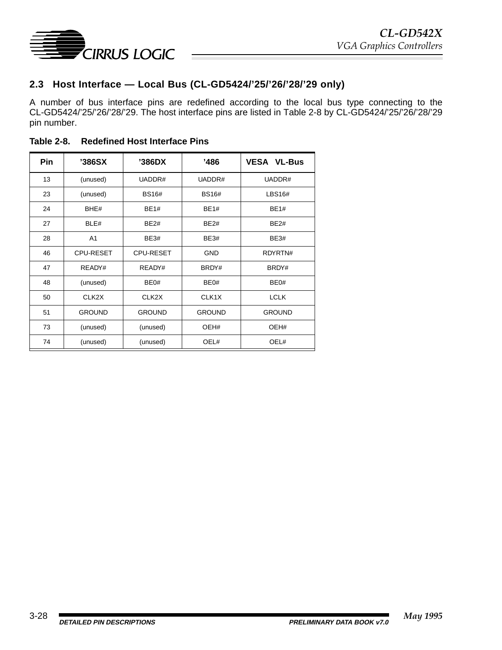<span id="page-27-0"></span>

### **2.3 Host Interface — Local Bus (CL-GD5424/'25/'26/'28/'29 only)**

A number of bus interface pins are redefined according to the local bus type connecting to the CL-GD5424/'25/'26/'28/'29. The host interface pins are listed in Table 2-8 by CL-GD5424/'25/'26/'28/'29 pin number.

| Pin | '386SX             | '386DX             | '486          | <b>VESA<sup>®</sup> VL-Bus</b> ™ |
|-----|--------------------|--------------------|---------------|----------------------------------|
| 13  | (unused)           | UADDR#             | UADDR#        | UADDR#                           |
| 23  | (unused)           | <b>BS16#</b>       | <b>BS16#</b>  | LBS16#                           |
| 24  | BHE#               | <b>BE1#</b>        | <b>BE1#</b>   | <b>BE1#</b>                      |
| 27  | BLE#               | <b>BE2#</b>        | <b>BE2#</b>   | <b>BE2#</b>                      |
| 28  | A <sub>1</sub>     | <b>BE3#</b>        | <b>BE3#</b>   | <b>BE3#</b>                      |
| 46  | <b>CPU-RESET</b>   | <b>CPU-RESET</b>   | <b>GND</b>    | RDYRTN#                          |
| 47  | READY#             | READY#             | BRDY#         | BRDY#                            |
| 48  | (unused)           | BE0#               | BE0#          | BE0#                             |
| 50  | CLK <sub>2</sub> X | CLK <sub>2</sub> X | CLK1X         | <b>LCLK</b>                      |
| 51  | <b>GROUND</b>      | <b>GROUND</b>      | <b>GROUND</b> | <b>GROUND</b>                    |
| 73  | (unused)           | (unused)           | OEH#          | OEH#                             |
| 74  | (unused)           | (unused)           | OEL#          | OEL#                             |

**Table 2-8. Redefined Host Interface Pins**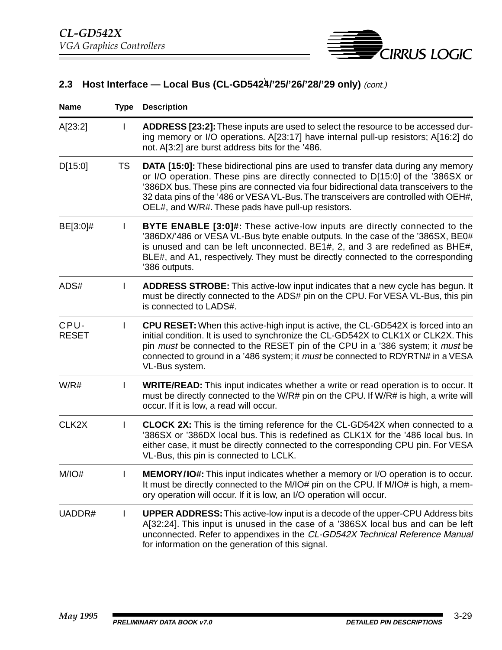

# \ **[2.3 Host Interface — Local Bus \(CL-GD5424/'25/'26/'28/'29 only\)](#page-27-0)** (cont.)

| <b>Name</b>          | <b>Type</b> | <b>Description</b>                                                                                                                                                                                                                                                                                                                                                                                               |
|----------------------|-------------|------------------------------------------------------------------------------------------------------------------------------------------------------------------------------------------------------------------------------------------------------------------------------------------------------------------------------------------------------------------------------------------------------------------|
| A[23:2]              |             | <b>ADDRESS</b> [23:2]: These inputs are used to select the resource to be accessed dur-<br>ing memory or I/O operations. A[23:17] have internal pull-up resistors; A[16:2] do<br>not. A[3:2] are burst address bits for the '486.                                                                                                                                                                                |
| D[15:0]              | TS          | <b>DATA [15:0]:</b> These bidirectional pins are used to transfer data during any memory<br>or I/O operation. These pins are directly connected to D[15:0] of the '386SX or<br>'386DX bus. These pins are connected via four bidirectional data transceivers to the<br>32 data pins of the '486 or VESA VL-Bus. The transceivers are controlled with OEH#,<br>OEL#, and W/R#. These pads have pull-up resistors. |
| BE[3:0]#             |             | <b>BYTE ENABLE [3:0]#:</b> These active-low inputs are directly connected to the<br>'386DX/'486 or VESA VL-Bus byte enable outputs. In the case of the '386SX, BE0#<br>is unused and can be left unconnected. BE1#, 2, and 3 are redefined as BHE#,<br>BLE#, and A1, respectively. They must be directly connected to the corresponding<br>'386 outputs.                                                         |
| ADS#                 |             | ADDRESS STROBE: This active-low input indicates that a new cycle has begun. It<br>must be directly connected to the ADS# pin on the CPU. For VESA VL-Bus, this pin<br>is connected to LADS#.                                                                                                                                                                                                                     |
| CPU-<br><b>RESET</b> |             | <b>CPU RESET:</b> When this active-high input is active, the CL-GD542X is forced into an<br>initial condition. It is used to synchronize the CL-GD542X to CLK1X or CLK2X. This<br>pin <i>must</i> be connected to the RESET pin of the CPU in a '386 system; it <i>must</i> be<br>connected to ground in a '486 system; it <i>must</i> be connected to RDYRTN# in a VESA<br>VL-Bus system.                       |
| W/R#                 |             | <b>WRITE/READ:</b> This input indicates whether a write or read operation is to occur. It<br>must be directly connected to the W/R# pin on the CPU. If W/R# is high, a write will<br>occur. If it is low, a read will occur.                                                                                                                                                                                     |
| CLK2X                |             | <b>CLOCK 2X:</b> This is the timing reference for the CL-GD542X when connected to a<br>'386SX or '386DX local bus. This is redefined as CLK1X for the '486 local bus. In<br>either case, it must be directly connected to the corresponding CPU pin. For VESA<br>VL-Bus, this pin is connected to LCLK.                                                                                                          |
| M/IO#                |             | <b>MEMORY/IO#:</b> This input indicates whether a memory or I/O operation is to occur.<br>It must be directly connected to the M/IO# pin on the CPU. If M/IO# is high, a mem-<br>ory operation will occur. If it is low, an I/O operation will occur.                                                                                                                                                            |
| UADDR#               |             | <b>UPPER ADDRESS:</b> This active-low input is a decode of the upper-CPU Address bits<br>A[32:24]. This input is unused in the case of a '386SX local bus and can be left<br>unconnected. Refer to appendixes in the CL-GD542X Technical Reference Manual<br>for information on the generation of this signal.                                                                                                   |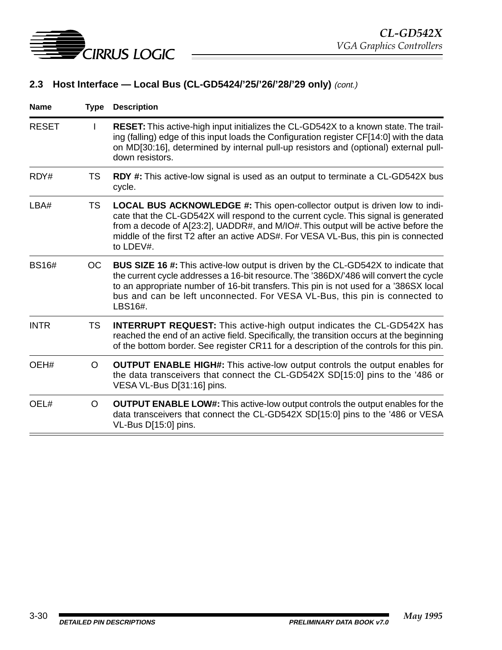

### **2.3 Host Interface — Local Bus (CL-GD5424/'25/'26/'28/'29 only)** (cont.)

| <b>Name</b>  | <b>Type</b> | <b>Description</b>                                                                                                                                                                                                                                                                                                                                                  |
|--------------|-------------|---------------------------------------------------------------------------------------------------------------------------------------------------------------------------------------------------------------------------------------------------------------------------------------------------------------------------------------------------------------------|
| <b>RESET</b> |             | RESET: This active-high input initializes the CL-GD542X to a known state. The trail-<br>ing (falling) edge of this input loads the Configuration register CF[14:0] with the data<br>on MD[30:16], determined by internal pull-up resistors and (optional) external pull-<br>down resistors.                                                                         |
| RDY#         | TS          | <b>RDY #:</b> This active-low signal is used as an output to terminate a CL-GD542X bus<br>cycle.                                                                                                                                                                                                                                                                    |
| LBA#         | <b>TS</b>   | <b>LOCAL BUS ACKNOWLEDGE #:</b> This open-collector output is driven low to indi-<br>cate that the CL-GD542X will respond to the current cycle. This signal is generated<br>from a decode of A[23:2], UADDR#, and M/IO#. This output will be active before the<br>middle of the first T2 after an active ADS#. For VESA VL-Bus, this pin is connected<br>to LDEV#.  |
| <b>BS16#</b> | OC          | <b>BUS SIZE 16 #:</b> This active-low output is driven by the CL-GD542X to indicate that<br>the current cycle addresses a 16-bit resource. The '386DX/'486 will convert the cycle<br>to an appropriate number of 16-bit transfers. This pin is not used for a '386SX local<br>bus and can be left unconnected. For VESA VL-Bus, this pin is connected to<br>LBS16#. |
| <b>INTR</b>  | TS          | <b>INTERRUPT REQUEST:</b> This active-high output indicates the CL-GD542X has<br>reached the end of an active field. Specifically, the transition occurs at the beginning<br>of the bottom border. See register CR11 for a description of the controls for this pin.                                                                                                |
| OEH#         | O           | <b>OUTPUT ENABLE HIGH#:</b> This active-low output controls the output enables for<br>the data transceivers that connect the CL-GD542X SD[15:0] pins to the '486 or<br>VESA VL-Bus D[31:16] pins.                                                                                                                                                                   |
| OEL#         | O           | <b>OUTPUT ENABLE LOW#:</b> This active-low output controls the output enables for the<br>data transceivers that connect the CL-GD542X SD[15:0] pins to the '486 or VESA<br>VL-Bus D[15:0] pins.                                                                                                                                                                     |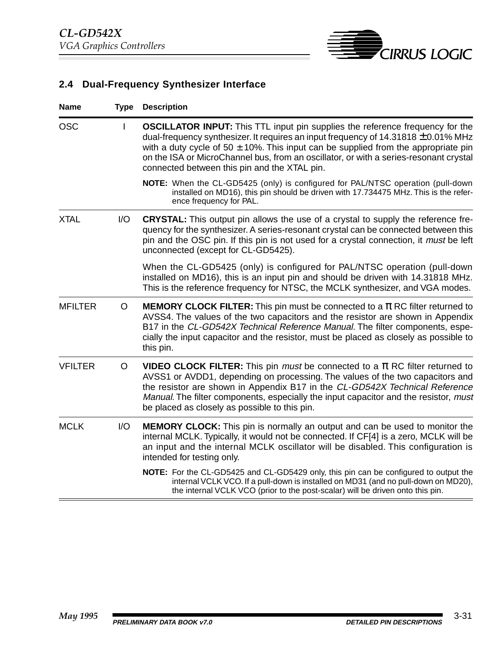

# **2.4 Dual-Frequency Synthesizer Interface**

| <b>Name</b>    | <b>Type</b> | <b>Description</b>                                                                                                                                                                                                                                                                                                                                                                                                   |
|----------------|-------------|----------------------------------------------------------------------------------------------------------------------------------------------------------------------------------------------------------------------------------------------------------------------------------------------------------------------------------------------------------------------------------------------------------------------|
| <b>OSC</b>     | I.          | <b>OSCILLATOR INPUT:</b> This TTL input pin supplies the reference frequency for the<br>dual-frequency synthesizer. It requires an input frequency of $14.31818 \pm 0.01\%$ MHz<br>with a duty cycle of $50 \pm 10\%$ . This input can be supplied from the appropriate pin<br>on the ISA or MicroChannel bus, from an oscillator, or with a series-resonant crystal<br>connected between this pin and the XTAL pin. |
|                |             | NOTE: When the CL-GD5425 (only) is configured for PAL/NTSC operation (pull-down<br>installed on MD16), this pin should be driven with 17.734475 MHz. This is the refer-<br>ence frequency for PAL.                                                                                                                                                                                                                   |
| <b>XTAL</b>    | I/O         | <b>CRYSTAL:</b> This output pin allows the use of a crystal to supply the reference fre-<br>quency for the synthesizer. A series-resonant crystal can be connected between this<br>pin and the OSC pin. If this pin is not used for a crystal connection, it must be left<br>unconnected (except for CL-GD5425).                                                                                                     |
|                |             | When the CL-GD5425 (only) is configured for PAL/NTSC operation (pull-down<br>installed on MD16), this is an input pin and should be driven with 14.31818 MHz.<br>This is the reference frequency for NTSC, the MCLK synthesizer, and VGA modes.                                                                                                                                                                      |
| <b>MFILTER</b> | O           | <b>MEMORY CLOCK FILTER:</b> This pin must be connected to a $\pi$ RC filter returned to<br>AVSS4. The values of the two capacitors and the resistor are shown in Appendix<br>B17 in the CL-GD542X Technical Reference Manual. The filter components, espe-<br>cially the input capacitor and the resistor, must be placed as closely as possible to<br>this pin.                                                     |
| <b>VFILTER</b> | O           | <b>VIDEO CLOCK FILTER:</b> This pin <i>must</i> be connected to a $\pi$ RC filter returned to<br>AVSS1 or AVDD1, depending on processing. The values of the two capacitors and<br>the resistor are shown in Appendix B17 in the CL-GD542X Technical Reference<br>Manual. The filter components, especially the input capacitor and the resistor, must<br>be placed as closely as possible to this pin.               |
| <b>MCLK</b>    | I/O         | MEMORY CLOCK: This pin is normally an output and can be used to monitor the<br>internal MCLK. Typically, it would not be connected. If CF[4] is a zero, MCLK will be<br>an input and the internal MCLK oscillator will be disabled. This configuration is<br>intended for testing only.                                                                                                                              |
|                |             | NOTE: For the CL-GD5425 and CL-GD5429 only, this pin can be configured to output the<br>internal VCLK VCO. If a pull-down is installed on MD31 (and no pull-down on MD20),<br>the internal VCLK VCO (prior to the post-scalar) will be driven onto this pin.                                                                                                                                                         |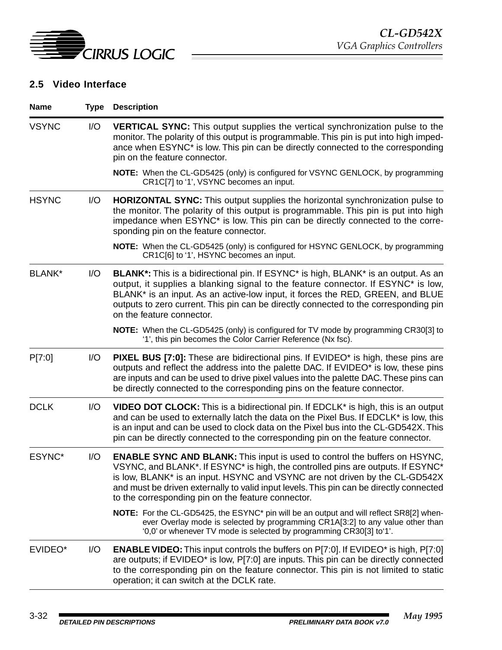

# **2.5 Video Interface**

| <b>Name</b>   | <b>Type</b> | <b>Description</b>                                                                                                                                                                                                                                                                                                                                                                                            |
|---------------|-------------|---------------------------------------------------------------------------------------------------------------------------------------------------------------------------------------------------------------------------------------------------------------------------------------------------------------------------------------------------------------------------------------------------------------|
| <b>VSYNC</b>  | I/O         | <b>VERTICAL SYNC:</b> This output supplies the vertical synchronization pulse to the<br>monitor. The polarity of this output is programmable. This pin is put into high imped-<br>ance when ESYNC* is low. This pin can be directly connected to the corresponding<br>pin on the feature connector.                                                                                                           |
|               |             | NOTE: When the CL-GD5425 (only) is configured for VSYNC GENLOCK, by programming<br>CR1C[7] to '1', VSYNC becomes an input.                                                                                                                                                                                                                                                                                    |
| <b>HSYNC</b>  | I/O         | <b>HORIZONTAL SYNC:</b> This output supplies the horizontal synchronization pulse to<br>the monitor. The polarity of this output is programmable. This pin is put into high<br>impedance when ESYNC* is low. This pin can be directly connected to the corre-<br>sponding pin on the feature connector.                                                                                                       |
|               |             | NOTE: When the CL-GD5425 (only) is configured for HSYNC GENLOCK, by programming<br>CR1C[6] to '1', HSYNC becomes an input.                                                                                                                                                                                                                                                                                    |
| <b>BLANK*</b> | I/O         | <b>BLANK*:</b> This is a bidirectional pin. If ESYNC* is high, BLANK* is an output. As an<br>output, it supplies a blanking signal to the feature connector. If ESYNC <sup>*</sup> is low,<br>BLANK <sup>*</sup> is an input. As an active-low input, it forces the RED, GREEN, and BLUE<br>outputs to zero current. This pin can be directly connected to the corresponding pin<br>on the feature connector. |
|               |             | <b>NOTE:</b> When the CL-GD5425 (only) is configured for TV mode by programming CR30[3] to<br>'1', this pin becomes the Color Carrier Reference (Nx fsc).                                                                                                                                                                                                                                                     |
| P[7:0]        | I/O         | <b>PIXEL BUS [7:0]:</b> These are bidirectional pins. If EVIDEO <sup>*</sup> is high, these pins are<br>outputs and reflect the address into the palette DAC. If EVIDEO* is low, these pins<br>are inputs and can be used to drive pixel values into the palette DAC. These pins can<br>be directly connected to the corresponding pins on the feature connector.                                             |
| <b>DCLK</b>   | I/O         | <b>VIDEO DOT CLOCK:</b> This is a bidirectional pin. If EDCLK <sup>*</sup> is high, this is an output<br>and can be used to externally latch the data on the Pixel Bus. If EDCLK* is low, this<br>is an input and can be used to clock data on the Pixel bus into the CL-GD542X. This<br>pin can be directly connected to the corresponding pin on the feature connector.                                     |
| ESYNC*        | I/O         | <b>ENABLE SYNC AND BLANK:</b> This input is used to control the buffers on HSYNC,<br>VSYNC, and BLANK*. If ESYNC* is high, the controlled pins are outputs. If ESYNC*<br>is low, BLANK* is an input. HSYNC and VSYNC are not driven by the CL-GD542X<br>and must be driven externally to valid input levels. This pin can be directly connected<br>to the corresponding pin on the feature connector.         |
|               |             | NOTE: For the CL-GD5425, the ESYNC <sup>*</sup> pin will be an output and will reflect SR8[2] when-<br>ever Overlay mode is selected by programming CR1A[3:2] to any value other than<br>'0,0' or whenever TV mode is selected by programming CR30[3] to'1'.                                                                                                                                                  |
| EVIDEO*       | I/O         | <b>ENABLE VIDEO:</b> This input controls the buffers on P[7:0]. If EVIDEO* is high, P[7:0]<br>are outputs; if EVIDEO* is low, P[7:0] are inputs. This pin can be directly connected<br>to the corresponding pin on the feature connector. This pin is not limited to static<br>operation; it can switch at the DCLK rate.                                                                                     |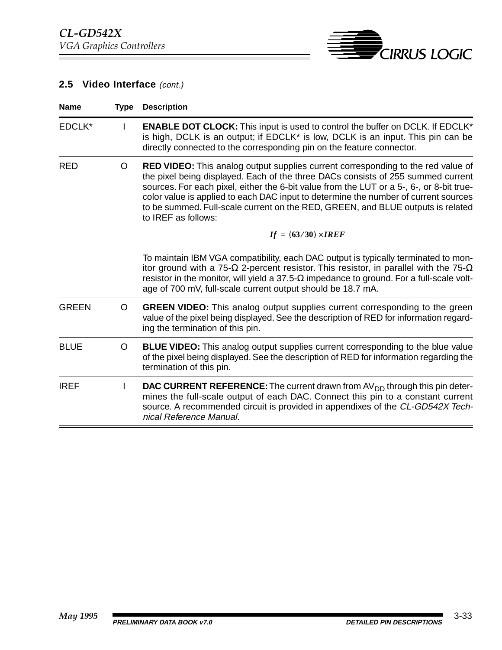

# 2.5 Video Interface (cont.)

| <b>Name</b>  | <b>Type</b> | <b>Description</b>                                                                                                                                                                                                                                                                                                                                                                                                                                                       |
|--------------|-------------|--------------------------------------------------------------------------------------------------------------------------------------------------------------------------------------------------------------------------------------------------------------------------------------------------------------------------------------------------------------------------------------------------------------------------------------------------------------------------|
| EDCLK*       |             | <b>ENABLE DOT CLOCK:</b> This input is used to control the buffer on DCLK. If EDCLK <sup>*</sup><br>is high, DCLK is an output; if EDCLK* is low, DCLK is an input. This pin can be<br>directly connected to the corresponding pin on the feature connector.                                                                                                                                                                                                             |
| <b>RED</b>   | $\circ$     | <b>RED VIDEO:</b> This analog output supplies current corresponding to the red value of<br>the pixel being displayed. Each of the three DACs consists of 255 summed current<br>sources. For each pixel, either the 6-bit value from the LUT or a 5-, 6-, or 8-bit true-<br>color value is applied to each DAC input to determine the number of current sources<br>to be summed. Full-scale current on the RED, GREEN, and BLUE outputs is related<br>to IREF as follows: |
|              |             | If = $(63/30) \times IREF$                                                                                                                                                                                                                                                                                                                                                                                                                                               |
|              |             | To maintain IBM VGA compatibility, each DAC output is typically terminated to mon-<br>itor ground with a 75- $\Omega$ 2-percent resistor. This resistor, in parallel with the 75- $\Omega$<br>resistor in the monitor, will yield a 37.5- $\Omega$ impedance to ground. For a full-scale volt-<br>age of 700 mV, full-scale current output should be 18.7 mA.                                                                                                            |
| <b>GREEN</b> | $\circ$     | GREEN VIDEO: This analog output supplies current corresponding to the green<br>value of the pixel being displayed. See the description of RED for information regard-<br>ing the termination of this pin.                                                                                                                                                                                                                                                                |
| <b>BLUE</b>  | O           | BLUE VIDEO: This analog output supplies current corresponding to the blue value<br>of the pixel being displayed. See the description of RED for information regarding the<br>termination of this pin.                                                                                                                                                                                                                                                                    |
| <b>IREF</b>  |             | <b>DAC CURRENT REFERENCE:</b> The current drawn from $AVDD$ through this pin deter-<br>mines the full-scale output of each DAC. Connect this pin to a constant current<br>source. A recommended circuit is provided in appendixes of the CL-GD542X Tech-<br>nical Reference Manual.                                                                                                                                                                                      |
|              |             |                                                                                                                                                                                                                                                                                                                                                                                                                                                                          |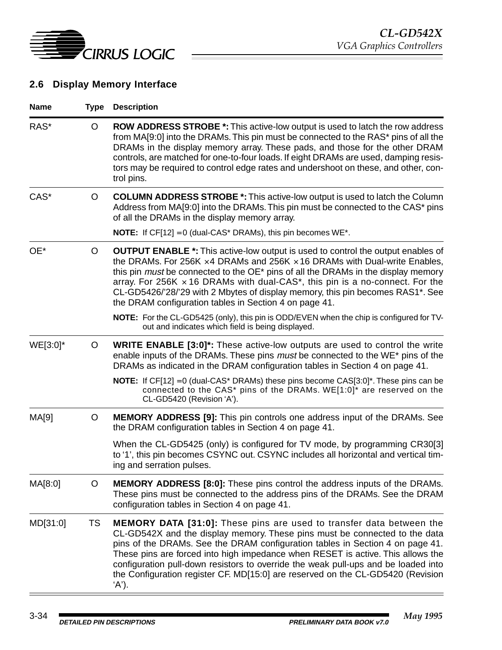

### **2.6 Display Memory Interface**

| <b>Name</b> | <b>Type</b> | <b>Description</b>                                                                                                                                                                                                                                                                                                                                                                                                                                                                                                                          |
|-------------|-------------|---------------------------------------------------------------------------------------------------------------------------------------------------------------------------------------------------------------------------------------------------------------------------------------------------------------------------------------------------------------------------------------------------------------------------------------------------------------------------------------------------------------------------------------------|
| RAS*        | O           | <b>ROW ADDRESS STROBE *: This active-low output is used to latch the row address</b><br>from MA[9:0] into the DRAMs. This pin must be connected to the RAS* pins of all the<br>DRAMs in the display memory array. These pads, and those for the other DRAM<br>controls, are matched for one-to-four loads. If eight DRAMs are used, damping resis-<br>tors may be required to control edge rates and undershoot on these, and other, con-<br>trol pins.                                                                                     |
| CAS*        | O           | <b>COLUMN ADDRESS STROBE *: This active-low output is used to latch the Column</b><br>Address from MA[9:0] into the DRAMs. This pin must be connected to the CAS* pins<br>of all the DRAMs in the display memory array.                                                                                                                                                                                                                                                                                                                     |
|             |             | <b>NOTE:</b> If $CF[12] = 0$ (dual-CAS <sup>*</sup> DRAMs), this pin becomes $WE^*$ .                                                                                                                                                                                                                                                                                                                                                                                                                                                       |
| OE*         | O           | <b>OUTPUT ENABLE *:</b> This active-low output is used to control the output enables of<br>the DRAMs. For 256K $\times$ 4 DRAMs and 256K $\times$ 16 DRAMs with Dual-write Enables,<br>this pin <i>must</i> be connected to the OE <sup>*</sup> pins of all the DRAMs in the display memory<br>array. For 256K $\times$ 16 DRAMs with dual-CAS <sup>*</sup> , this pin is a no-connect. For the<br>CL-GD5426/'28/'29 with 2 Mbytes of display memory, this pin becomes RAS1*. See<br>the DRAM configuration tables in Section 4 on page 41. |
|             |             | NOTE: For the CL-GD5425 (only), this pin is ODD/EVEN when the chip is configured for TV-<br>out and indicates which field is being displayed.                                                                                                                                                                                                                                                                                                                                                                                               |
| WE[3:0]*    | O           | <b>WRITE ENABLE [3:0]*:</b> These active-low outputs are used to control the write<br>enable inputs of the DRAMs. These pins must be connected to the WE* pins of the<br>DRAMs as indicated in the DRAM configuration tables in Section 4 on page 41.                                                                                                                                                                                                                                                                                       |
|             |             | <b>NOTE:</b> If CF[12] = 0 (dual-CAS <sup>*</sup> DRAMs) these pins become CAS[3:0] <sup>*</sup> . These pins can be<br>connected to the CAS* pins of the DRAMs. WE[1:0]* are reserved on the<br>CL-GD5420 (Revision 'A').                                                                                                                                                                                                                                                                                                                  |
| MA[9]       | O           | <b>MEMORY ADDRESS [9]:</b> This pin controls one address input of the DRAMs. See<br>the DRAM configuration tables in Section 4 on page 41.                                                                                                                                                                                                                                                                                                                                                                                                  |
|             |             | When the CL-GD5425 (only) is configured for TV mode, by programming CR30[3]<br>to '1', this pin becomes CSYNC out. CSYNC includes all horizontal and vertical tim-<br>ing and serration pulses.                                                                                                                                                                                                                                                                                                                                             |
| MA[8:0]     | O           | <b>MEMORY ADDRESS [8:0]:</b> These pins control the address inputs of the DRAMs.<br>These pins must be connected to the address pins of the DRAMs. See the DRAM<br>configuration tables in Section 4 on page 41.                                                                                                                                                                                                                                                                                                                            |
| MD[31:0]    | TS          | <b>MEMORY DATA [31:0]:</b> These pins are used to transfer data between the<br>CL-GD542X and the display memory. These pins must be connected to the data<br>pins of the DRAMs. See the DRAM configuration tables in Section 4 on page 41.<br>These pins are forced into high impedance when RESET is active. This allows the<br>configuration pull-down resistors to override the weak pull-ups and be loaded into<br>the Configuration register CF. MD[15:0] are reserved on the CL-GD5420 (Revision<br>'A').                             |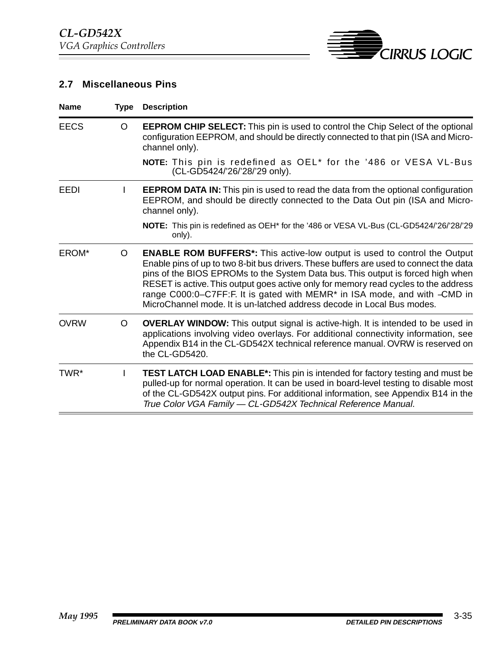

#### **2.7 Miscellaneous Pins**

**Name Type Description** EECS O **EEPROM CHIP SELECT:** This pin is used to control the Chip Select of the optional configuration EEPROM, and should be directly connected to that pin (ISA and Microchannel only). **NOTE:** This pin is redefined as OEL\* for the '486 or VESA VL-Bus (CL-GD5424/'26/'28/'29 only). EEDI **I EEPROM DATA IN:** This pin is used to read the data from the optional configuration EEPROM, and should be directly connected to the Data Out pin (ISA and Microchannel only). **NOTE:** This pin is redefined as OEH\* for the '486 or VESA VL-Bus (CL-GD5424/'26/'28/'29 only). EROM\* O **ENABLE ROM BUFFERS\*:** This active-low output is used to control the Output Enable pins of up to two 8-bit bus drivers. These buffers are used to connect the data pins of the BIOS EPROMs to the System Data bus. This output is forced high when RESET is active. This output goes active only for memory read cycles to the address range C000:0–C7FF:F. It is gated with MEMR\* in ISA mode, and with −CMD in MicroChannel mode. It is un-latched address decode in Local Bus modes. OVRW O **OVERLAY WINDOW:** This output signal is active-high. It is intended to be used in applications involving video overlays. For additional connectivity information, see Appendix B14 in the CL-GD542X technical reference manual. OVRW is reserved on the CL-GD5420. TWR<sup>\*</sup> I **TEST LATCH LOAD ENABLE**<sup>\*</sup>: This pin is intended for factory testing and must be pulled-up for normal operation. It can be used in board-level testing to disable most of the CL-GD542X output pins. For additional information, see Appendix B14 in the True Color VGA Family — CL-GD542X Technical Reference Manual.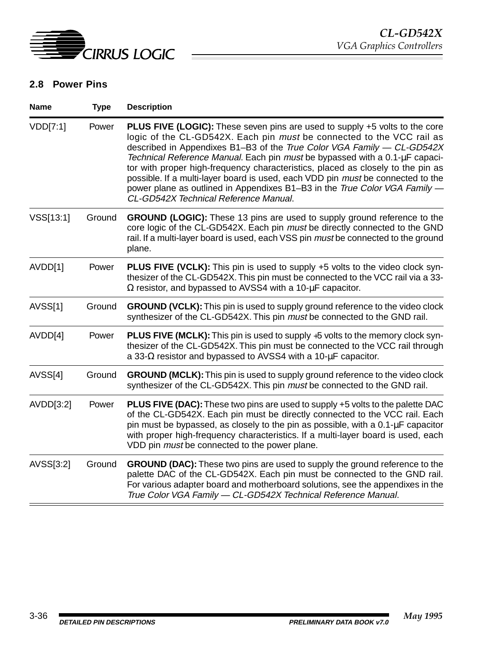

### **2.8 Power Pins**

| <b>Name</b> | <b>Type</b> | <b>Description</b>                                                                                                                                                                                                                                                                                                                                                                                                                                                                                                                                                                                                |
|-------------|-------------|-------------------------------------------------------------------------------------------------------------------------------------------------------------------------------------------------------------------------------------------------------------------------------------------------------------------------------------------------------------------------------------------------------------------------------------------------------------------------------------------------------------------------------------------------------------------------------------------------------------------|
| VDD[7:1]    | Power       | <b>PLUS FIVE (LOGIC):</b> These seven pins are used to supply +5 volts to the core<br>logic of the CL-GD542X. Each pin must be connected to the VCC rail as<br>described in Appendixes B1-B3 of the True Color VGA Family - CL-GD542X<br>Technical Reference Manual. Each pin must be bypassed with a 0.1-µF capaci-<br>tor with proper high-frequency characteristics, placed as closely to the pin as<br>possible. If a multi-layer board is used, each VDD pin must be connected to the<br>power plane as outlined in Appendixes B1-B3 in the True Color VGA Family -<br>CL-GD542X Technical Reference Manual. |
| VSS[13:1]   | Ground      | <b>GROUND (LOGIC):</b> These 13 pins are used to supply ground reference to the<br>core logic of the CL-GD542X. Each pin <i>must</i> be directly connected to the GND<br>rail. If a multi-layer board is used, each VSS pin must be connected to the ground<br>plane.                                                                                                                                                                                                                                                                                                                                             |
| AVDD[1]     | Power       | <b>PLUS FIVE (VCLK):</b> This pin is used to supply +5 volts to the video clock syn-<br>thesizer of the CL-GD542X. This pin must be connected to the VCC rail via a 33-<br>$\Omega$ resistor, and bypassed to AVSS4 with a 10- $\mu$ F capacitor.                                                                                                                                                                                                                                                                                                                                                                 |
| AVSS[1]     | Ground      | <b>GROUND (VCLK):</b> This pin is used to supply ground reference to the video clock<br>synthesizer of the CL-GD542X. This pin <i>must</i> be connected to the GND rail.                                                                                                                                                                                                                                                                                                                                                                                                                                          |
| AVDD[4]     | Power       | <b>PLUS FIVE (MCLK):</b> This pin is used to supply +5 volts to the memory clock syn-<br>thesizer of the CL-GD542X. This pin must be connected to the VCC rail through<br>a 33- $\Omega$ resistor and bypassed to AVSS4 with a 10- $\mu$ F capacitor.                                                                                                                                                                                                                                                                                                                                                             |
| AVSS[4]     | Ground      | <b>GROUND (MCLK):</b> This pin is used to supply ground reference to the video clock<br>synthesizer of the CL-GD542X. This pin <i>must</i> be connected to the GND rail.                                                                                                                                                                                                                                                                                                                                                                                                                                          |
| AVDD[3:2]   | Power       | PLUS FIVE (DAC): These two pins are used to supply +5 volts to the palette DAC<br>of the CL-GD542X. Each pin must be directly connected to the VCC rail. Each<br>pin must be bypassed, as closely to the pin as possible, with a $0.1-\mu$ F capacitor<br>with proper high-frequency characteristics. If a multi-layer board is used, each<br>VDD pin <i>must</i> be connected to the power plane.                                                                                                                                                                                                                |
| AVSS[3:2]   | Ground      | GROUND (DAC): These two pins are used to supply the ground reference to the<br>palette DAC of the CL-GD542X. Each pin must be connected to the GND rail.<br>For various adapter board and motherboard solutions, see the appendixes in the<br>True Color VGA Family - CL-GD542X Technical Reference Manual.                                                                                                                                                                                                                                                                                                       |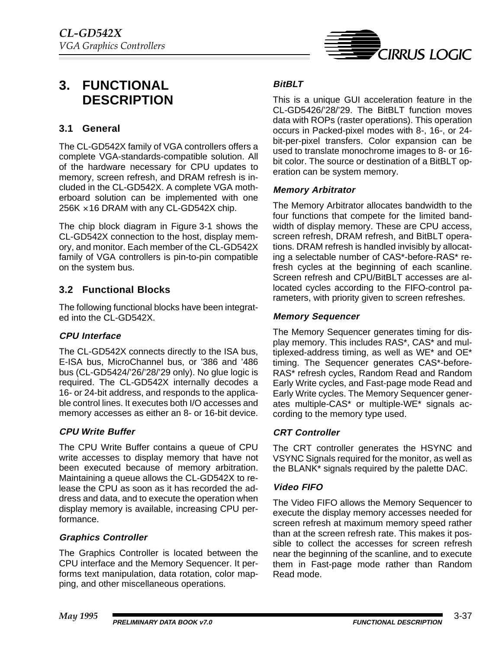

# **3. FUNCTIONAL DESCRIPTION**

## **3.1 General**

The CL-GD542X family of VGA controllers offers a complete VGA-standards-compatible solution. All of the hardware necessary for CPU updates to memory, screen refresh, and DRAM refresh is included in the CL-GD542X. A complete VGA motherboard solution can be implemented with one  $256K \times 16$  DRAM with any CL-GD542X chip.

The chip block diagram in [Figure 3-1](#page-37-0) shows the CL-GD542X connection to the host, display memory, and monitor. Each member of the CL-GD542X family of VGA controllers is pin-to-pin compatible on the system bus.

## **3.2 Functional Blocks**

The following functional blocks have been integrated into the CL-GD542X.

## **CPU Interface**

The CL-GD542X connects directly to the ISA bus, E-ISA bus, MicroChannel bus, or '386 and '486 bus (CL-GD5424/'26/'28/'29 only). No glue logic is required. The CL-GD542X internally decodes a 16- or 24-bit address, and responds to the applicable control lines. It executes both I/O accesses and memory accesses as either an 8- or 16-bit device.

## **CPU Write Buffer**

The CPU Write Buffer contains a queue of CPU write accesses to display memory that have not been executed because of memory arbitration. Maintaining a queue allows the CL-GD542X to release the CPU as soon as it has recorded the address and data, and to execute the operation when display memory is available, increasing CPU performance.

## **Graphics Controller**

The Graphics Controller is located between the CPU interface and the Memory Sequencer. It performs text manipulation, data rotation, color mapping, and other miscellaneous operations.

## **BitBLT**

This is a unique GUI acceleration feature in the CL-GD5426/'28/'29. The BitBLT function moves data with ROPs (raster operations). This operation occurs in Packed-pixel modes with 8-, 16-, or 24 bit-per-pixel transfers. Color expansion can be used to translate monochrome images to 8- or 16 bit color. The source or destination of a BitBLT operation can be system memory.

## **Memory Arbitrator**

The Memory Arbitrator allocates bandwidth to the four functions that compete for the limited bandwidth of display memory. These are CPU access, screen refresh, DRAM refresh, and BitBLT operations. DRAM refresh is handled invisibly by allocating a selectable number of CAS\*-before-RAS\* refresh cycles at the beginning of each scanline. Screen refresh and CPU/BitBLT accesses are allocated cycles according to the FIFO-control parameters, with priority given to screen refreshes.

## **Memory Sequencer**

The Memory Sequencer generates timing for display memory. This includes RAS\*, CAS\* and multiplexed-address timing, as well as WE\* and OE\* timing. The Sequencer generates CAS\*-before-RAS\* refresh cycles, Random Read and Random Early Write cycles, and Fast-page mode Read and Early Write cycles. The Memory Sequencer generates multiple-CAS\* or multiple-WE\* signals according to the memory type used.

## **CRT Controller**

The CRT controller generates the HSYNC and VSYNC Signals required for the monitor, as well as the BLANK\* signals required by the palette DAC.

## **Video FIFO**

The Video FIFO allows the Memory Sequencer to execute the display memory accesses needed for screen refresh at maximum memory speed rather than at the screen refresh rate. This makes it possible to collect the accesses for screen refresh near the beginning of the scanline, and to execute them in Fast-page mode rather than Random Read mode.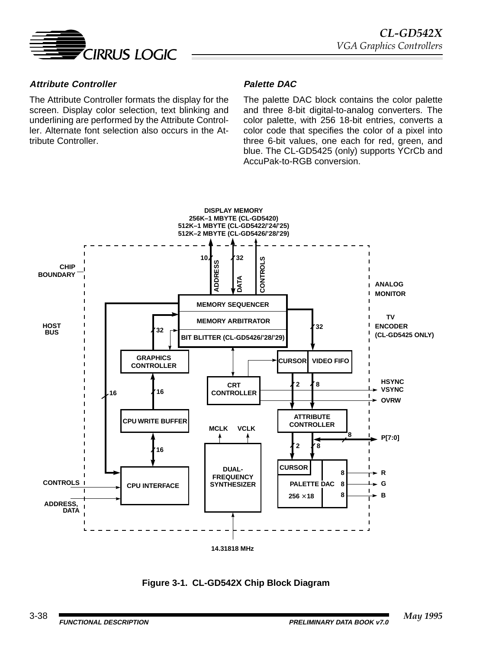<span id="page-37-0"></span>

### **Attribute Controller**

The Attribute Controller formats the display for the screen. Display color selection, text blinking and underlining are performed by the Attribute Controller. Alternate font selection also occurs in the Attribute Controller.

#### **Palette DAC**

The palette DAC block contains the color palette and three 8-bit digital-to-analog converters. The color palette, with 256 18-bit entries, converts a color code that specifies the color of a pixel into three 6-bit values, one each for red, green, and blue. The CL-GD5425 (only) supports YCrCb and AccuPak-to-RGB conversion.



**Figure 3-1. CL-GD542X Chip Block Diagram**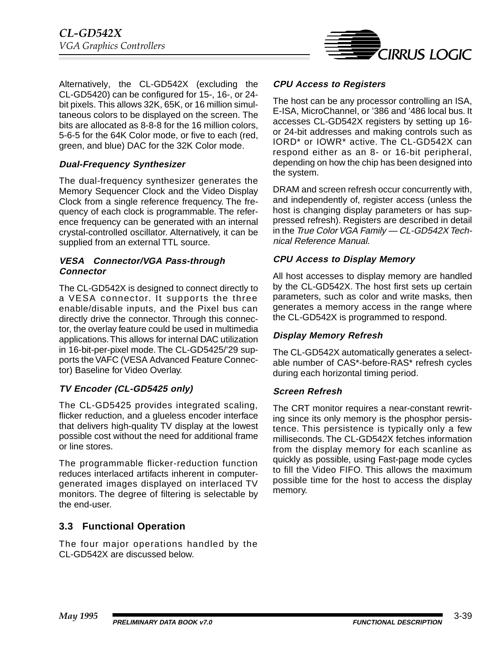

Alternatively, the CL-GD542X (excluding the CL-GD5420) can be configured for 15-, 16-, or 24 bit pixels. This allows 32K, 65K, or 16 million simultaneous colors to be displayed on the screen. The bits are allocated as 8-8-8 for the 16 million colors, 5-6-5 for the 64K Color mode, or five to each (red, green, and blue) DAC for the 32K Color mode.

### **Dual-Frequency Synthesizer**

The dual-frequency synthesizer generates the Memory Sequencer Clock and the Video Display Clock from a single reference frequency. The frequency of each clock is programmable. The reference frequency can be generated with an internal crystal-controlled oscillator. Alternatively, it can be supplied from an external TTL source.

#### **VESA Connector/VGA Pass-through Connector**

The CL-GD542X is designed to connect directly to a VESA connector. It supports the three enable/disable inputs, and the Pixel bus can directly drive the connector. Through this connector, the overlay feature could be used in multimedia applications. This allows for internal DAC utilization in 16-bit-per-pixel mode. The CL-GD5425/'29 supports the VAFC (VESA Advanced Feature Connector) Baseline for Video Overlay.

## **TV Encoder (CL-GD5425 only)**

The CL-GD5425 provides integrated scaling, flicker reduction, and a glueless encoder interface that delivers high-quality TV display at the lowest possible cost without the need for additional frame or line stores.

The programmable flicker-reduction function reduces interlaced artifacts inherent in computergenerated images displayed on interlaced TV monitors. The degree of filtering is selectable by the end-user.

## **3.3 Functional Operation**

The four major operations handled by the CL-GD542X are discussed below.

### **CPU Access to Registers**

The host can be any processor controlling an ISA, E-ISA, MicroChannel, or '386 and '486 local bus. It accesses CL-GD542X registers by setting up 16 or 24-bit addresses and making controls such as IORD\* or IOWR\* active. The CL-GD542X can respond either as an 8- or 16-bit peripheral, depending on how the chip has been designed into the system.

DRAM and screen refresh occur concurrently with, and independently of, register access (unless the host is changing display parameters or has suppressed refresh). Registers are described in detail in the True Color VGA Family — CL-GD542X Technical Reference Manual.

#### **CPU Access to Display Memory**

All host accesses to display memory are handled by the CL-GD542X. The host first sets up certain parameters, such as color and write masks, then generates a memory access in the range where the CL-GD542X is programmed to respond.

#### **Display Memory Refresh**

The CL-GD542X automatically generates a selectable number of CAS\*-before-RAS\* refresh cycles during each horizontal timing period.

#### **Screen Refresh**

The CRT monitor requires a near-constant rewriting since its only memory is the phosphor persistence. This persistence is typically only a few milliseconds. The CL-GD542X fetches information from the display memory for each scanline as quickly as possible, using Fast-page mode cycles to fill the Video FIFO. This allows the maximum possible time for the host to access the display memory.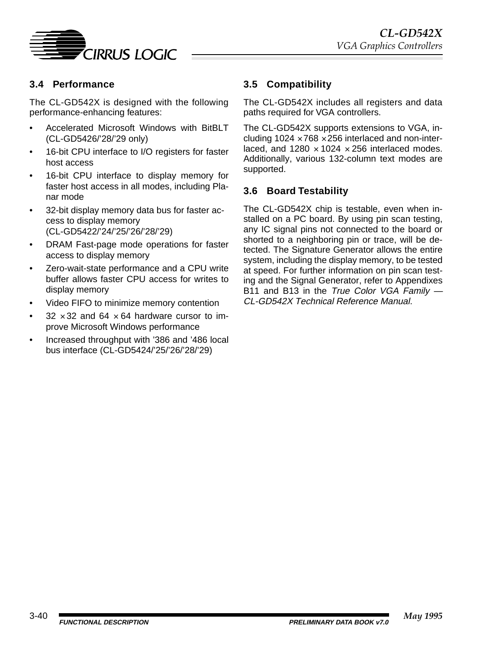

## **3.4 Performance**

The CL-GD542X is designed with the following performance-enhancing features:

- Accelerated Microsoft Windows with BitBLT (CL-GD5426/'28/'29 only)
- 16-bit CPU interface to I/O registers for faster host access
- 16-bit CPU interface to display memory for faster host access in all modes, including Planar mode
- 32-bit display memory data bus for faster access to display memory (CL-GD5422/'24/'25/'26/'28/'29)
- DRAM Fast-page mode operations for faster access to display memory
- Zero-wait-state performance and a CPU write buffer allows faster CPU access for writes to display memory
- Video FIFO to minimize memory contention
- $32 \times 32$  and 64  $\times$  64 hardware cursor to improve Microsoft Windows performance
- Increased throughput with '386 and '486 local bus interface (CL-GD5424/'25/'26/'28/'29)

## **3.5 Compatibility**

The CL-GD542X includes all registers and data paths required for VGA controllers.

The CL-GD542X supports extensions to VGA, including 1024  $\times$  768  $\times$  256 interlaced and non-interlaced, and  $1280 \times 1024 \times 256$  interlaced modes. Additionally, various 132-column text modes are supported.

## **3.6 Board Testability**

The CL-GD542X chip is testable, even when installed on a PC board. By using pin scan testing, any IC signal pins not connected to the board or shorted to a neighboring pin or trace, will be detected. The Signature Generator allows the entire system, including the display memory, to be tested at speed. For further information on pin scan testing and the Signal Generator, refer to Appendixes B11 and B13 in the True Color VGA Family -CL-GD542X Technical Reference Manual.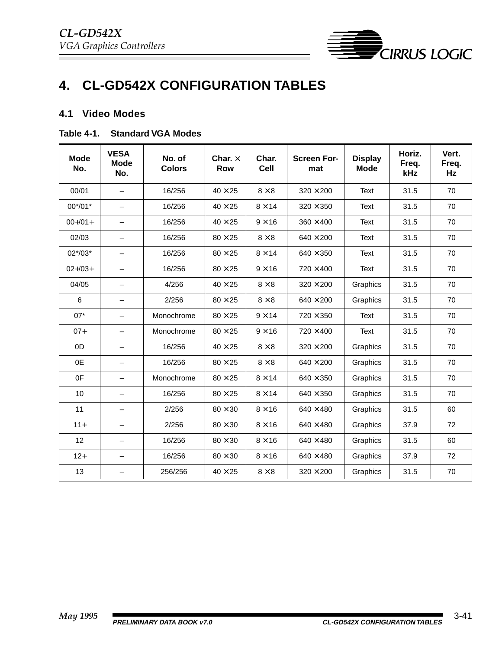

# **4. CL-GD542X CONFIGURATION TABLES**

### **4.1 Video Modes**

#### **Table 4-1. Standard VGA Modes**

| <b>Mode</b><br>No. | <b>VESA®</b><br><b>Mode</b><br>No. | No. of<br><b>Colors</b> | Char. $\times$<br><b>Row</b> | Char.<br>Cell | <b>Screen For-</b><br>mat | <b>Display</b><br><b>Mode</b> | Horiz.<br>Freq.<br>kHz | Vert.<br>Freq.<br>Hz |
|--------------------|------------------------------------|-------------------------|------------------------------|---------------|---------------------------|-------------------------------|------------------------|----------------------|
| 00/01              | $\qquad \qquad -$                  | 16/256                  | $40 \times 25$               | $8 \times 8$  | $320 \times 200$          | Text                          | 31.5                   | 70                   |
| $00*/01*$          |                                    | 16/256                  | $40 \times 25$               | $8 \times 14$ | $320 \times 350$          | <b>Text</b>                   | 31.5                   | 70                   |
| $00+/01+$          |                                    | 16/256                  | $40 \times 25$               | $9 \times 16$ | $360 \times 400$          | Text                          | 31.5                   | 70                   |
| 02/03              |                                    | 16/256                  | $80 \times 25$               | $8 \times 8$  | $640 \times 200$          | <b>Text</b>                   | 31.5                   | 70                   |
| $02*/03*$          |                                    | 16/256                  | $80 \times 25$               | $8 \times 14$ | $640 \times 350$          | Text                          | 31.5                   | 70                   |
| $02 + / 03 +$      |                                    | 16/256                  | $80 \times 25$               | $9 \times 16$ | $720 \times 400$          | <b>Text</b>                   | 31.5                   | 70                   |
| 04/05              |                                    | 4/256                   | $40 \times 25$               | $8 \times 8$  | $320 \times 200$          | Graphics                      | 31.5                   | 70                   |
| 6                  |                                    | 2/256                   | $80 \times 25$               | $8 \times 8$  | $640 \times 200$          | Graphics                      | 31.5                   | 70                   |
| $07*$              | $\overline{\phantom{m}}$           | Monochrome              | $80 \times 25$               | $9 \times 14$ | $720 \times 350$          | Text                          | 31.5                   | 70                   |
| $07+$              | $\qquad \qquad -$                  | Monochrome              | $80 \times 25$               | $9 \times 16$ | $720 \times 400$          | Text                          | 31.5                   | 70                   |
| 0D                 |                                    | 16/256                  | $40 \times 25$               | $8 \times 8$  | $320 \times 200$          | Graphics                      | 31.5                   | 70                   |
| 0E                 |                                    | 16/256                  | $80 \times 25$               | $8 \times 8$  | $640 \times 200$          | Graphics                      | 31.5                   | 70                   |
| 0F                 |                                    | Monochrome              | $80 \times 25$               | $8 \times 14$ | $640\times350$            | Graphics                      | 31.5                   | 70                   |
| 10                 |                                    | 16/256                  | $80 \times 25$               | $8 \times 14$ | $640 \times 350$          | Graphics                      | 31.5                   | 70                   |
| 11                 |                                    | 2/256                   | $80 \times 30$               | $8 \times 16$ | $640 \times 480$          | Graphics                      | 31.5                   | 60                   |
| $11+$              |                                    | 2/256                   | $80 \times 30$               | $8 \times 16$ | $640 \times 480$          | Graphics                      | 37.9                   | 72                   |
| 12                 |                                    | 16/256                  | $80 \times 30$               | $8 \times 16$ | $640 \times 480$          | Graphics                      | 31.5                   | 60                   |
| $12+$              | $\overline{\phantom{m}}$           | 16/256                  | $80 \times 30$               | $8 \times 16$ | $640 \times 480$          | Graphics                      | 37.9                   | 72                   |
| 13                 |                                    | 256/256                 | $40\times25$                 | $8 \times 8$  | $320 \times 200$          | Graphics                      | 31.5                   | 70                   |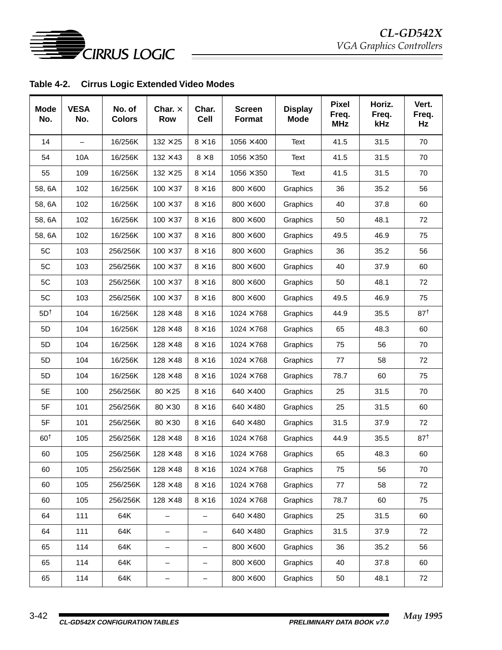

**Table 4-2. Cirrus Logic Extended Video Modes**

| <b>Mode</b><br>No. | <b>VESA®</b><br>No. | No. of<br><b>Colors</b> | Char. $\times$<br><b>Row</b> | Char.<br><b>Cell</b> | <b>Screen</b><br>Format | <b>Display</b><br><b>Mode</b> | <b>Pixel</b><br>Freq.<br><b>MHz</b> | Horiz.<br>Freq.<br>kHz | Vert.<br>Freq.<br>Hz |
|--------------------|---------------------|-------------------------|------------------------------|----------------------|-------------------------|-------------------------------|-------------------------------------|------------------------|----------------------|
| 14                 | $\qquad \qquad -$   | 16/256K                 | $132 \times 25$              | $8 \times 16$        | $1056 \times 400$       | Text                          | 41.5                                | 31.5                   | 70                   |
| 54                 | 10A                 | 16/256K                 | $132 \times 43$              | $8 \times 8$         | $1056 \times 350$       | <b>Text</b>                   | 41.5                                | 31.5                   | 70                   |
| 55                 | 109                 | 16/256K                 | $132 \times 25$              | $8 \times 14$        | $1056 \times 350$       | Text                          | 41.5                                | 31.5                   | 70                   |
| 58, 6A             | 102                 | 16/256K                 | $100 \times 37$              | $8 \times 16$        | $800 \times 600$        | Graphics                      | 36                                  | 35.2                   | 56                   |
| 58, 6A             | 102                 | 16/256K                 | $100 \times 37$              | $8 \times 16$        | $800 \times 600$        | Graphics                      | 40                                  | 37.8                   | 60                   |
| 58, 6A             | 102                 | 16/256K                 | $100 \times 37$              | $8 \times 16$        | $800 \times 600$        | Graphics                      | 50                                  | 48.1                   | 72                   |
| 58, 6A             | 102                 | 16/256K                 | $100 \times 37$              | $8 \times 16$        | $800 \times 600$        | Graphics                      | 49.5                                | 46.9                   | 75                   |
| 5C                 | 103                 | 256/256K                | $100 \times 37$              | $8 \times 16$        | $800 \times 600$        | Graphics                      | 36                                  | 35.2                   | 56                   |
| 5C                 | 103                 | 256/256K                | $100 \times 37$              | $8 \times 16$        | $800 \times 600$        | Graphics                      | 40                                  | 37.9                   | 60                   |
| 5C                 | 103                 | 256/256K                | $100 \times 37$              | $8 \times 16$        | $800 \times 600$        | Graphics                      | 50                                  | 48.1                   | 72                   |
| 5C                 | 103                 | 256/256K                | $100 \times 37$              | $8 \times 16$        | $800 \times 600$        | Graphics                      | 49.5                                | 46.9                   | 75                   |
| $5D+$              | 104                 | 16/256K                 | $128 \times 48$              | $8 \times 16$        | $1024 \times 768$       | Graphics                      | 44.9                                | 35.5                   | 87 <sup>†</sup>      |
| 5D                 | 104                 | 16/256K                 | $128 \times 48$              | $8 \times 16$        | $1024 \times 768$       | Graphics                      | 65                                  | 48.3                   | 60                   |
| 5D                 | 104                 | 16/256K                 | $128 \times 48$              | $8 \times 16$        | $1024 \times 768$       | Graphics                      | 75                                  | 56                     | 70                   |
| 5D                 | 104                 | 16/256K                 | $128 \times 48$              | $8 \times 16$        | $1024 \times 768$       | Graphics                      | 77                                  | 58                     | 72                   |
| 5D                 | 104                 | 16/256K                 | $128 \times 48$              | $8 \times 16$        | $1024 \times 768$       | Graphics                      | 78.7                                | 60                     | 75                   |
| 5E                 | 100                 | 256/256K                | $80 \times 25$               | $8 \times 16$        | $640 \times 400$        | Graphics                      | 25                                  | 31.5                   | 70                   |
| 5F                 | 101                 | 256/256K                | $80 \times 30$               | $8 \times 16$        | $640 \times 480$        | Graphics                      | 25                                  | 31.5                   | 60                   |
| 5F                 | 101                 | 256/256K                | $80 \times 30$               | $8 \times 16$        | $640 \times 480$        | Graphics                      | 31.5                                | 37.9                   | 72                   |
| 60†                | 105                 | 256/256K                | $128 \times 48$              | $8 \times 16$        | $1024 \times 768$       | Graphics                      | 44.9                                | 35.5                   | 87 <sup>†</sup>      |
| 60                 | 105                 | 256/256K                | $128 \times 48$              | $8 \times 16$        | $1024 \times 768$       | Graphics                      | 65                                  | 48.3                   | 60                   |
| 60                 | 105                 | 256/256K                | $128 \times 48$              | $8 \times 16$        | $1024 \times 768$       | Graphics                      | 75                                  | 56                     | 70                   |
| 60                 | 105                 | 256/256K                | $128 \times 48$              | $8 \times 16$        | $1024 \times 768$       | Graphics                      | 77                                  | 58                     | 72                   |
| 60                 | 105                 | 256/256K                | $128 \times 48$              | $8 \times 16$        | $1024 \times 768$       | Graphics                      | 78.7                                | 60                     | 75                   |
| 64                 | 111                 | 64K                     | —                            |                      | $640 \times 480$        | Graphics                      | 25                                  | 31.5                   | 60                   |
| 64                 | 111                 | 64K                     | $\qquad \qquad -$            | —                    | $640 \times 480$        | Graphics                      | 31.5                                | 37.9                   | 72                   |
| 65                 | 114                 | 64K                     | $\qquad \qquad -$            | —                    | $800 \times 600$        | Graphics                      | 36                                  | 35.2                   | 56                   |
| 65                 | 114                 | 64K                     | -                            | -                    | $800\times600$          | Graphics                      | 40                                  | 37.8                   | 60                   |
| 65                 | 114                 | 64K                     | -                            | -                    | $800 \times 600$        | Graphics                      | 50                                  | 48.1                   | 72                   |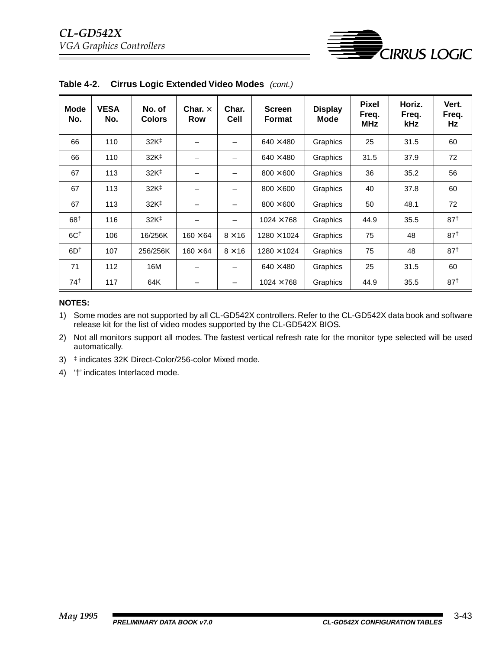

| Mode<br>No.     | <b>VESA®</b><br>No. | No. of<br><b>Colors</b> | Char. $\times$<br><b>Row</b> | Char.<br>Cell | <b>Screen</b><br><b>Format</b> | <b>Display</b><br><b>Mode</b> | <b>Pixel</b><br>Freq.<br><b>MHz</b> | Horiz.<br>Freg.<br>kHz | Vert.<br>Freq.<br>Hz |
|-----------------|---------------------|-------------------------|------------------------------|---------------|--------------------------------|-------------------------------|-------------------------------------|------------------------|----------------------|
| 66              | 110                 | 32K <sup>‡</sup>        |                              |               | $640 \times 480$               | Graphics                      | 25                                  | 31.5                   | 60                   |
| 66              | 110                 | 32K <sup>‡</sup>        |                              | —             | $640 \times 480$               | Graphics                      | 31.5                                | 37.9                   | 72                   |
| 67              | 113                 | 32K <sup>‡</sup>        |                              |               | $800 \times 600$               | Graphics                      | 36                                  | 35.2                   | 56                   |
| 67              | 113                 | 32K <sup>‡</sup>        |                              |               | $800 \times 600$               | Graphics                      | 40                                  | 37.8                   | 60                   |
| 67              | 113                 | 32K <sup>‡</sup>        |                              |               | $800 \times 600$               | Graphics                      | 50                                  | 48.1                   | 72                   |
| 68†             | 116                 | 32K <sup>‡</sup>        |                              |               | $1024 \times 768$              | Graphics                      | 44.9                                | 35.5                   | 87†                  |
| $6C+$           | 106                 | 16/256K                 | $160 \times 64$              | $8 \times 16$ | $1280 \times 1024$             | Graphics                      | 75                                  | 48                     | 87†                  |
| 6D <sup>†</sup> | 107                 | 256/256K                | $160 \times 64$              | $8 \times 16$ | $1280 \times 1024$             | Graphics                      | 75                                  | 48                     | 87†                  |
| 71              | 112                 | 16M                     |                              |               | $640 \times 480$               | Graphics                      | 25                                  | 31.5                   | 60                   |
| 74†             | 117                 | 64K                     |                              |               | $1024 \times 768$              | Graphics                      | 44.9                                | 35.5                   | 87 <sup>†</sup>      |

Table 4-2. Cirrus Logic Extended Video Modes (cont.)

#### **NOTES:**

- 1) Some modes are not supported by all CL-GD542X controllers. Refer to the CL-GD542X data book and software release kit for the list of video modes supported by the CL-GD542X BIOS.
- 2) Not all monitors support all modes. The fastest vertical refresh rate for the monitor type selected will be used automatically.
- 3) ‡ indicates 32K Direct-Color/256-color Mixed mode.
- 4) '†' indicates Interlaced mode.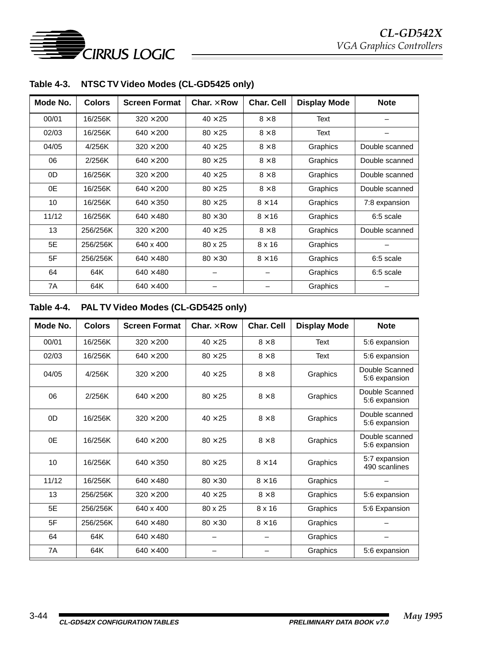

| Mode No. | <b>Colors</b> | <b>Screen Format</b> | Char. $\times$ Row | <b>Char. Cell</b> | <b>Display Mode</b> | <b>Note</b>    |
|----------|---------------|----------------------|--------------------|-------------------|---------------------|----------------|
| 00/01    | 16/256K       | $320 \times 200$     | $40 \times 25$     | $8 \times 8$      | Text                |                |
| 02/03    | 16/256K       | $640 \times 200$     | $80 \times 25$     | $8 \times 8$      | Text                |                |
| 04/05    | 4/256K        | $320 \times 200$     | $40 \times 25$     | $8\times8$        | Graphics            | Double scanned |
| 06       | 2/256K        | $640 \times 200$     | $80 \times 25$     | $8\times8$        | Graphics            | Double scanned |
| 0D       | 16/256K       | $320 \times 200$     | $40 \times 25$     | $8 \times 8$      | Graphics            | Double scanned |
| 0E       | 16/256K       | $640 \times 200$     | $80 \times 25$     | $8\times8$        | Graphics            | Double scanned |
| 10       | 16/256K       | $640 \times 350$     | $80 \times 25$     | $8 \times 14$     | Graphics            | 7:8 expansion  |
| 11/12    | 16/256K       | $640 \times 480$     | $80 \times 30$     | $8 \times 16$     | Graphics            | 6:5 scale      |
| 13       | 256/256K      | $320 \times 200$     | $40 \times 25$     | $8\times8$        | Graphics            | Double scanned |
| 5E       | 256/256K      | 640 x 400            | 80 x 25            | 8 x 16            | Graphics            |                |
| 5F       | 256/256K      | $640 \times 480$     | $80 \times 30$     | $8 \times 16$     | Graphics            | 6:5 scale      |
| 64       | 64K           | $640 \times 480$     |                    |                   | Graphics            | 6:5 scale      |
| 7A       | 64K           | $640 \times 400$     |                    |                   | Graphics            |                |

**Table 4-3. NTSC TV Video Modes (CL-GD5425 only)** 

### **Table 4-4. PAL TV Video Modes (CL-GD5425 only)**

| Mode No. | <b>Colors</b> | <b>Screen Format</b> | Char. $\times$ Row | <b>Char. Cell</b> | <b>Display Mode</b> | <b>Note</b>                     |
|----------|---------------|----------------------|--------------------|-------------------|---------------------|---------------------------------|
| 00/01    | 16/256K       | $320 \times 200$     | $40 \times 25$     | $8 \times 8$      | Text                | 5:6 expansion                   |
| 02/03    | 16/256K       | $640 \times 200$     | $80 \times 25$     | $8 \times 8$      | Text                | 5:6 expansion                   |
| 04/05    | 4/256K        | $320 \times 200$     | $40 \times 25$     | $8 \times 8$      | Graphics            | Double Scanned<br>5:6 expansion |
| 06       | 2/256K        | $640 \times 200$     | $80 \times 25$     | $8 \times 8$      | Graphics            | Double Scanned<br>5:6 expansion |
| 0D       | 16/256K       | $320 \times 200$     | $40 \times 25$     | $8 \times 8$      | Graphics            | Double scanned<br>5:6 expansion |
| 0E       | 16/256K       | $640 \times 200$     | $80 \times 25$     | $8 \times 8$      | Graphics            | Double scanned<br>5:6 expansion |
| 10       | 16/256K       | $640 \times 350$     | $80 \times 25$     | $8 \times 14$     | Graphics            | 5:7 expansion<br>490 scanlines  |
| 11/12    | 16/256K       | $640 \times 480$     | $80 \times 30$     | $8 \times 16$     | Graphics            |                                 |
| 13       | 256/256K      | $320 \times 200$     | $40 \times 25$     | $8 \times 8$      | Graphics            | 5:6 expansion                   |
| 5E       | 256/256K      | 640 x 400            | 80 x 25            | 8 x 16            | Graphics            | 5:6 Expansion                   |
| 5F       | 256/256K      | $640 \times 480$     | $80 \times 30$     | $8 \times 16$     | Graphics            |                                 |
| 64       | 64K           | $640 \times 480$     |                    |                   | Graphics            |                                 |
| 7A       | 64K           | $640 \times 400$     |                    |                   | Graphics            | 5:6 expansion                   |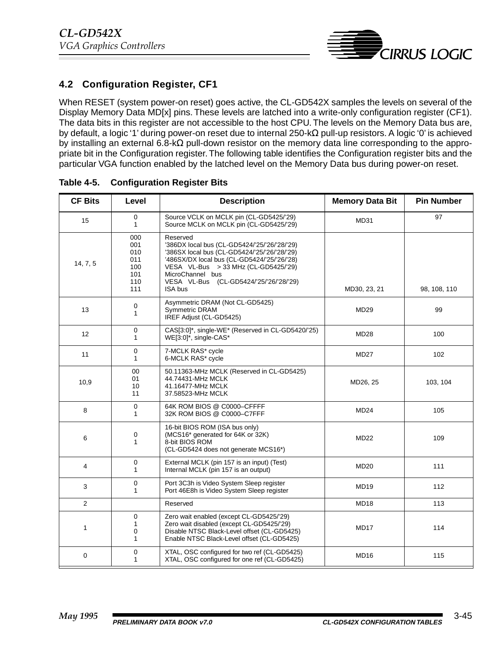

## **4.2 Configuration Register, CF1**

When RESET (system power-on reset) goes active, the CL-GD542X samples the levels on several of the Display Memory Data MD[x] pins. These levels are latched into a write-only configuration register (CF1). The data bits in this register are not accessible to the host CPU. The levels on the Memory Data bus are, by default, a logic '1' during power-on reset due to internal 250-kΩ pull-up resistors. A logic '0' is achieved by installing an external 6.8-kΩ pull-down resistor on the memory data line corresponding to the appropriate bit in the Configuration register. The following table identifies the Configuration register bits and the particular VGA function enabled by the latched level on the Memory Data bus during power-on reset.

| <b>CF Bits</b> | Level                                                | <b>Description</b>                                                                                                                                                                                                                                                                                                             | <b>Memory Data Bit</b> | <b>Pin Number</b> |
|----------------|------------------------------------------------------|--------------------------------------------------------------------------------------------------------------------------------------------------------------------------------------------------------------------------------------------------------------------------------------------------------------------------------|------------------------|-------------------|
| 15             | 0<br>1                                               | Source VCLK on MCLK pin (CL-GD5425/'29)<br>Source MCLK on MCLK pin (CL-GD5425/'29)                                                                                                                                                                                                                                             | MD31                   | 97                |
| 14, 7, 5       | 000<br>001<br>010<br>011<br>100<br>101<br>110<br>111 | Reserved<br>'386DX local bus (CL-GD5424/'25/'26/'28/'29)<br>'386SX local bus (CL-GD5424/'25/'26/'28/'29)<br>'486SX/DX local bus (CL-GD5424/'25/'26/'28)<br>VESA <sup>®</sup> VL-Bus <sup>™</sup> > 33 MHz (CL-GD5425/'29)<br>MicroChannel <sup>®</sup> bus<br>VESA <sup>®</sup> VL-Bus™ (CL-GD5424/'25/'26/'28/'29)<br>ISA bus | MD30, 23, 21           | 98, 108, 110      |
| 13             | 0<br>1                                               | Asymmetric DRAM (Not CL-GD5425)<br><b>Symmetric DRAM</b><br>IREF Adjust (CL-GD5425)                                                                                                                                                                                                                                            | MD29                   | 99                |
| 12             | 0<br>1                                               | CAS[3:0]*, single-WE* (Reserved in CL-GD5420/'25)<br>WE[3:0]*, single-CAS*                                                                                                                                                                                                                                                     | <b>MD28</b>            | 100               |
| 11             | 0<br>1                                               | 7-MCLK RAS* cycle<br>6-MCLK RAS* cycle                                                                                                                                                                                                                                                                                         | MD <sub>27</sub>       | 102               |
| 10,9           | 00<br>01<br>10<br>11                                 | 50.11363-MHz MCLK (Reserved in CL-GD5425)<br>44.74431-MHz MCLK<br>41.16477-MHz MCLK<br>37.58523-MHz MCLK                                                                                                                                                                                                                       | MD26, 25               | 103, 104          |
| 8              | $\pmb{0}$<br>$\mathbf{1}$                            | 64K ROM BIOS @ C0000-CFFFF<br>32K ROM BIOS @ C0000-C7FFF                                                                                                                                                                                                                                                                       | <b>MD24</b>            | 105               |
| 6              | 0<br>1                                               | 16-bit BIOS ROM (ISA bus only)<br>(MCS16* generated for 64K or 32K)<br>8-bit BIOS ROM<br>(CL-GD5424 does not generate MCS16*)                                                                                                                                                                                                  | <b>MD22</b>            | 109               |
| 4              | 0<br>$\mathbf{1}$                                    | External MCLK (pin 157 is an input) (Test)<br>Internal MCLK (pin 157 is an output)                                                                                                                                                                                                                                             | <b>MD20</b>            | 111               |
| 3              | 0<br>$\mathbf{1}$                                    | Port 3C3h is Video System Sleep register<br>Port 46E8h is Video System Sleep register                                                                                                                                                                                                                                          | <b>MD19</b>            | 112               |
| $\overline{2}$ |                                                      | Reserved                                                                                                                                                                                                                                                                                                                       | <b>MD18</b>            | 113               |
| 1              | $\mathbf 0$<br>$\mathbf{1}$<br>0<br>$\mathbf{1}$     | Zero wait enabled (except CL-GD5425/'29)<br>Zero wait disabled (except CL-GD5425/'29)<br>Disable NTSC Black-Level offset (CL-GD5425)<br>Enable NTSC Black-Level offset (CL-GD5425)                                                                                                                                             | MD <sub>17</sub>       | 114               |
| $\mathbf 0$    | 0<br>1                                               | XTAL, OSC configured for two ref (CL-GD5425)<br>XTAL, OSC configured for one ref (CL-GD5425)                                                                                                                                                                                                                                   | <b>MD16</b>            | 115               |

**Table 4-5. Configuration Register Bits**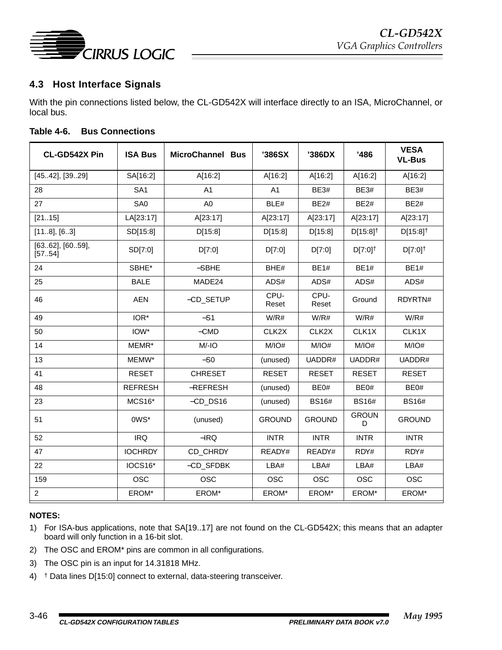

## **4.3 Host Interface Signals**

With the pin connections listed below, the CL-GD542X will interface directly to an ISA, MicroChannel, or local bus.

|  | Table 4-6. | <b>Bus Connections</b> |
|--|------------|------------------------|
|--|------------|------------------------|

| CL-GD542X Pin                   | <b>ISA Bus</b>  | MicroChannel <sup>®</sup> Bus | '386SX         | '386DX        | '486                   | <b>VESA®</b><br><b>VL-Bus</b> ™ |
|---------------------------------|-----------------|-------------------------------|----------------|---------------|------------------------|---------------------------------|
| $[4542]$ , $[3929]$             | SA[16:2]        | A[16:2]                       | A[16:2]        | A[16:2]       | A[16:2]                | A[16:2]                         |
| 28                              | SA <sub>1</sub> | A1                            | A <sub>1</sub> | <b>BE3#</b>   | <b>BE3#</b>            | <b>BE3#</b>                     |
| 27                              | SA <sub>0</sub> | A <sub>0</sub>                | BLE#           | <b>BE2#</b>   | <b>BE2#</b>            | <b>BE2#</b>                     |
| [2115]                          | LA[23:17]       | A[23:17]                      | A[23:17]       | A[23:17]      | A[23:17]               | A[23:17]                        |
| [118], [63]                     | SD[15:8]        | D[15:8]                       | D[15:8]        | D[15:8]       | $D[15:8]$ <sup>†</sup> | $D[15:8]$ <sup>†</sup>          |
| $[6362]$ , $[6059]$ ,<br>[5754] | SD[7:0]         | D[7:0]                        | D[7:0]         | D[7:0]        | $D[7:0]$ <sup>†</sup>  | $D[7:0]$ <sup>†</sup>           |
| 24                              | SBHE*           | $-SBHE$                       | BHE#           | <b>BE1#</b>   | <b>BE1#</b>            | <b>BE1#</b>                     |
| 25                              | <b>BALE</b>     | MADE24                        | ADS#           | ADS#          | ADS#                   | ADS#                            |
| 46                              | <b>AEN</b>      | -CD_SETUP                     | CPU-<br>Reset  | CPU-<br>Reset | Ground                 | RDYRTN#                         |
| 49                              | IOR*            | $-S1$                         | W/R#           | W/R#          | W/R#                   | W/R#                            |
| 50                              | IOW*            | $-CMD$                        | CLK2X          | CLK2X         | CLK1X                  | CLK1X                           |
| 14                              | MEMR*           | $M/-IO$                       | M/IO#          | M/IO#         | M/IO#                  | M/IO#                           |
| 13                              | MEMW*           | $-S0$                         | (unused)       | UADDR#        | UADDR#                 | UADDR#                          |
| 41                              | <b>RESET</b>    | <b>CHRESET</b>                | <b>RESET</b>   | <b>RESET</b>  | <b>RESET</b>           | <b>RESET</b>                    |
| 48                              | <b>REFRESH</b>  | -REFRESH                      | (unused)       | BE0#          | BE0#                   | BE0#                            |
| 23                              | MCS16*          | $-CD$ DS16                    | (unused)       | <b>BS16#</b>  | <b>BS16#</b>           | <b>BS16#</b>                    |
| 51                              | 0WS*            | (unused)                      | <b>GROUND</b>  | <b>GROUND</b> | <b>GROUN</b><br>D      | <b>GROUND</b>                   |
| 52                              | <b>IRQ</b>      | $-IRQ$                        | <b>INTR</b>    | <b>INTR</b>   | <b>INTR</b>            | <b>INTR</b>                     |
| 47                              | <b>IOCHRDY</b>  | CD_CHRDY                      | READY#         | READY#        | RDY#                   | RDY#                            |
| 22                              | IOCS16*         | -CD_SFDBK                     | LBA#           | LBA#          | LBA#                   | LBA#                            |
| 159                             | <b>OSC</b>      | <b>OSC</b>                    | <b>OSC</b>     | <b>OSC</b>    | <b>OSC</b>             | <b>OSC</b>                      |
| $\overline{c}$                  | EROM*           | EROM*                         | EROM*          | EROM*         | EROM*                  | EROM*                           |

#### **NOTES:**

- 2) The OSC and EROM\* pins are common in all configurations.
- 3) The OSC pin is an input for 14.31818 MHz.
- 4) † Data lines D[15:0] connect to external, data-steering transceiver.

<sup>1)</sup> For ISA-bus applications, note that SA[19..17] are not found on the CL-GD542X; this means that an adapter board will only function in a 16-bit slot.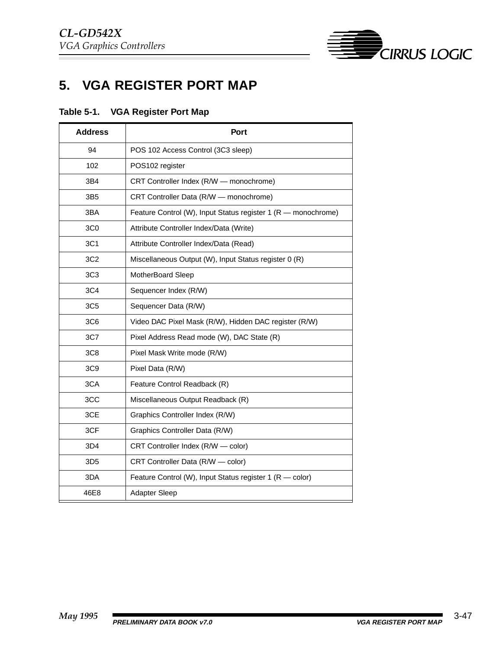

# **5. VGA REGISTER PORT MAP**

| <b>Table 5-1.</b> | <b>VGA Register Port Map</b> |  |
|-------------------|------------------------------|--|
|-------------------|------------------------------|--|

| <b>Address</b>  | Port                                                          |
|-----------------|---------------------------------------------------------------|
| 94              | POS 102 Access Control (3C3 sleep)                            |
| 102             | POS102 register                                               |
| 3B4             | CRT Controller Index (R/W - monochrome)                       |
| 3B5             | CRT Controller Data (R/W - monochrome)                        |
| 3BA             | Feature Control (W), Input Status register 1 (R - monochrome) |
| 3C <sub>0</sub> | Attribute Controller Index/Data (Write)                       |
| 3C1             | Attribute Controller Index/Data (Read)                        |
| 3C <sub>2</sub> | Miscellaneous Output (W), Input Status register 0 (R)         |
| 3C <sub>3</sub> | MotherBoard Sleep                                             |
| 3C <sub>4</sub> | Sequencer Index (R/W)                                         |
| 3C <sub>5</sub> | Sequencer Data (R/W)                                          |
| 3C <sub>6</sub> | Video DAC Pixel Mask (R/W), Hidden DAC register (R/W)         |
| 3C7             | Pixel Address Read mode (W), DAC State (R)                    |
| 3C <sub>8</sub> | Pixel Mask Write mode (R/W)                                   |
| 3C <sub>9</sub> | Pixel Data (R/W)                                              |
| 3CA             | Feature Control Readback (R)                                  |
| 3CC             | Miscellaneous Output Readback (R)                             |
| 3CE             | Graphics Controller Index (R/W)                               |
| 3CF             | Graphics Controller Data (R/W)                                |
| 3D4             | CRT Controller Index (R/W - color)                            |
| 3D <sub>5</sub> | CRT Controller Data (R/W - color)                             |
| 3DA             | Feature Control (W), Input Status register 1 (R - color)      |
| 46E8            | <b>Adapter Sleep</b>                                          |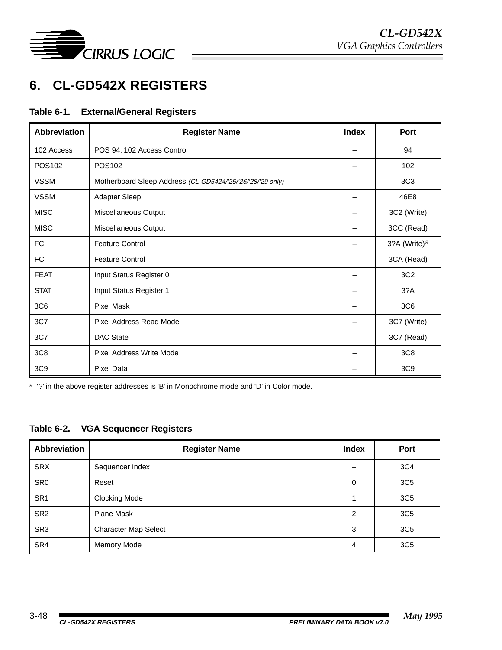

# **6. CL-GD542X REGISTERS**

### **Table 6-1. External/General Registers**

| <b>Abbreviation</b> | <b>Register Name</b>                                       | Index | Port            |
|---------------------|------------------------------------------------------------|-------|-----------------|
| 102 Access          | POS 94: 102 Access Control                                 |       | 94              |
| POS <sub>102</sub>  | POS <sub>102</sub>                                         |       | 102             |
| <b>VSSM</b>         | Motherboard Sleep Address (CL-GD5424/'25/'26/'28/'29 only) |       | 3C <sub>3</sub> |
| <b>VSSM</b>         | Adapter Sleep                                              |       | 46E8            |
| <b>MISC</b>         | Miscellaneous Output                                       |       | 3C2 (Write)     |
| <b>MISC</b>         | Miscellaneous Output                                       |       | 3CC (Read)      |
| <b>FC</b>           | <b>Feature Control</b>                                     |       | 3?A (Write)a    |
| FC                  | <b>Feature Control</b>                                     |       | 3CA (Read)      |
| <b>FEAT</b>         | Input Status Register 0                                    |       | 3C <sub>2</sub> |
| <b>STAT</b>         | Input Status Register 1                                    |       | 3?A             |
| 3C <sub>6</sub>     | <b>Pixel Mask</b>                                          |       | 3C <sub>6</sub> |
| 3C7                 | Pixel Address Read Mode                                    |       | 3C7 (Write)     |
| 3C7                 | <b>DAC State</b>                                           |       | 3C7 (Read)      |
| 3C8                 | Pixel Address Write Mode                                   |       | 3C8             |
| 3C <sub>9</sub>     | <b>Pixel Data</b>                                          |       | 3C9             |

a '?' in the above register addresses is 'B' in Monochrome mode and 'D' in Color mode.

#### **Table 6-2. VGA Sequencer Registers**

| <b>Abbreviation</b> | <b>Register Name</b>        | <b>Index</b> | Port            |
|---------------------|-----------------------------|--------------|-----------------|
| <b>SRX</b>          | Sequencer Index             |              | 3C4             |
| SR <sub>0</sub>     | Reset                       | 0            | 3C <sub>5</sub> |
| SR <sub>1</sub>     | <b>Clocking Mode</b>        |              | 3C <sub>5</sub> |
| SR <sub>2</sub>     | Plane Mask                  | 2            | 3C <sub>5</sub> |
| SR <sub>3</sub>     | <b>Character Map Select</b> | 3            | 3C <sub>5</sub> |
| SR <sub>4</sub>     | <b>Memory Mode</b>          | 4            | 3C <sub>5</sub> |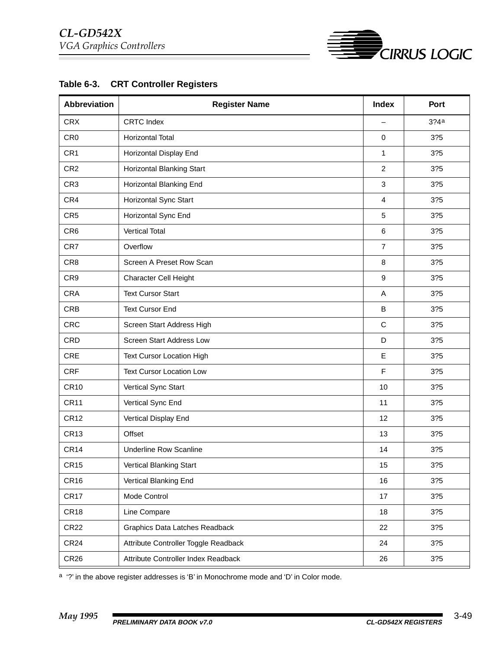

| <b>Abbreviation</b> | <b>Register Name</b>                 |                | Port |
|---------------------|--------------------------------------|----------------|------|
| <b>CRX</b>          | <b>CRTC</b> Index                    |                | 3?4a |
| CR <sub>0</sub>     | <b>Horizontal Total</b>              | $\mathbf 0$    | 3?5  |
| CR1                 | Horizontal Display End               | $\mathbf{1}$   | 3?5  |
| CR <sub>2</sub>     | Horizontal Blanking Start            | $\overline{2}$ | 3?5  |
| CR <sub>3</sub>     | Horizontal Blanking End              | 3              | 3?5  |
| CR4                 | <b>Horizontal Sync Start</b>         | $\overline{4}$ | 3?5  |
| CR <sub>5</sub>     | Horizontal Sync End                  | $\sqrt{5}$     | 3?5  |
| CR <sub>6</sub>     | <b>Vertical Total</b>                | 6              | 3?5  |
| CR7                 | Overflow                             | $\overline{7}$ | 3?5  |
| CR8                 | Screen A Preset Row Scan             | 8              | 3?5  |
| CR <sub>9</sub>     | Character Cell Height                | 9              | 3?5  |
| <b>CRA</b>          | <b>Text Cursor Start</b>             | A              | 3?5  |
| <b>CRB</b>          | <b>Text Cursor End</b>               | B              | 3?5  |
| <b>CRC</b>          | Screen Start Address High            | $\mathsf{C}$   | 3?5  |
| CRD                 | Screen Start Address Low             | D              | 3?5  |
| <b>CRE</b>          | Text Cursor Location High            | E              | 3?5  |
| <b>CRF</b>          | <b>Text Cursor Location Low</b>      | $\mathsf F$    | 3?5  |
| <b>CR10</b>         | Vertical Sync Start                  | 10             | 3?5  |
| <b>CR11</b>         | Vertical Sync End                    | 11             | 3?5  |
| <b>CR12</b>         | Vertical Display End                 | 12             | 3?5  |
| <b>CR13</b>         | Offset                               | 13             | 3?5  |
| CR <sub>14</sub>    | <b>Underline Row Scanline</b>        | 14             | 3?5  |
| CR15                | Vertical Blanking Start              | 15             | 3?5  |
| CR <sub>16</sub>    | Vertical Blanking End                | 16             | 3?5  |
| CR17                | Mode Control                         | 17             | 3?5  |
| CR <sub>18</sub>    | Line Compare                         | 18             | 3?5  |
| <b>CR22</b>         | Graphics Data Latches Readback       | 22             | 3?5  |
| CR <sub>24</sub>    | Attribute Controller Toggle Readback | 24             | 3?5  |
| CR <sub>26</sub>    | Attribute Controller Index Readback  | 26             | 3?5  |

| Table 6-3. |  | <b>CRT Controller Registers</b> |  |
|------------|--|---------------------------------|--|
|------------|--|---------------------------------|--|

a '?' in the above register addresses is 'B' in Monochrome mode and 'D' in Color mode.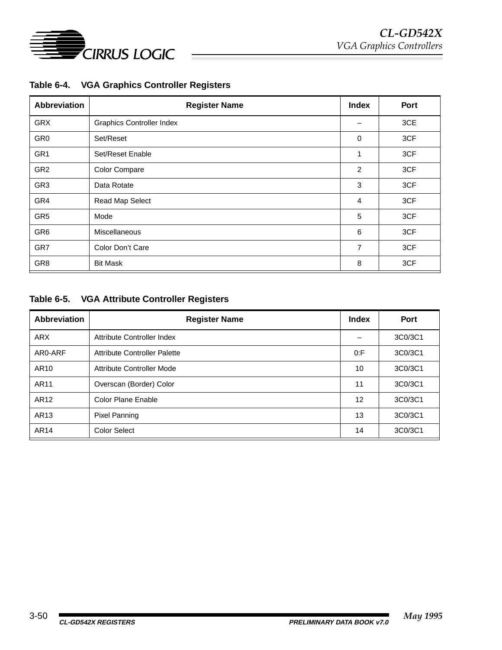

| Table 6-4. |  |  | <b>VGA Graphics Controller Registers</b> |  |
|------------|--|--|------------------------------------------|--|
|------------|--|--|------------------------------------------|--|

| Abbreviation    | <b>Register Name</b>             | <b>Index</b>   | Port |
|-----------------|----------------------------------|----------------|------|
| <b>GRX</b>      | <b>Graphics Controller Index</b> |                | 3CE  |
| GR <sub>0</sub> | Set/Reset                        | 0              | 3CF  |
| GR <sub>1</sub> | Set/Reset Enable                 | 1              | 3CF  |
| GR <sub>2</sub> | Color Compare                    | $\overline{2}$ | 3CF  |
| GR <sub>3</sub> | Data Rotate                      | 3              | 3CF  |
| GR4             | Read Map Select                  | 4              | 3CF  |
| GR <sub>5</sub> | Mode                             | 5              | 3CF  |
| GR <sub>6</sub> | <b>Miscellaneous</b>             | 6              | 3CF  |
| GR7             | Color Don't Care                 | 7              | 3CF  |
| GR <sub>8</sub> | <b>Bit Mask</b>                  | 8              | 3CF  |

## **Table 6-5. VGA Attribute Controller Registers**

| <b>Abbreviation</b> | <b>Register Name</b>         | Index  | <b>Port</b> |
|---------------------|------------------------------|--------|-------------|
| ARX                 | Attribute Controller Index   |        | 3C0/3C1     |
| AR0-ARF             | Attribute Controller Palette | $0:$ F | 3C0/3C1     |
| AR10                | Attribute Controller Mode    | 10     | 3C0/3C1     |
| AR11                | Overscan (Border) Color      | 11     | 3C0/3C1     |
| AR12                | <b>Color Plane Enable</b>    | 12     | 3C0/3C1     |
| AR13                | <b>Pixel Panning</b>         | 13     | 3C0/3C1     |
| AR14                | Color Select                 | 14     | 3C0/3C1     |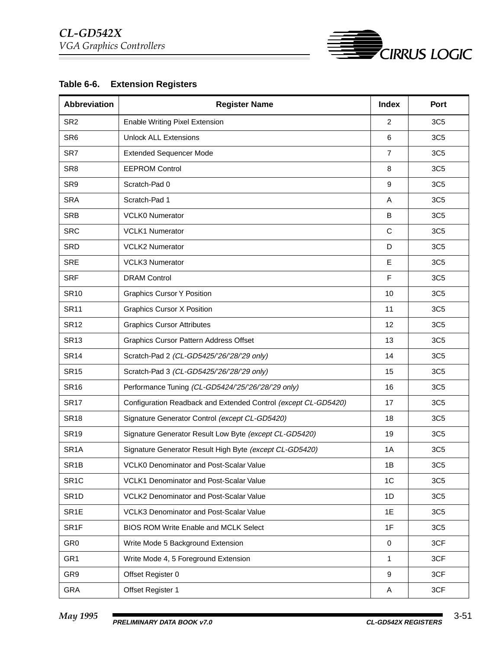

## **Table 6-6. Extension Registers**

| <b>Abbreviation</b> | <b>Register Name</b>                                           | <b>Index</b>   | Port            |
|---------------------|----------------------------------------------------------------|----------------|-----------------|
| SR <sub>2</sub>     | <b>Enable Writing Pixel Extension</b>                          | 2              | 3C <sub>5</sub> |
| SR <sub>6</sub>     | <b>Unlock ALL Extensions</b>                                   | 6              | 3C <sub>5</sub> |
| SR7                 | <b>Extended Sequencer Mode</b>                                 | $\overline{7}$ | 3C <sub>5</sub> |
| SR <sub>8</sub>     | <b>EEPROM Control</b>                                          | 8              | 3C <sub>5</sub> |
| SR9                 | Scratch-Pad 0                                                  | 9              | 3C <sub>5</sub> |
| <b>SRA</b>          | Scratch-Pad 1                                                  | A              | 3C <sub>5</sub> |
| <b>SRB</b>          | <b>VCLK0 Numerator</b>                                         | B              | 3C <sub>5</sub> |
| <b>SRC</b>          | <b>VCLK1 Numerator</b>                                         | C              | 3C <sub>5</sub> |
| <b>SRD</b>          | <b>VCLK2 Numerator</b>                                         | D              | 3C <sub>5</sub> |
| <b>SRE</b>          | <b>VCLK3 Numerator</b>                                         | E              | 3C <sub>5</sub> |
| <b>SRF</b>          | <b>DRAM Control</b>                                            | F              | 3C <sub>5</sub> |
| <b>SR10</b>         | <b>Graphics Cursor Y Position</b>                              | 10             | 3C <sub>5</sub> |
| <b>SR11</b>         | <b>Graphics Cursor X Position</b>                              | 11             | 3C <sub>5</sub> |
| <b>SR12</b>         | <b>Graphics Cursor Attributes</b>                              | 12             | 3C <sub>5</sub> |
| <b>SR13</b>         | Graphics Cursor Pattern Address Offset                         | 13             | 3C <sub>5</sub> |
| <b>SR14</b>         | Scratch-Pad 2 (CL-GD5425/'26/'28/'29 only)                     | 14             | 3C <sub>5</sub> |
| <b>SR15</b>         | Scratch-Pad 3 (CL-GD5425/'26/'28/'29 only)                     | 15             | 3C <sub>5</sub> |
| <b>SR16</b>         | Performance Tuning (CL-GD5424/'25/'26/'28/'29 only)            | 16             | 3C <sub>5</sub> |
| <b>SR17</b>         | Configuration Readback and Extended Control (except CL-GD5420) | 17             | 3C <sub>5</sub> |
| <b>SR18</b>         | Signature Generator Control (except CL-GD5420)                 | 18             | 3C <sub>5</sub> |
| <b>SR19</b>         | Signature Generator Result Low Byte (except CL-GD5420)         | 19             | 3C <sub>5</sub> |
| SR <sub>1</sub> A   | Signature Generator Result High Byte (except CL-GD5420)        | 1A             | 3C <sub>5</sub> |
| SR <sub>1</sub> B   | <b>VCLK0 Denominator and Post-Scalar Value</b>                 | 1B             | 3C5             |
| SR <sub>1C</sub>    | <b>VCLK1 Denominator and Post-Scalar Value</b>                 | 1C             | 3C <sub>5</sub> |
| SR <sub>1</sub> D   | VCLK2 Denominator and Post-Scalar Value                        | 1D             | 3C <sub>5</sub> |
| SR <sub>1E</sub>    | <b>VCLK3 Denominator and Post-Scalar Value</b>                 | 1E             | 3C <sub>5</sub> |
| SR <sub>1F</sub>    | <b>BIOS ROM Write Enable and MCLK Select</b>                   | 1F             | 3C <sub>5</sub> |
| GR <sub>0</sub>     | Write Mode 5 Background Extension                              | $\mathbf 0$    | 3CF             |
| GR <sub>1</sub>     | Write Mode 4, 5 Foreground Extension                           | 1              | 3CF             |
| GR9                 | Offset Register 0                                              | 9              | 3CF             |
| <b>GRA</b>          | Offset Register 1                                              | Α              | 3CF             |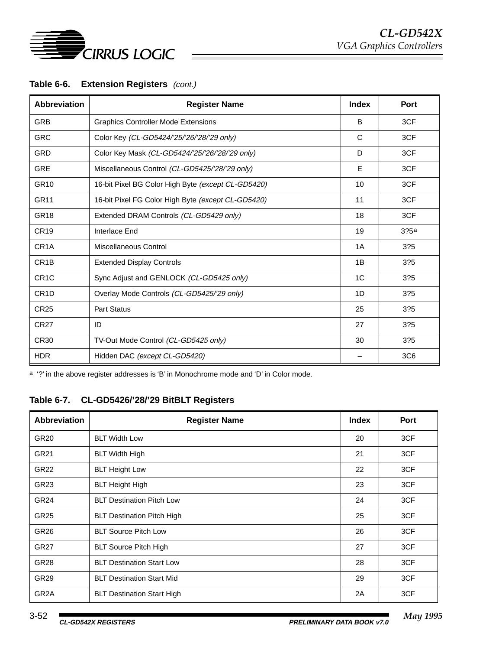

## Table 6-6. Extension Registers (cont.)

| <b>Abbreviation</b> | <b>Register Name</b>                               | <b>Index</b>   | Port            |
|---------------------|----------------------------------------------------|----------------|-----------------|
| <b>GRB</b>          | <b>Graphics Controller Mode Extensions</b>         | B              | 3CF             |
| <b>GRC</b>          | Color Key (CL-GD5424/'25/'26/'28/'29 only)         | C              | 3CF             |
| <b>GRD</b>          | Color Key Mask (CL-GD5424/'25/'26/'28/'29 only)    | D              | 3CF             |
| <b>GRE</b>          | Miscellaneous Control (CL-GD5425/'28/'29 only)     | E              | 3CF             |
| GR <sub>10</sub>    | 16-bit Pixel BG Color High Byte (except CL-GD5420) | 10             | 3CF             |
| <b>GR11</b>         | 16-bit Pixel FG Color High Byte (except CL-GD5420) | 11             | 3CF             |
| GR <sub>18</sub>    | Extended DRAM Controls (CL-GD5429 only)            | 18             | 3CF             |
| <b>CR19</b>         | Interlace End                                      | 19             | 325a            |
| CR <sub>1</sub> A   | Miscellaneous Control                              | 1A             | 3?5             |
| CR <sub>1</sub> B   | <b>Extended Display Controls</b>                   | 1B             | 3?5             |
| CR <sub>1</sub> C   | Sync Adjust and GENLOCK (CL-GD5425 only)           | 1 <sup>C</sup> | 3?5             |
| CR <sub>1</sub> D   | Overlay Mode Controls (CL-GD5425/'29 only)         | 1D             | 3?5             |
| CR <sub>25</sub>    | <b>Part Status</b>                                 | 25             | 3?5             |
| <b>CR27</b>         | ID                                                 | 27             | 3?5             |
| <b>CR30</b>         | TV-Out Mode Control (CL-GD5425 only)               | 30             | 3?5             |
| <b>HDR</b>          | Hidden DAC (except CL-GD5420)                      |                | 3C <sub>6</sub> |

a '?' in the above register addresses is 'B' in Monochrome mode and 'D' in Color mode.

## **Table 6-7. CL-GD5426/'28/'29 BitBLT Registers**

| <b>Abbreviation</b> | <b>Register Name</b>              | <b>Index</b> | Port |
|---------------------|-----------------------------------|--------------|------|
| GR <sub>20</sub>    | <b>BLT Width Low</b>              | 20           | 3CF  |
| GR21                | <b>BLT Width High</b>             | 21           | 3CF  |
| GR22                | <b>BLT Height Low</b>             | 22           | 3CF  |
| GR23                | <b>BLT Height High</b>            | 23           | 3CF  |
| <b>GR24</b>         | <b>BLT Destination Pitch Low</b>  | 24           | 3CF  |
| GR <sub>25</sub>    | <b>BLT Destination Pitch High</b> | 25           | 3CF  |
| GR26                | <b>BLT Source Pitch Low</b>       | 26           | 3CF  |
| <b>GR27</b>         | <b>BLT Source Pitch High</b>      | 27           | 3CF  |
| <b>GR28</b>         | <b>BLT Destination Start Low</b>  | 28           | 3CF  |
| GR29                | <b>BLT Destination Start Mid</b>  | 29           | 3CF  |
| GR <sub>2</sub> A   | <b>BLT Destination Start High</b> | 2A           | 3CF  |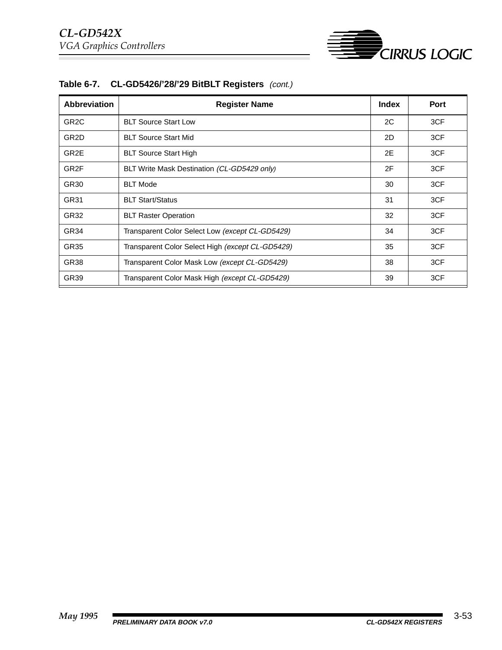

| <b>Abbreviation</b> | <b>Register Name</b>                             | <b>Index</b> | <b>Port</b> |
|---------------------|--------------------------------------------------|--------------|-------------|
| GR <sub>2</sub> C   | <b>BLT Source Start Low</b>                      | 2C           | 3CF         |
| GR <sub>2</sub> D   | <b>BLT Source Start Mid</b>                      | 2D           | 3CF         |
| GR <sub>2</sub> E   | <b>BLT Source Start High</b>                     | 2E           | 3CF         |
| GR <sub>2</sub> F   | BLT Write Mask Destination (CL-GD5429 only)      | 2F           | 3CF         |
| GR30                | <b>BLT Mode</b>                                  | 30           | 3CF         |
| GR31                | <b>BLT Start/Status</b>                          | 31           | 3CF         |
| GR32                | <b>BLT Raster Operation</b>                      | 32           | 3CF         |
| <b>GR34</b>         | Transparent Color Select Low (except CL-GD5429)  | 34           | 3CF         |
| <b>GR35</b>         | Transparent Color Select High (except CL-GD5429) | 35           | 3CF         |
| GR <sub>38</sub>    | Transparent Color Mask Low (except CL-GD5429)    | 38           | 3CF         |
| GR39                | Transparent Color Mask High (except CL-GD5429)   | 39           | 3CF         |

**Table 6-7. CL-GD5426/'28/'29 BitBLT Registers** (cont.)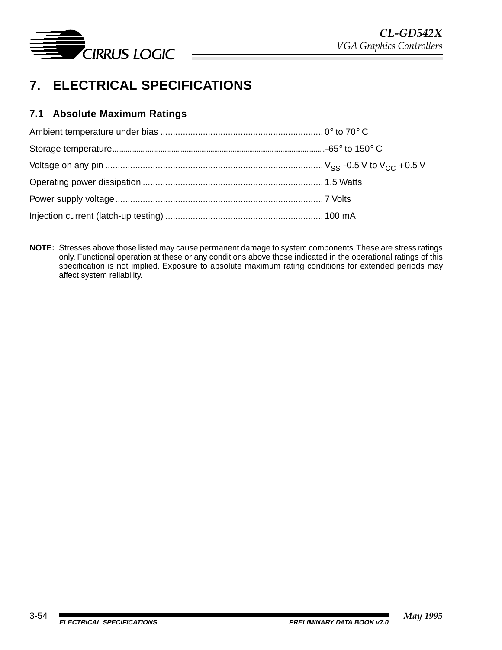

# **7. ELECTRICAL SPECIFICATIONS**

## **7.1 Absolute Maximum Ratings**

**NOTE:** Stresses above those listed may cause permanent damage to system components. These are stress ratings only. Functional operation at these or any conditions above those indicated in the operational ratings of this specification is not implied. Exposure to absolute maximum rating conditions for extended periods may affect system reliability.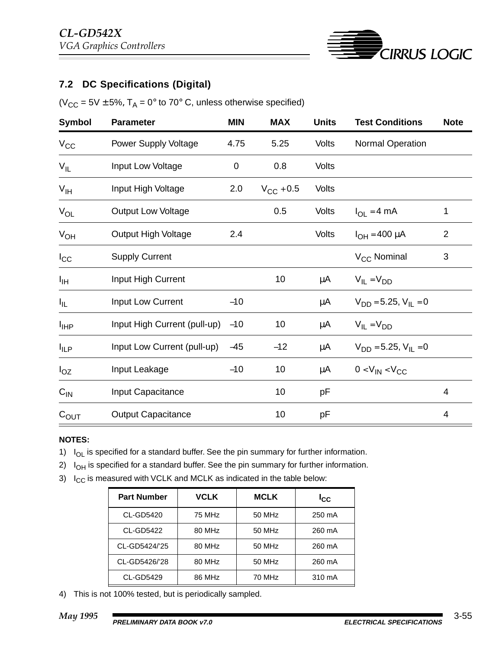

## **7.2 DC Specifications (Digital)**

( $V_{CC}$  = 5V ± 5%, T<sub>A</sub> = 0° to 70° C, unless otherwise specified)

| <b>Symbol</b>           | <b>Parameter</b>             | <b>MIN</b> | <b>MAX</b>            | <b>Units</b> | <b>Test Conditions</b>      | <b>Note</b>    |
|-------------------------|------------------------------|------------|-----------------------|--------------|-----------------------------|----------------|
| $V_{CC}$                | Power Supply Voltage         | 4.75       | 5.25                  | Volts        | Normal Operation            |                |
| $V_{IL}$                | Input Low Voltage            | 0          | 0.8                   | <b>Volts</b> |                             |                |
| $V_{\text{IH}}$         | Input High Voltage           | 2.0        | $V_{\text{CC}} + 0.5$ | Volts        |                             |                |
| $V_{OL}$                | <b>Output Low Voltage</b>    |            | 0.5                   | Volts        | $I_{OL} = 4 mA$             | 1              |
| $V_{OH}$                | <b>Output High Voltage</b>   | 2.4        |                       | Volts        | $I_{OH} = 400 \mu A$        | $\overline{2}$ |
| $I_{\rm CC}$            | <b>Supply Current</b>        |            |                       |              | V <sub>CC</sub> Nominal     | 3              |
| ŀщ                      | Input High Current           |            | 10                    | μA           | $V_{II} = V_{DD}$           |                |
| $I_{\parallel L}$       | Input Low Current            | $-10$      |                       | μA           | $V_{DD} = 5.25, V_{II} = 0$ |                |
| <b>I</b> <sub>IHP</sub> | Input High Current (pull-up) | $-10$      | 10                    | μA           | $V_{IL} = V_{DD}$           |                |
| $I_{ILP}$               | Input Low Current (pull-up)  | $-45$      | $-12$                 | μA           | $V_{DD} = 5.25, V_{IL} = 0$ |                |
| $I_{OZ}$                | Input Leakage                | $-10$      | 10                    | μA           | $0 < V_{IN} < V_{CC}$       |                |
| $C_{IN}$                | Input Capacitance            |            | 10                    | рF           |                             | 4              |
| $C_{OUT}$               | <b>Output Capacitance</b>    |            | 10                    | pF           |                             | 4              |

#### **NOTES:**

1)  $I_{OL}$  is specified for a standard buffer. See the pin summary for further information.

2)  $I_{OH}$  is specified for a standard buffer. See the pin summary for further information.

3)  $I_{CC}$  is measured with VCLK and MCLK as indicated in the table below:

| <b>Part Number</b> | <b>VCLK</b> | <b>MCLK</b> | <b>I</b> cc |
|--------------------|-------------|-------------|-------------|
| CL-GD5420          | 75 MHz      | 50 MHz      | 250 mA      |
| <b>CL-GD5422</b>   | 80 MHz      | 50 MHz      | 260 mA      |
| CL-GD5424/'25      | 80 MHz      | 50 MHz      | 260 mA      |
| CL-GD5426/'28      | 80 MHz      | 50 MHz      | 260 mA      |
| CL-GD5429          | 86 MHz      | 70 MHz      | 310 mA      |

4) This is not 100% tested, but is periodically sampled.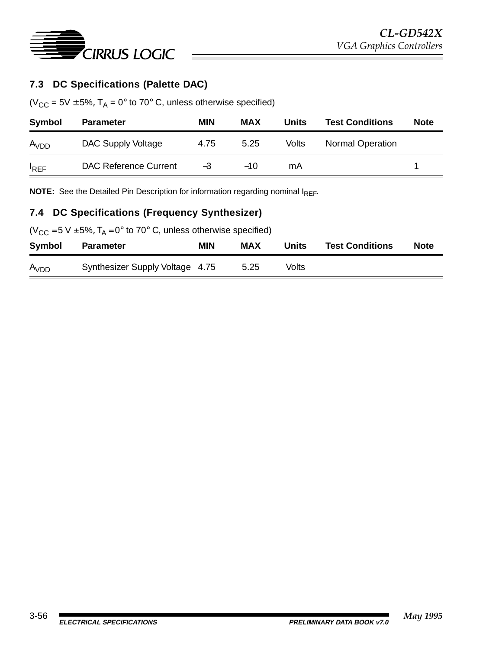

## **7.3 DC Specifications (Palette DAC)**

( $V_{CC}$  = 5V ± 5%, T<sub>A</sub> = 0° to 70° C, unless otherwise specified)

| Symbol           | <b>Parameter</b>      | <b>MIN</b> | <b>MAX</b> | Units | <b>Test Conditions</b>  | <b>Note</b> |
|------------------|-----------------------|------------|------------|-------|-------------------------|-------------|
| A <sub>VDD</sub> | DAC Supply Voltage    | 4.75       | 5.25       | Volts | <b>Normal Operation</b> |             |
| $I_{REF}$        | DAC Reference Current | $-3$       | $-10$      | mA    |                         |             |

**NOTE:** See the Detailed Pin Description for information regarding nominal IREF.

## **7.4 DC Specifications (Frequency Synthesizer)**

( $V_{CC}$  = 5 V  $\pm$  5%,  $T_A$  = 0° to 70° C, unless otherwise specified)

| <b>Symbol</b>    | <b>Parameter</b>                | <b>MIN</b> | <b>MAX</b> | Units | <b>Test Conditions</b> | <b>Note</b> |
|------------------|---------------------------------|------------|------------|-------|------------------------|-------------|
| A <sub>VDD</sub> | Synthesizer Supply Voltage 4.75 |            | 5.25       | Volts |                        |             |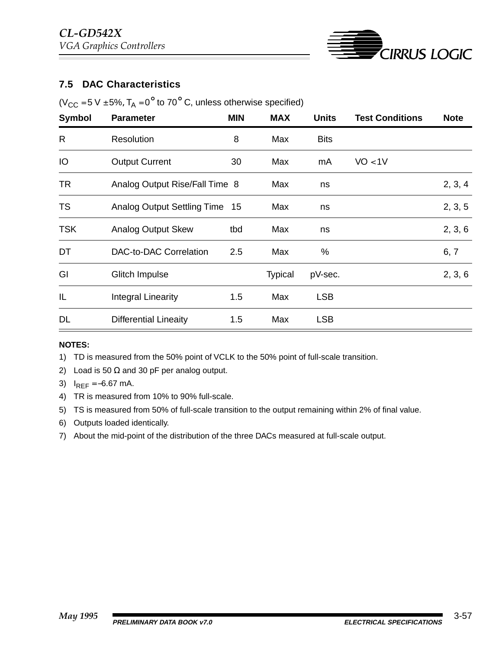

## **7.5 DAC Characteristics**

| <b>Symbol</b> | <b>Parameter</b>               | <b>MIN</b> | <b>MAX</b>     | <b>Units</b> | <b>Test Conditions</b> | <b>Note</b> |
|---------------|--------------------------------|------------|----------------|--------------|------------------------|-------------|
| R             | Resolution                     | 8          | Max            | <b>Bits</b>  |                        |             |
| IO            | <b>Output Current</b>          | 30         | Max            | mA           | VO < 1V                |             |
| TR            | Analog Output Rise/Fall Time 8 |            | Max            | ns           |                        | 2, 3, 4     |
| <b>TS</b>     | Analog Output Settling Time 15 |            | Max            | ns           |                        | 2, 3, 5     |
| <b>TSK</b>    | <b>Analog Output Skew</b>      | tbd        | Max            | ns           |                        | 2, 3, 6     |
| DT            | DAC-to-DAC Correlation         | 2.5        | Max            | %            |                        | 6, 7        |
| GI            | Glitch Impulse                 |            | <b>Typical</b> | pV-sec.      |                        | 2, 3, 6     |
| IL.           | <b>Integral Linearity</b>      | 1.5        | Max            | <b>LSB</b>   |                        |             |
| <b>DL</b>     | <b>Differential Lineaity</b>   | 1.5        | Max            | <b>LSB</b>   |                        |             |

( $V_{CC}$  = 5 V  $\pm$  5%,  $T_A$  = 0° to 70° C, unless otherwise specified)

#### **NOTES:**

- 1) TD is measured from the 50% point of VCLK to the 50% point of full-scale transition.
- 2) Load is 50  $\Omega$  and 30 pF per analog output.
- 3)  $I_{RFF} = -6.67$  mA.
- 4) TR is measured from 10% to 90% full-scale.
- 5) TS is measured from 50% of full-scale transition to the output remaining within 2% of final value.
- 6) Outputs loaded identically.
- 7) About the mid-point of the distribution of the three DACs measured at full-scale output.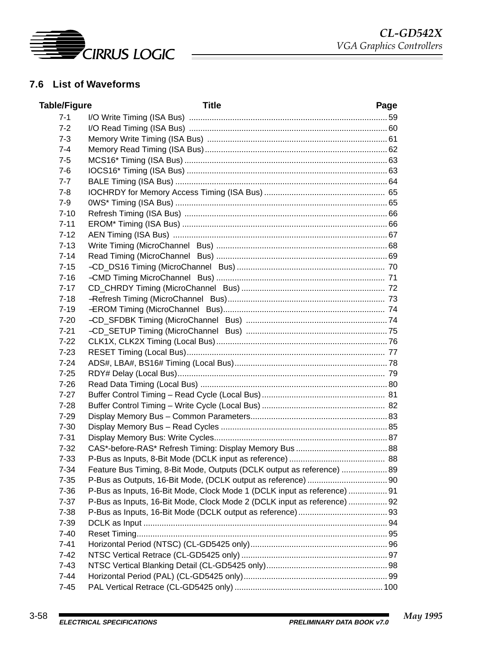

## **7.6 List of Waveforms**

| <b>Table/Figure</b> | <b>Title</b>                                                             | Page |
|---------------------|--------------------------------------------------------------------------|------|
| $7 - 1$             |                                                                          |      |
| $7 - 2$             |                                                                          |      |
| $7 - 3$             |                                                                          |      |
| $7 - 4$             |                                                                          |      |
| $7 - 5$             |                                                                          |      |
| $7-6$               |                                                                          |      |
| $7 - 7$             |                                                                          |      |
| $7 - 8$             |                                                                          |      |
| $7-9$               |                                                                          |      |
| $7 - 10$            |                                                                          |      |
| $7 - 11$            |                                                                          |      |
| $7 - 12$            |                                                                          |      |
| $7 - 13$            |                                                                          |      |
| $7 - 14$            |                                                                          |      |
| $7 - 15$            |                                                                          |      |
| $7 - 16$            |                                                                          |      |
| $7 - 17$            |                                                                          |      |
| $7 - 18$            |                                                                          |      |
| $7 - 19$            |                                                                          |      |
| $7 - 20$            |                                                                          |      |
| $7 - 21$            |                                                                          |      |
| $7 - 22$            |                                                                          |      |
| $7 - 23$            |                                                                          |      |
| $7 - 24$            |                                                                          |      |
| $7 - 25$            |                                                                          |      |
| $7 - 26$            |                                                                          |      |
| $7 - 27$            |                                                                          |      |
| $7 - 28$            |                                                                          |      |
| $7 - 29$            |                                                                          |      |
| $7 - 30$            |                                                                          |      |
| $7 - 31$            |                                                                          |      |
| $7 - 32$            |                                                                          |      |
| $7 - 33$            |                                                                          |      |
| $7 - 34$            | Feature Bus Timing, 8-Bit Mode, Outputs (DCLK output as reference)  89   |      |
| $7 - 35$            |                                                                          |      |
| $7 - 36$            | P-Bus as Inputs, 16-Bit Mode, Clock Mode 1 (DCLK input as reference)  91 |      |
| $7 - 37$            | P-Bus as Inputs, 16-Bit Mode, Clock Mode 2 (DCLK input as reference)  92 |      |
| $7 - 38$            |                                                                          |      |
| $7 - 39$            |                                                                          |      |
| $7 - 40$            |                                                                          |      |
| $7 - 41$            |                                                                          |      |
| $7 - 42$            |                                                                          |      |
| $7 - 43$            |                                                                          |      |
| $7 - 44$            |                                                                          |      |
| $7 - 45$            |                                                                          |      |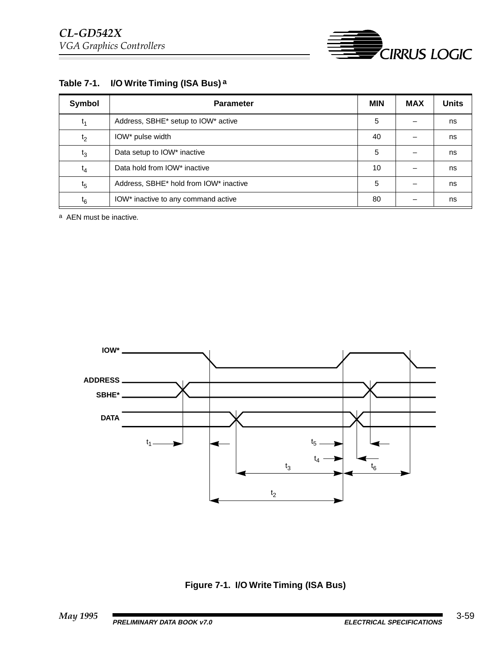

<span id="page-58-0"></span>

| Table 7-1. | I/O Write Timing (ISA Bus) <sup>a</sup> |  |
|------------|-----------------------------------------|--|
|            |                                         |  |

| Symbol         | <b>Parameter</b>                       | <b>MIN</b> | <b>MAX</b> | <b>Units</b> |
|----------------|----------------------------------------|------------|------------|--------------|
| t <sub>1</sub> | Address, SBHE* setup to IOW* active    | 5          |            | ns           |
| t <sub>2</sub> | IOW* pulse width                       | 40         |            | ns           |
| $t_3$          | Data setup to IOW* inactive            | 5          |            | ns           |
| $t_4$          | Data hold from IOW* inactive           | 10         |            | ns           |
| $t_5$          | Address, SBHE* hold from IOW* inactive | 5          |            | ns           |
| $t_6$          | IOW* inactive to any command active    | 80         |            | ns           |

a AEN must be inactive.



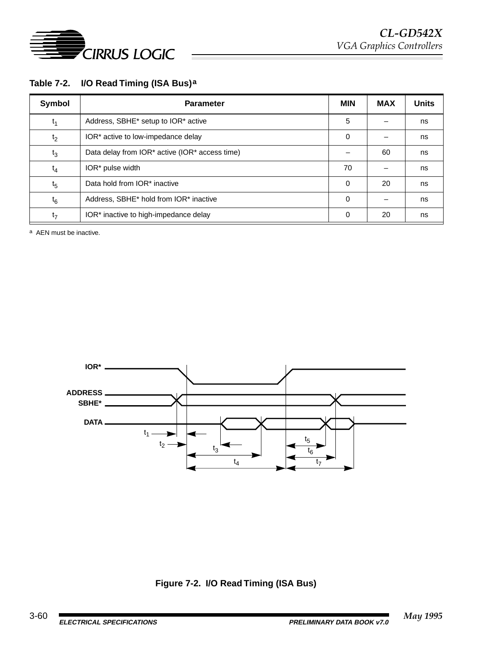<span id="page-59-0"></span>

## **Table 7-2. I/O Read Timing (ISA Bus)a**

| Symbol         | <b>Parameter</b>                               | <b>MIN</b> | <b>MAX</b> | <b>Units</b> |
|----------------|------------------------------------------------|------------|------------|--------------|
| $t_1$          | Address, SBHE* setup to IOR* active            | 5          |            | ns           |
| t <sub>2</sub> | IOR <sup>*</sup> active to low-impedance delay | 0          |            | ns           |
| $t_3$          | Data delay from IOR* active (IOR* access time) |            | 60         | ns           |
| $t_4$          | IOR <sup>*</sup> pulse width                   | 70         |            | ns           |
| $t_5$          | Data hold from IOR* inactive                   | 0          | 20         | ns           |
| $t_6$          | Address, SBHE* hold from IOR* inactive         | 0          |            | ns           |
| t <sub>7</sub> | IOR* inactive to high-impedance delay          | 0          | 20         | ns           |

a AEN must be inactive.



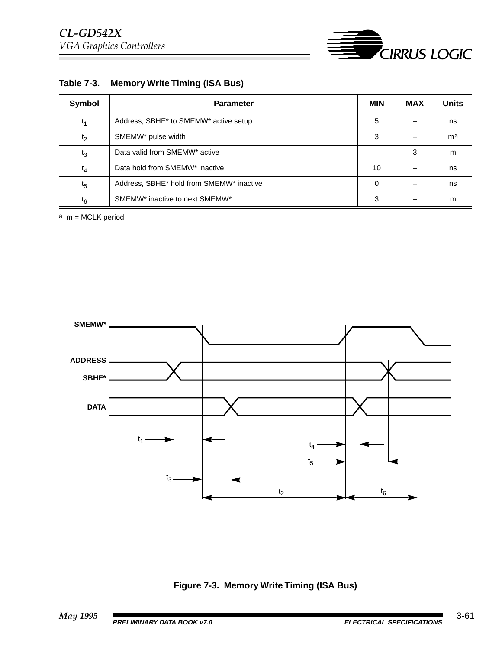

<span id="page-60-0"></span>

| Table 7-3. Memory Write Timing (ISA Bus) |  |  |  |
|------------------------------------------|--|--|--|
|                                          |  |  |  |

| Symbol         | <b>Parameter</b>                         | MIN | <b>MAX</b> | <b>Units</b> |
|----------------|------------------------------------------|-----|------------|--------------|
| t <sub>1</sub> | Address, SBHE* to SMEMW* active setup    | 5   |            | ns           |
| t <sub>2</sub> | SMEMW* pulse width                       | 3   |            | ma           |
| $t_3$          | Data valid from SMEMW* active            |     | 3          | m            |
| $t_4$          | Data hold from SMEMW* inactive           | 10  |            | ns           |
| $t_5$          | Address, SBHE* hold from SMEMW* inactive | 0   |            | ns           |
| $t_6$          | SMEMW* inactive to next SMEMW*           | 3   |            | m            |

 $a$  m = MCLK period.



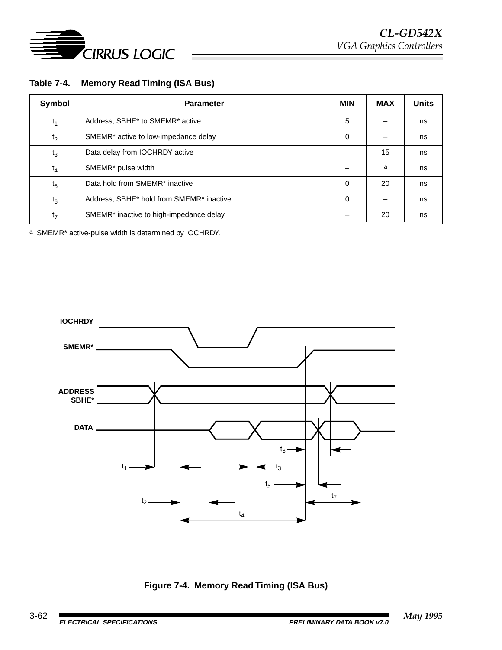<span id="page-61-0"></span>

## **Table 7-4. Memory Read Timing (ISA Bus)**

| Symbol         | <b>Parameter</b>                         | <b>MIN</b> | <b>MAX</b> | <b>Units</b> |
|----------------|------------------------------------------|------------|------------|--------------|
| $t_1$          | Address, SBHE* to SMEMR* active          | 5          |            | ns           |
| t <sub>2</sub> | SMEMR* active to low-impedance delay     | 0          |            | ns           |
| $t_3$          | Data delay from IOCHRDY active           |            | 15         | ns           |
| $t_4$          | SMEMR* pulse width                       |            | a          | ns           |
| $t_5$          | Data hold from SMEMR* inactive           | 0          | 20         | ns           |
| $t_6$          | Address, SBHE* hold from SMEMR* inactive | 0          |            | ns           |
| t <sub>7</sub> | SMEMR* inactive to high-impedance delay  |            | 20         | ns           |

a SMEMR\* active-pulse width is determined by IOCHRDY.



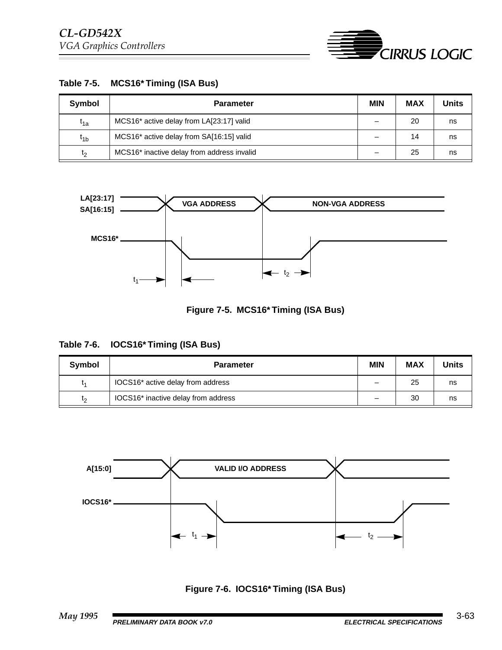

<span id="page-62-0"></span>**Table 7-5. MCS16\* Timing (ISA Bus)**

| Symbol   | <b>Parameter</b>                           | <b>MIN</b> | <b>MAX</b> | Units |
|----------|--------------------------------------------|------------|------------|-------|
| $t_{1a}$ | MCS16* active delay from LA[23:17] valid   |            | 20         | ns    |
| $t_{1b}$ | MCS16* active delay from SA[16:15] valid   |            | 14         | ns    |
| t2       | MCS16* inactive delay from address invalid |            | 25         | ns    |



**Figure 7-5. MCS16\* Timing (ISA Bus)**

**Table 7-6. IOCS16\* Timing (ISA Bus)**

| Symbol | <b>Parameter</b>                              |   | <b>MAX</b> | <b>Units</b> |
|--------|-----------------------------------------------|---|------------|--------------|
| ι1     | IOCS16 <sup>*</sup> active delay from address | - | 25         | ns           |
| to     | IOCS16* inactive delay from address           | - | 30         | ns           |



**Figure 7-6. IOCS16\* Timing (ISA Bus)**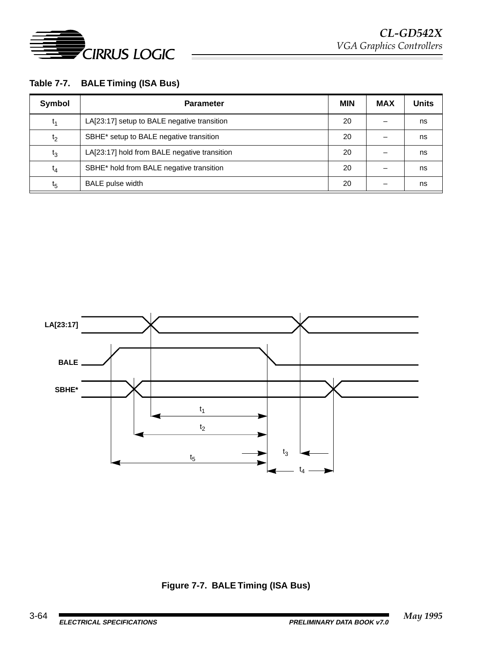<span id="page-63-0"></span>

## **Table 7-7. BALE Timing (ISA Bus)**

| Symbol         | <b>Parameter</b>                             | <b>MIN</b> | <b>MAX</b> | <b>Units</b> |
|----------------|----------------------------------------------|------------|------------|--------------|
| t <sub>1</sub> | LA[23:17] setup to BALE negative transition  | 20         |            | ns           |
| t <sub>2</sub> | SBHE* setup to BALE negative transition      | 20         |            | ns           |
| $t_3$          | LA[23:17] hold from BALE negative transition | 20         |            | ns           |
| $t_4$          | SBHE* hold from BALE negative transition     | 20         |            | ns           |
| $t_{5}$        | <b>BALE</b> pulse width                      | 20         |            | ns           |



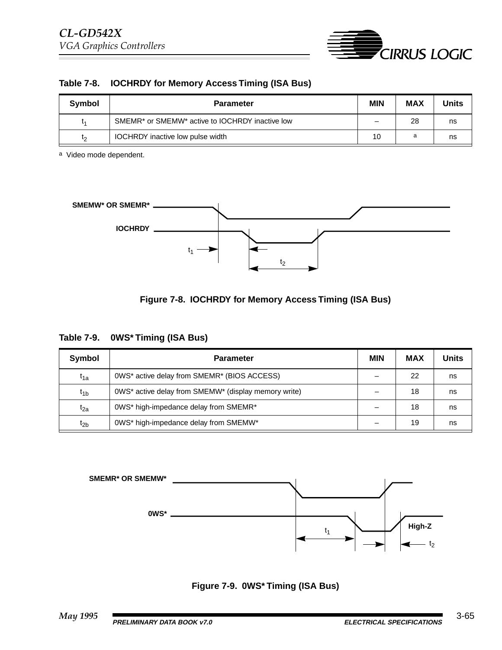

#### <span id="page-64-0"></span>**Table 7-8. IOCHRDY for Memory Access Timing (ISA Bus)**

| Symbol | <b>Parameter</b>                                |    | <b>MAX</b> | Units |
|--------|-------------------------------------------------|----|------------|-------|
| ι1     | SMEMR* or SMEMW* active to IOCHRDY inactive low | -  | 28         | ns    |
| しつ     | <b>IOCHRDY</b> inactive low pulse width         | 10 | a          | ns    |

a Video mode dependent.





**Table 7-9. 0WS\* Timing (ISA Bus)**

| Symbol   | <b>Parameter</b>                                     |   | MAX | <b>Units</b> |
|----------|------------------------------------------------------|---|-----|--------------|
| $t_{1a}$ | 0WS* active delay from SMEMR* (BIOS ACCESS)          | - | 22  | ns           |
| $t_{1b}$ | 0WS* active delay from SMEMW* (display memory write) |   | 18  | ns           |
| $t_{2a}$ | 0WS* high-impedance delay from SMEMR*                |   | 18  | ns           |
| $t_{2b}$ | 0WS* high-impedance delay from SMEMW*                | - | 19  | ns           |



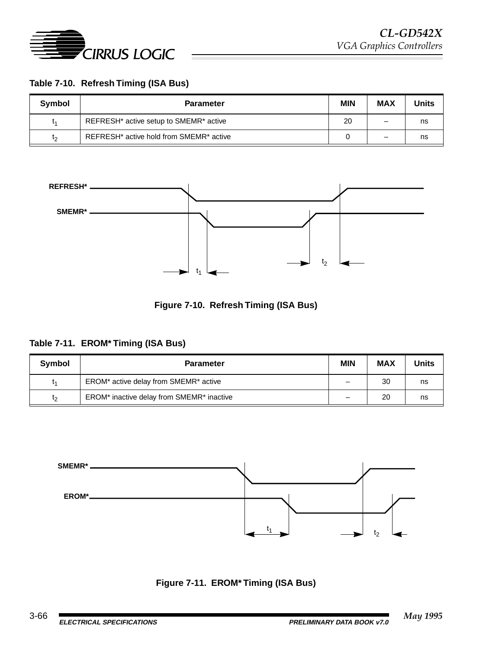<span id="page-65-0"></span>

## **Table 7-10. Refresh Timing (ISA Bus)**

| Symbol | <b>Parameter</b>                                               |    | <b>MAX</b>               | Units |
|--------|----------------------------------------------------------------|----|--------------------------|-------|
|        | REFRESH <sup>*</sup> active setup to SMEMR <sup>*</sup> active | 20 | $\overline{\phantom{0}}$ | ns    |
| しつ     | REFRESH* active hold from SMEMR* active                        |    | $\qquad \qquad$          | ns    |





#### **Table 7-11. EROM\* Timing (ISA Bus)**

| Symbol | <b>Parameter</b>                          | <b>MIN</b> | <b>MAX</b> | Units |
|--------|-------------------------------------------|------------|------------|-------|
| ι1     | EROM* active delay from SMEMR* active     | -          | 30         | ns    |
| l2     | EROM* inactive delay from SMEMR* inactive | -          | 20         | ns    |



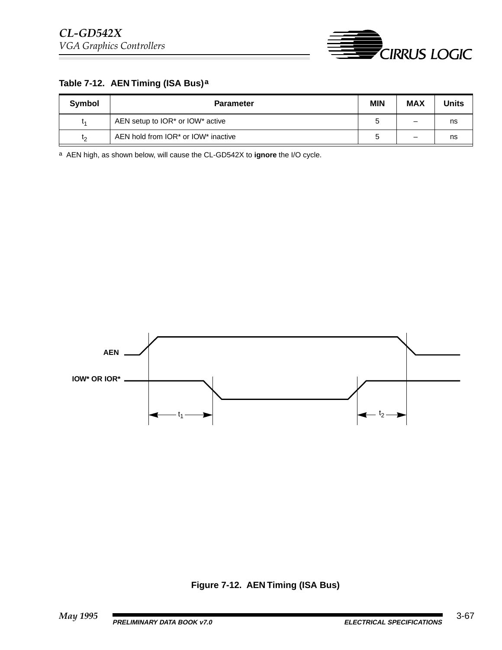

## <span id="page-66-0"></span>**Table 7-12. AEN Timing (ISA Bus)a**

| Symbol | <b>Parameter</b>                                         |  | <b>MAX</b> | Units |
|--------|----------------------------------------------------------|--|------------|-------|
| ι1     | AEN setup to IOR <sup>*</sup> or IOW <sup>*</sup> active |  | -          | ns    |
| しつ     | AEN hold from IOR* or IOW* inactive                      |  | -          | ns    |

a AEN high, as shown below, will cause the CL-GD542X to **ignore** the I/O cycle.



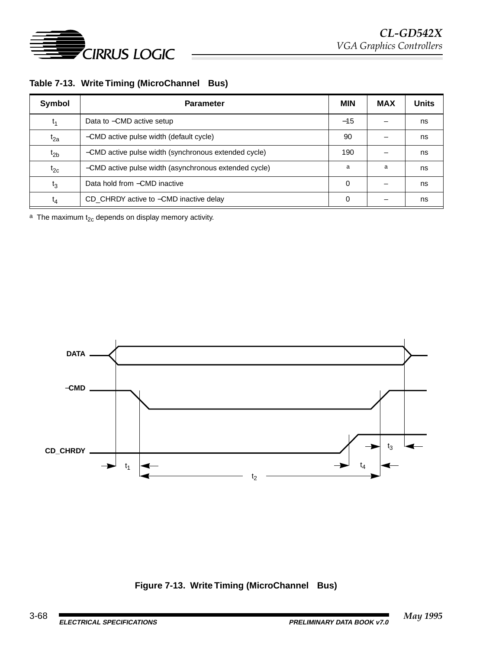<span id="page-67-0"></span>

| Symbol         | <b>Parameter</b>                                      |          | <b>MAX</b> | <b>Units</b> |
|----------------|-------------------------------------------------------|----------|------------|--------------|
| t <sub>1</sub> | Data to -CMD active setup                             | $-15$    |            | ns           |
| $t_{2a}$       | -CMD active pulse width (default cycle)               | 90       |            | ns           |
| $t_{2b}$       | -CMD active pulse width (synchronous extended cycle)  | 190      |            | ns           |
| $t_{2c}$       | -CMD active pulse width (asynchronous extended cycle) | a        | a          | ns           |
| $t_3$          | Data hold from -CMD inactive                          | $\Omega$ |            | ns           |
| $t_4$          | CD_CHRDY active to -CMD inactive delay                | 0        |            | ns           |

a The maximum  $t_{2c}$  depends on display memory activity.



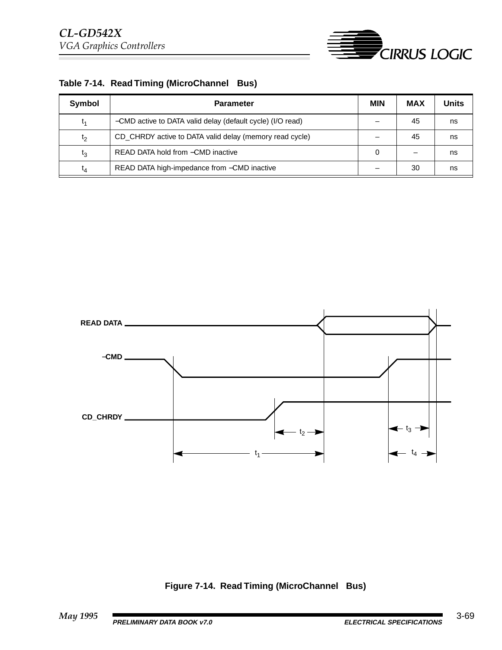

<span id="page-68-0"></span>

|  | Table 7-14. Read Timing (MicroChannel <sup>®</sup> Bus) |  |
|--|---------------------------------------------------------|--|
|  |                                                         |  |

| Symbol         | <b>Parameter</b>                                           |  | <b>MAX</b> | Units |
|----------------|------------------------------------------------------------|--|------------|-------|
| t4             | -CMD active to DATA valid delay (default cycle) (I/O read) |  | 45         | ns    |
| t <sub>2</sub> | CD CHRDY active to DATA valid delay (memory read cycle)    |  | 45         | ns    |
| $t_3$          | READ DATA hold from -CMD inactive                          |  |            | ns    |
| $t_4$          | READ DATA high-impedance from -CMD inactive                |  | 30         | ns    |



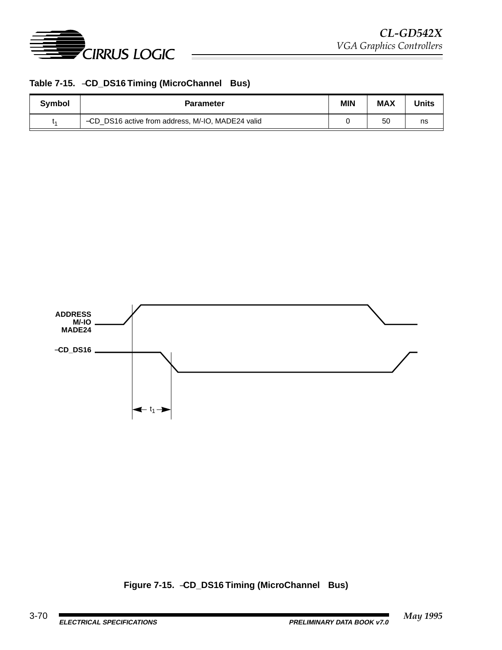<span id="page-69-0"></span>

## **Table 7-15.** −**CD\_DS16 Timing (MicroChannel Bus)**

| <b>Symbol</b> | <b>Parameter</b>                                  | <b>MIN</b> | <b>MAX</b> | Units |
|---------------|---------------------------------------------------|------------|------------|-------|
|               | -CD DS16 active from address, M/-IO, MADE24 valid |            | 50         | ns    |



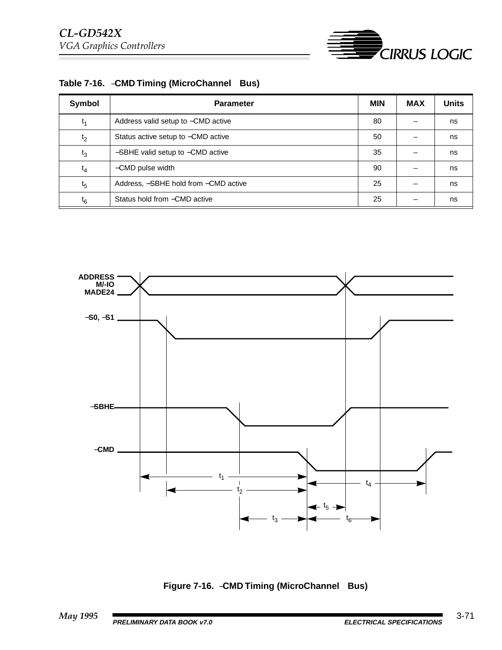

<span id="page-70-0"></span>

|  | Table 7-16. – CMD Timing (MicroChannel <sup>®</sup> Bus) |
|--|----------------------------------------------------------|
|  |                                                          |

| <b>Symbol</b>  | <b>Parameter</b>                     | <b>MIN</b> | <b>MAX</b> | <b>Units</b> |
|----------------|--------------------------------------|------------|------------|--------------|
| t <sub>1</sub> | Address valid setup to -CMD active   | 80         |            | ns           |
| t <sub>2</sub> | Status active setup to -CMD active   | 50         |            | ns           |
| $t_3$          | -SBHE valid setup to -CMD active     | 35         |            | ns           |
| $t_4$          | -CMD pulse width                     | 90         |            | ns           |
| $t_{5}$        | Address, -SBHE hold from -CMD active | 25         |            | ns           |
| $t_6$          | Status hold from - CMD active        | 25         |            | ns           |



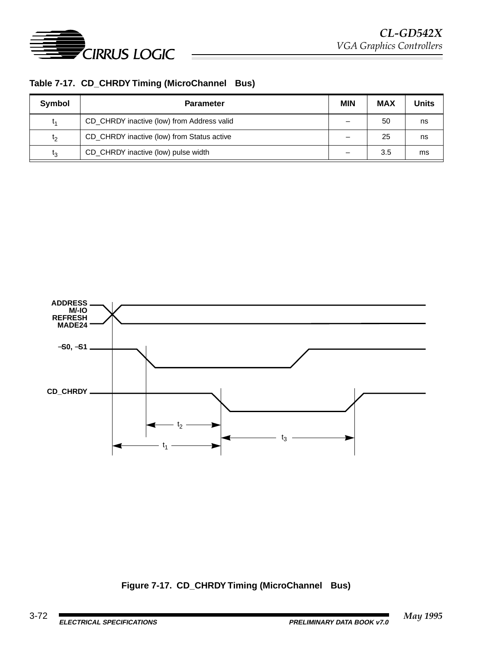<span id="page-71-0"></span>

| Symbol         | <b>Parameter</b>                           | <b>MIN</b> | MAX | Units |
|----------------|--------------------------------------------|------------|-----|-------|
| t,             | CD CHRDY inactive (low) from Address valid |            | 50  | ns    |
| t <sub>2</sub> | CD CHRDY inactive (low) from Status active | -          | 25  | ns    |
| $t_3$          | CD_CHRDY inactive (low) pulse width        | -          | 3.5 | ms    |



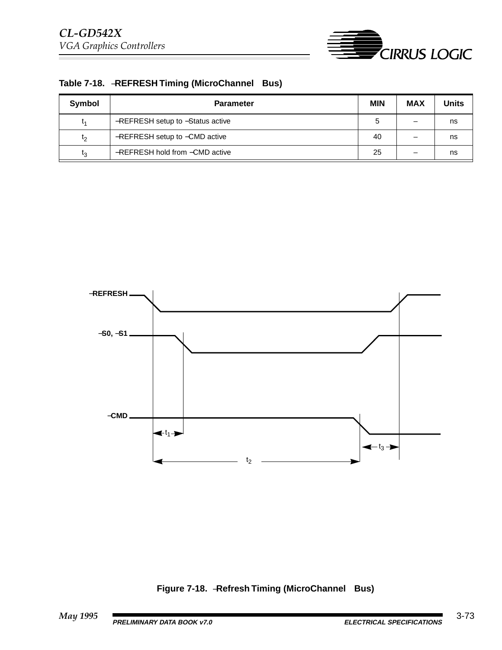

|  | Table 7-18. -REFRESH Timing (MicroChannel <sup>®</sup> Bus) |
|--|-------------------------------------------------------------|
|  |                                                             |

| Symbol  | <b>Parameter</b>                 | <b>MIN</b> | <b>MAX</b>               | Units |
|---------|----------------------------------|------------|--------------------------|-------|
| $L_{1}$ | -REFRESH setup to -Status active | 5          | $\overline{\phantom{m}}$ | ns    |
| t2      | -REFRESH setup to -CMD active    | 40         | $\overline{\phantom{0}}$ | ns    |
| Ţβ      | -REFRESH hold from -CMD active   | 25         | $\overline{\phantom{m}}$ | ns    |



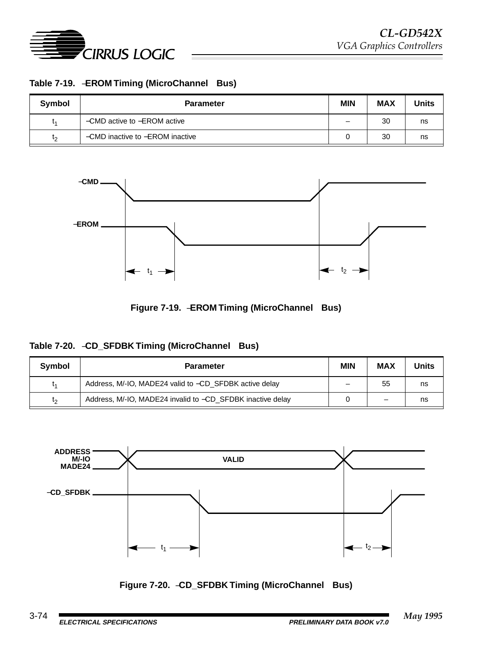

| Symbol | <b>Parameter</b>                | <b>MIN</b> | <b>MAX</b> | Units |
|--------|---------------------------------|------------|------------|-------|
| ι1     | -CMD active to -EROM active     |            | 30         | ns    |
| ເາ     | -CMD inactive to -EROM inactive |            | 30         | ns    |



**Figure 7-19.** −**EROM Timing (MicroChannel Bus)**

**Table 7-20.** −**CD\_SFDBK Timing (MicroChannel Bus)**

| Symbol | <b>Parameter</b>                                           | <b>MIN</b> | MAX | Units |
|--------|------------------------------------------------------------|------------|-----|-------|
|        | Address, M/-IO, MADE24 valid to -CD SFDBK active delay     | -          | 55  | ns    |
| い      | Address, M/-IO, MADE24 invalid to -CD SFDBK inactive delay |            | –   | ns    |



**Figure 7-20.** −**CD\_SFDBK Timing (MicroChannel Bus)**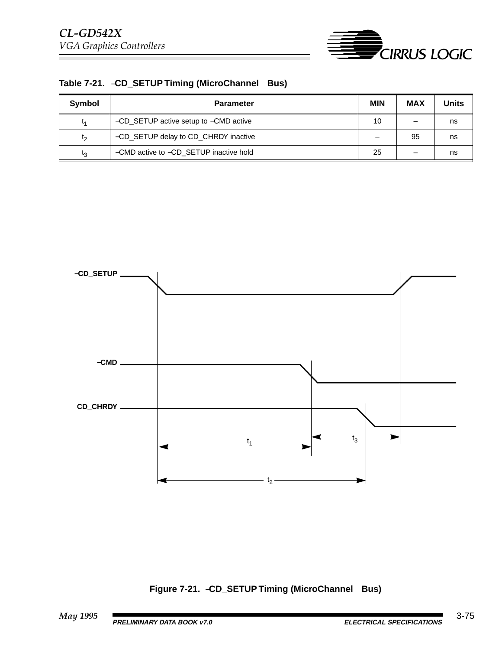

| Symbol | <b>Parameter</b>                       | <b>MIN</b> | <b>MAX</b> | <b>Units</b> |
|--------|----------------------------------------|------------|------------|--------------|
| t4     | -CD_SETUP active setup to -CMD active  | 10         | -          | ns           |
| t2     | -CD_SETUP delay to CD_CHRDY inactive   |            | 95         | ns           |
| t3     | -CMD active to -CD SETUP inactive hold | 25         | -          | ns           |



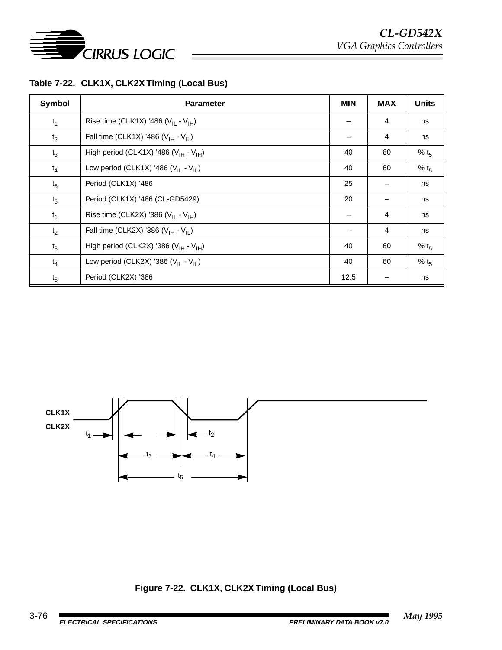

## **Table 7-22. CLK1X, CLK2X Timing (Local Bus)**

| Symbol         | <b>Parameter</b>                                             | <b>MIN</b> | <b>MAX</b>     | <b>Units</b> |
|----------------|--------------------------------------------------------------|------------|----------------|--------------|
| $t_1$          | Rise time (CLK1X) '486 ( $V_{IL}$ - $V_{IH}$ )               |            | $\overline{4}$ | ns           |
| t <sub>2</sub> | Fall time (CLK1X) '486 ( $V_{\text{IH}}$ - $V_{\text{II}}$ ) |            | $\overline{4}$ | ns           |
| $t_3$          | High period (CLK1X) '486 ( $V_{IH}$ - $V_{IH}$ )             | 40         | 60             | % $t_5$      |
| $t_4$          | Low period (CLK1X) '486 ( $V_{IL} - V_{IL}$ )                | 40         | 60             | % $t_5$      |
| $t_5$          | Period (CLK1X) '486                                          | 25         |                | ns           |
| $t_{5}$        | Period (CLK1X) '486 (CL-GD5429)                              | 20         |                | ns           |
| $t_1$          | Rise time (CLK2X) '386 ( $V_{II}$ - $V_{IH}$ )               |            | $\overline{4}$ | ns           |
| t <sub>2</sub> | Fall time (CLK2X) '386 ( $V_{\text{IH}}$ - $V_{\text{II}}$ ) |            | 4              | ns           |
| $t_3$          | High period (CLK2X) '386 ( $V_{IH}$ - $V_{IH}$ )             | 40         | 60             | % $t_5$      |
| $t_4$          | Low period (CLK2X) '386 ( $V_{II}$ - $V_{II}$ )              | 40         | 60             | % $t_5$      |
| t <sub>5</sub> | Period (CLK2X) '386                                          | 12.5       |                | ns           |



**Figure 7-22. CLK1X, CLK2X Timing (Local Bus)**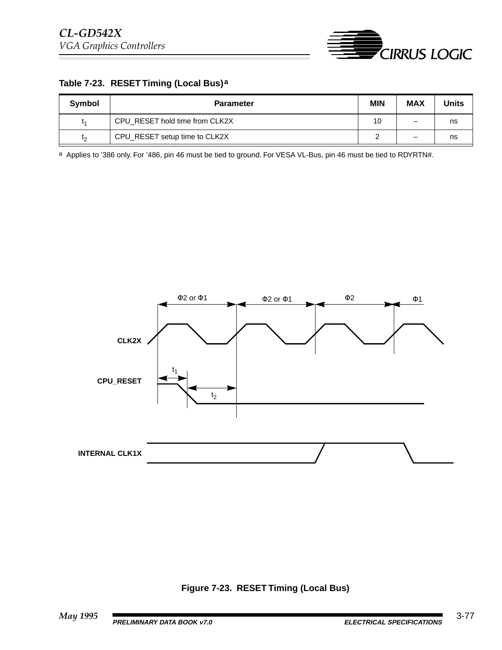

## **Table 7-23. RESET Timing (Local Bus)a**

| Symbol | <b>Parameter</b>               | <b>MIN</b> | <b>MAX</b> | <b>Units</b> |
|--------|--------------------------------|------------|------------|--------------|
|        | CPU RESET hold time from CLK2X | 10         | -          | ns           |
| い      | CPU_RESET setup time to CLK2X  |            | -          | ns           |

a Applies to '386 only. For '486, pin 46 must be tied to ground. For VESA VL-Bus, pin 46 must be tied to RDYRTN#.



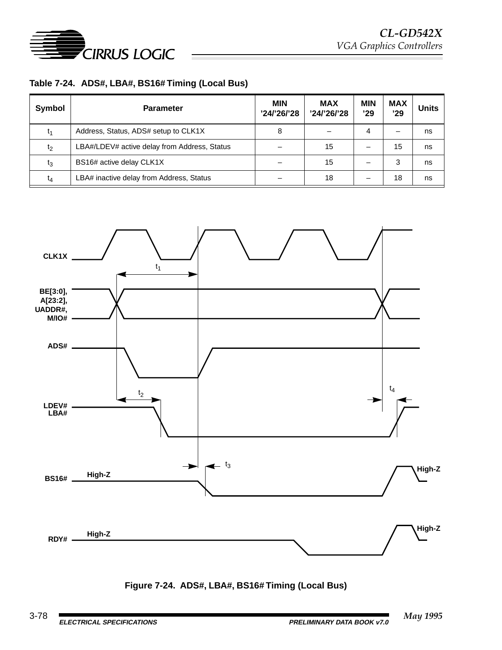

## **Table 7-24. ADS#, LBA#, BS16# Timing (Local Bus)**

| Symbol | <b>Parameter</b>                             | <b>MIN</b><br>'24/'26/'28 | <b>MAX</b><br>'24/'26/'28 | <b>MIN</b><br>'29 | <b>MAX</b><br>'29 | <b>Units</b> |
|--------|----------------------------------------------|---------------------------|---------------------------|-------------------|-------------------|--------------|
| t۱     | Address, Status, ADS# setup to CLK1X         | 8                         |                           | 4                 |                   | ns           |
| t2     | LBA#/LDEV# active delay from Address, Status |                           | 15                        |                   | 15                | ns           |
| $t_3$  | BS16# active delay CLK1X                     |                           | 15                        |                   | 3                 | ns           |
| $t_4$  | LBA# inactive delay from Address, Status     |                           | 18                        |                   | 18                | ns           |



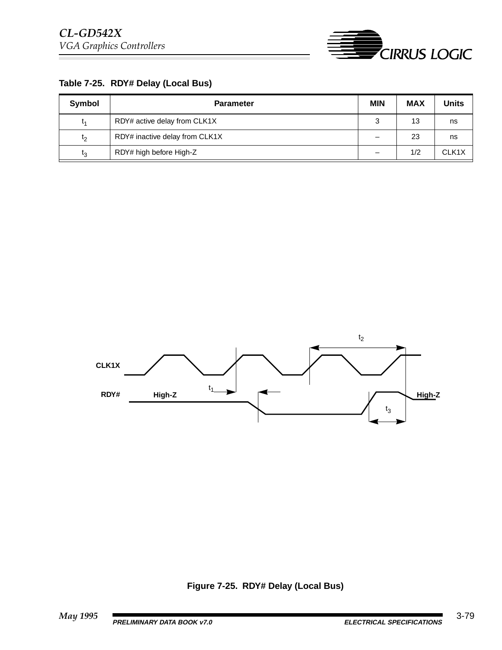

## **Table 7-25. RDY# Delay (Local Bus)**

| Symbol | <b>Parameter</b>               | <b>MIN</b> | <b>MAX</b> | Units              |
|--------|--------------------------------|------------|------------|--------------------|
| l1     | RDY# active delay from CLK1X   | 3          | 13         | ns                 |
| τ2     | RDY# inactive delay from CLK1X | –          | 23         | ns                 |
| ι3     | RDY# high before High-Z        | –          | 1/2        | CLK <sub>1</sub> X |



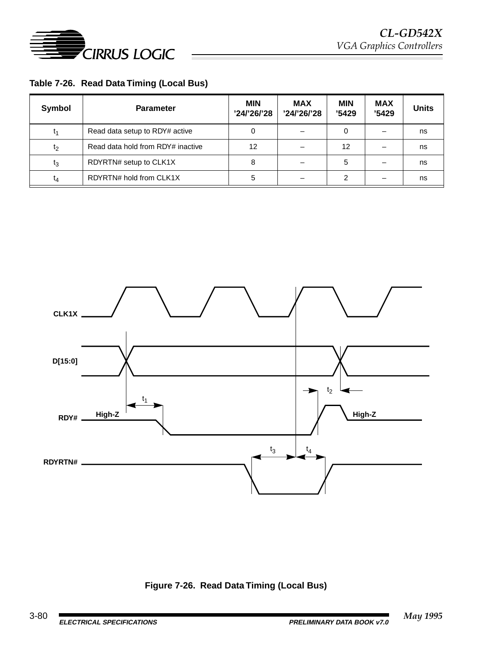

## **Table 7-26. Read Data Timing (Local Bus)**

| Symbol         | <b>Parameter</b>                  | <b>MIN</b><br>'24/'26/'28 | <b>MAX</b><br>'24/'26/'28 | <b>MIN</b><br>'5429 | <b>MAX</b><br>'5429 | <b>Units</b> |
|----------------|-----------------------------------|---------------------------|---------------------------|---------------------|---------------------|--------------|
| t1             | Read data setup to RDY# active    | 0                         |                           |                     |                     | ns           |
| t <sub>2</sub> | Read data hold from RDY# inactive | 12                        |                           | 12                  |                     | ns           |
| $t_3$          | RDYRTN# setup to CLK1X            | 8                         |                           | 5                   |                     | ns           |
| t4             | RDYRTN# hold from CLK1X           | 5                         |                           | ◠                   |                     | ns           |



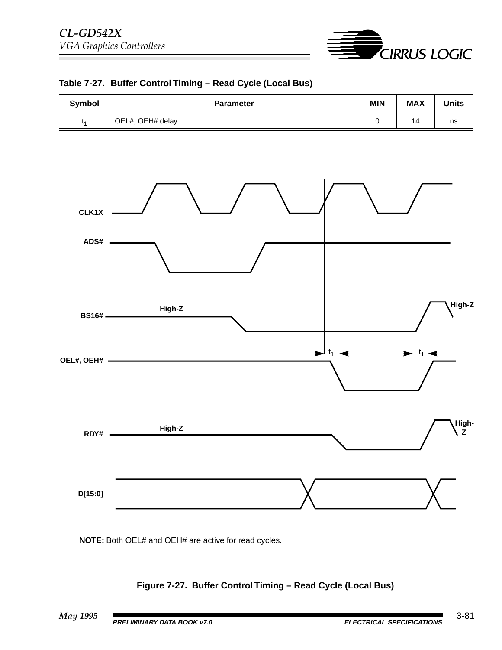

| Table 7-27. Buffer Control Timing - Read Cycle (Local Bus) |  |
|------------------------------------------------------------|--|
|                                                            |  |

| Symbol | <b>Parameter</b> | <b>MIN</b> | <b>MAX</b> | <b>Units</b> |
|--------|------------------|------------|------------|--------------|
|        | OEL#, OEH# delay |            | 14         | ns           |



**NOTE:** Both OEL# and OEH# are active for read cycles.

**Figure 7-27. Buffer Control Timing – Read Cycle (Local Bus)**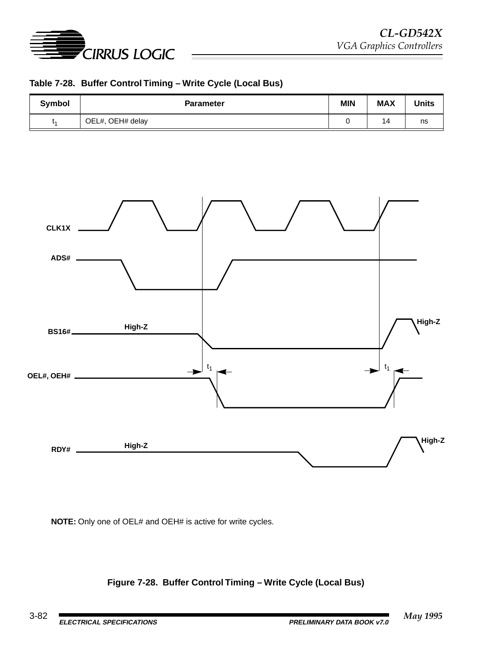

## **Table 7-28. Buffer Control Timing – Write Cycle (Local Bus)**

| Symbol | <b>Parameter</b> | <b>MIN</b> | <b>MAX</b> | Units |
|--------|------------------|------------|------------|-------|
|        | OEL#, OEH# delay |            | 14         | ns    |



**NOTE:** Only one of OEL# and OEH# is active for write cycles.

**Figure 7-28. Buffer Control Timing – Write Cycle (Local Bus)**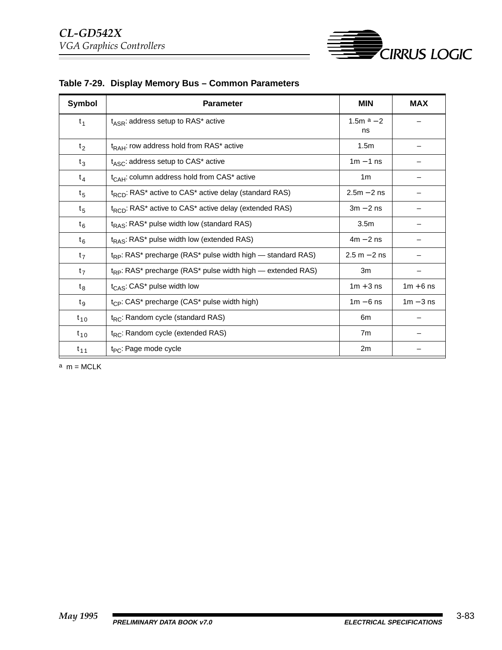

| <b>Symbol</b>  | <b>Parameter</b>                                                                           | <b>MIN</b>          | <b>MAX</b>  |
|----------------|--------------------------------------------------------------------------------------------|---------------------|-------------|
| $t_1$          | $t_{ASR}$ : address setup to RAS* active                                                   | 1.5 $m a - 2$<br>ns |             |
| t <sub>2</sub> | $t_{RAH}$ : row address hold from RAS* active                                              | 1.5 <sub>m</sub>    |             |
| $t_3$          | $t_{\text{ASC}}$ : address setup to CAS* active                                            | $1m - 1$ ns         |             |
| $t_4$          | t <sub>CAH</sub> : column address hold from CAS* active                                    | 1 <sub>m</sub>      |             |
| $t_{5}$        | t <sub>RCD</sub> : RAS* active to CAS* active delay (standard RAS)                         | $2.5m - 2$ ns       |             |
| $t_5$          | t <sub>RCD</sub> : RAS <sup>*</sup> active to CAS <sup>*</sup> active delay (extended RAS) | $3m - 2ns$          |             |
| $t_6$          | $t_{RAS}$ : RAS* pulse width low (standard RAS)                                            | 3.5 <sub>m</sub>    |             |
| $t_6$          | $t_{RAS}$ : RAS* pulse width low (extended RAS)                                            | $4m - 2ns$          |             |
| $t_7$          | $t_{RP}$ : RAS* precharge (RAS* pulse width high $-$ standard RAS)                         | $2.5 m - 2 ns$      |             |
| $t_7$          | $t_{RP}$ : RAS* precharge (RAS* pulse width high — extended RAS)                           | 3m                  |             |
| $t_8$          | $t_{\text{CAS}}$ : CAS* pulse width low                                                    | $1m + 3ns$          | $1m + 6$ ns |
| t g            | $t_{CP}$ : CAS* precharge (CAS* pulse width high)                                          | $1m - 6$ ns         | $1m - 3ns$  |
| $t_{10}$       | $t_{RC}$ : Random cycle (standard RAS)                                                     | 6m                  |             |
| $t_{10}$       | $t_{RC}$ : Random cycle (extended RAS)                                                     | 7m                  |             |
| $t_{11}$       | $t_{PC}$ : Page mode cycle                                                                 | 2m                  |             |

<span id="page-82-0"></span>

|  |  | Table 7-29. Display Memory Bus - Common Parameters |
|--|--|----------------------------------------------------|
|  |  |                                                    |

 $a$  m = MCLK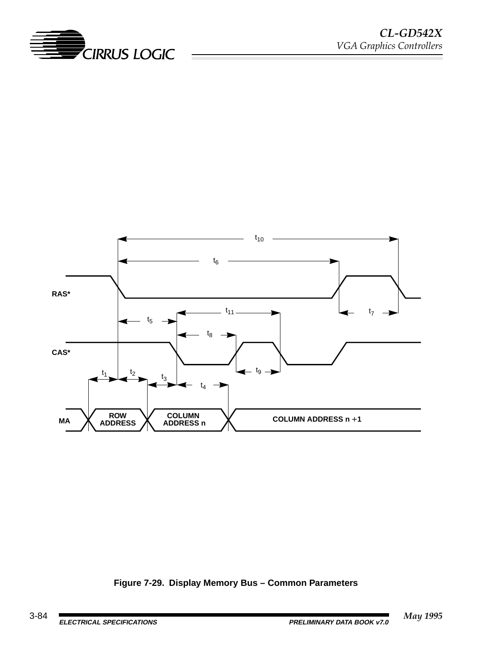



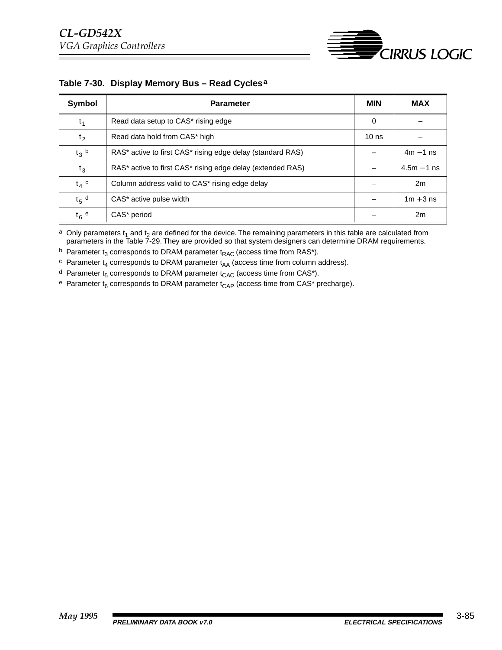

|  | Table 7-30. Display Memory Bus - Read Cycles <sup>a</sup> |  |
|--|-----------------------------------------------------------|--|

| <b>Symbol</b>      | <b>Parameter</b>                                           | <b>MIN</b>       | <b>MAX</b>    |
|--------------------|------------------------------------------------------------|------------------|---------------|
| t <sub>1</sub>     | Read data setup to CAS* rising edge                        | 0                |               |
| t <sub>2</sub>     | Read data hold from CAS* high                              | 10 <sub>ns</sub> |               |
| $t_3$ b            | RAS* active to first CAS* rising edge delay (standard RAS) |                  | $4m - 1$ ns   |
| $t_3$              | RAS* active to first CAS* rising edge delay (extended RAS) |                  | $4.5m - 1$ ns |
| $t_4$ c            | Column address valid to CAS* rising edge delay             |                  | 2m            |
| $t_5$ <sup>d</sup> | CAS* active pulse width                                    |                  | $1m + 3ns$    |
| $t_6$ e            | CAS* period                                                |                  | 2m            |

<sup>a</sup> Only parameters  $t_1$  and  $t_2$  are defined for the device. The remaining parameters in this table are calculated from parameters in the [Table 7-29](#page-82-0). They are provided so that system designers can determine DRAM requirements.

b Parameter  $t_3$  corresponds to DRAM parameter  $t_{RAC}$  (access time from RAS\*).

 $\circ$  Parameter  $t_4$  corresponds to DRAM parameter  $t_{AA}$  (access time from column address).

<sup>d</sup> Parameter  $t_5$  corresponds to DRAM parameter  $t_{CAC}$  (access time from CAS\*).

e Parameter  $t_6$  corresponds to DRAM parameter  $t_{CAP}$  (access time from CAS\* precharge).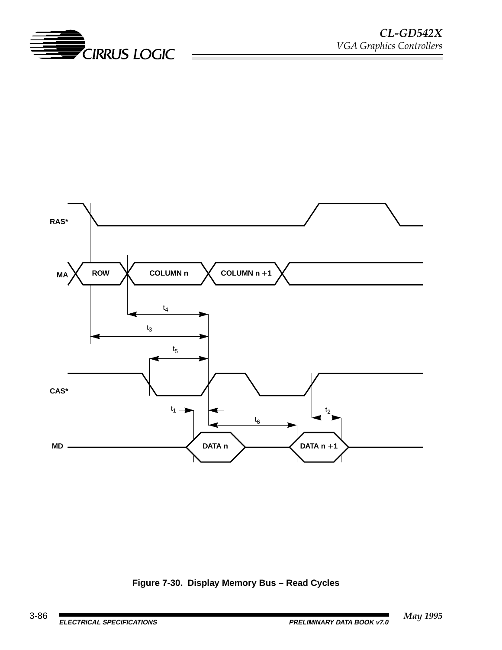



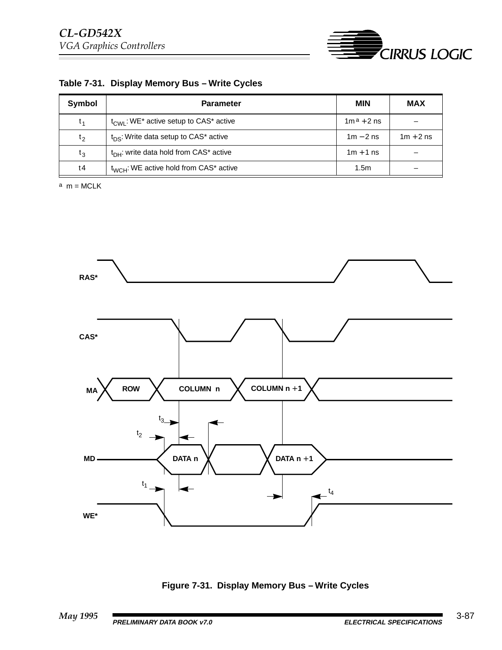

|  | Table 7-31. Display Memory Bus - Write Cycles |  |
|--|-----------------------------------------------|--|
|  |                                               |  |

| <b>Symbol</b> | <b>Parameter</b>                                   | <b>MIN</b>   | MAX        |
|---------------|----------------------------------------------------|--------------|------------|
| t,            | $t_{\text{CWI}}$ : WE* active setup to CAS* active | $1m^a + 2ns$ |            |
| t2            | $t_{DS}$ : Write data setup to CAS* active         | $1m - 2ns$   | $1m + 2ns$ |
| $t_3$         | $t_{DH}$ : write data hold from CAS* active        | $1m + 1$ ns  |            |
| t4            | $t_{WCH}$ : WE active hold from CAS* active        | 1.5m         |            |

 $a$  m = MCLK



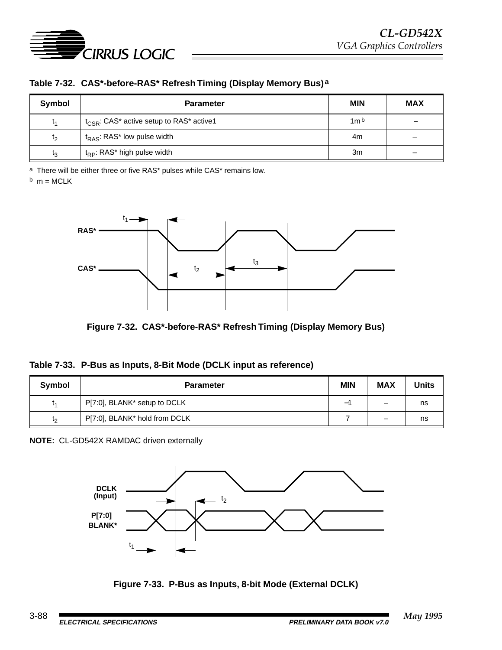

| Table 7-32. CAS*-before-RAS* Refresh Timing (Display Memory Bus) <sup>a</sup> |  |  |  |
|-------------------------------------------------------------------------------|--|--|--|
|                                                                               |  |  |  |

| Symbol         | <b>Parameter</b>                                     | <b>MIN</b>     | <b>MAX</b> |
|----------------|------------------------------------------------------|----------------|------------|
| ι1             | $t_{\text{CSR}}$ : CAS* active setup to RAS* active1 | 1 <sup>b</sup> | -          |
| t <sub>2</sub> | t <sub>RAS</sub> : RAS* low pulse width              | 4m             | -          |
| ι3             | t <sub>RP</sub> : RAS* high pulse width              | 3m             | -          |

a There will be either three or five RAS\* pulses while CAS\* remains low.

 $b$  m = MCLK



**Figure 7-32. CAS\*-before-RAS\* Refresh Timing (Display Memory Bus)**

|  |  | Table 7-33. P-Bus as Inputs, 8-Bit Mode (DCLK input as reference) |
|--|--|-------------------------------------------------------------------|
|  |  |                                                                   |

| <b>Symbol</b> | <b>Parameter</b>              | <b>MIN</b> | <b>MAX</b> | <b>Units</b> |
|---------------|-------------------------------|------------|------------|--------------|
|               | P[7:0], BLANK* setup to DCLK  | —          | -          | ns           |
| ι,            | P[7:0], BLANK* hold from DCLK |            | -          | ns           |

**NOTE:** CL-GD542X RAMDAC driven externally



**Figure 7-33. P-Bus as Inputs, 8-bit Mode (External DCLK)**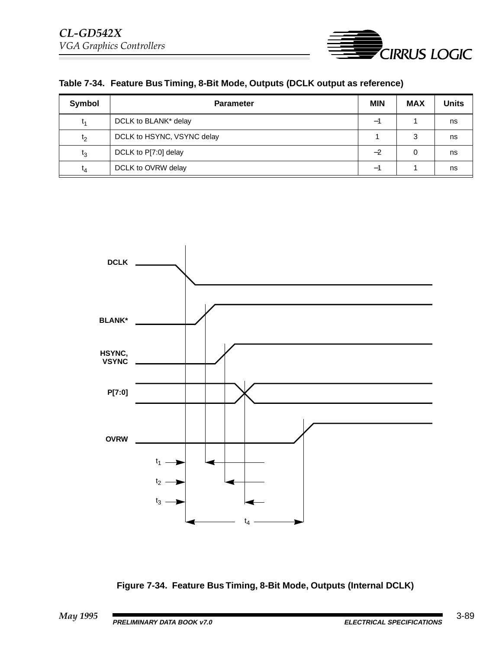

| Table 7-34. Feature Bus Timing, 8-Bit Mode, Outputs (DCLK output as reference) |  |  |
|--------------------------------------------------------------------------------|--|--|

| Symbol         | <b>Parameter</b>           | <b>MIN</b> | <b>MAX</b> | <b>Units</b> |
|----------------|----------------------------|------------|------------|--------------|
| ι1             | DCLK to BLANK* delay       | — 1        |            | ns           |
| t2             | DCLK to HSYNC, VSYNC delay |            | 3          | ns           |
| $t_3$          | DCLK to P[7:0] delay       | $-2$       | 0          | ns           |
| t <sub>4</sub> | DCLK to OVRW delay         | $-1$       |            | ns           |



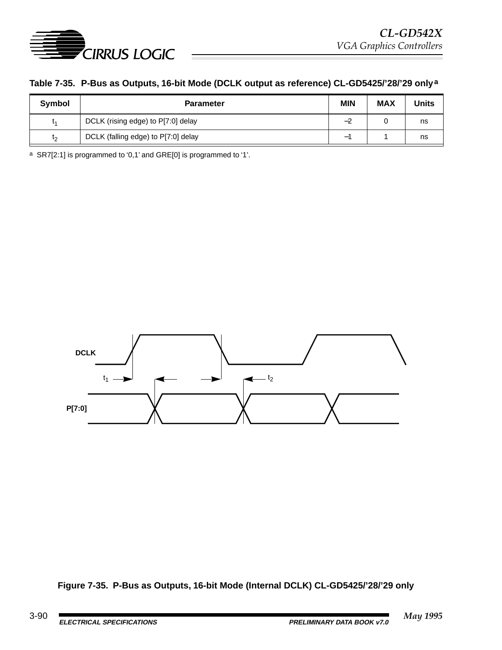

|  |  | Table 7-35. P-Bus as Outputs, 16-bit Mode (DCLK output as reference) CL-GD5425/'28/'29 only <sup>a</sup> |  |
|--|--|----------------------------------------------------------------------------------------------------------|--|
|  |  |                                                                                                          |  |
|  |  |                                                                                                          |  |

| Symbol | <b>Parameter</b>                    | <b>MIN</b> | <b>MAX</b> | Units |
|--------|-------------------------------------|------------|------------|-------|
| ι1     | DCLK (rising edge) to P[7:0] delay  | $-2$       | v          | ns    |
| い      | DCLK (falling edge) to P[7:0] delay | -          |            | ns    |

a SR7[2:1] is programmed to '0,1' and GRE[0] is programmed to '1'.



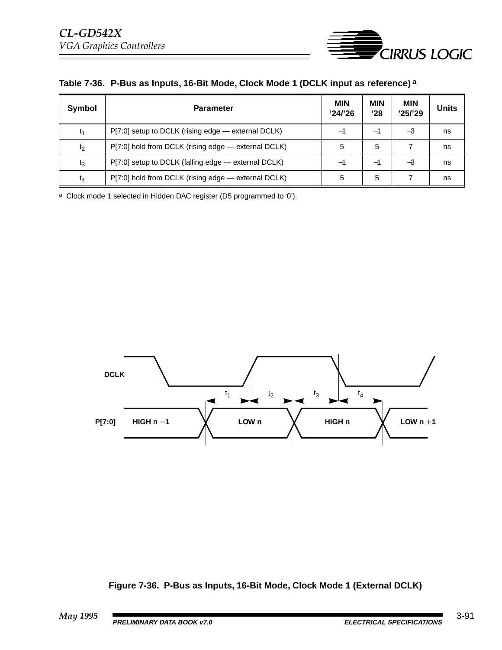

|  |  | Table 7-36. P-Bus as Inputs, 16-Bit Mode, Clock Mode 1 (DCLK input as reference) a |
|--|--|------------------------------------------------------------------------------------|
|  |  |                                                                                    |

| Symbol | <b>Parameter</b>                                    | <b>MIN</b><br>'24/'26 | MIN<br>'28 | MIN<br>'25/'29 | <b>Units</b> |
|--------|-----------------------------------------------------|-----------------------|------------|----------------|--------------|
| t,     | P[7:0] setup to DCLK (rising edge - external DCLK)  | $-1$                  | $-1$       | $-3$           | ns           |
| t2     | P[7:0] hold from DCLK (rising edge - external DCLK) | 5                     | 5          |                | ns           |
| $t_3$  | P[7:0] setup to DCLK (falling edge - external DCLK) | -1                    | $-1$       | $-3$           | ns           |
| $t_4$  | P[7:0] hold from DCLK (rising edge - external DCLK) | 5                     | 5          |                | ns           |

a Clock mode 1 selected in Hidden DAC register (D5 programmed to '0').



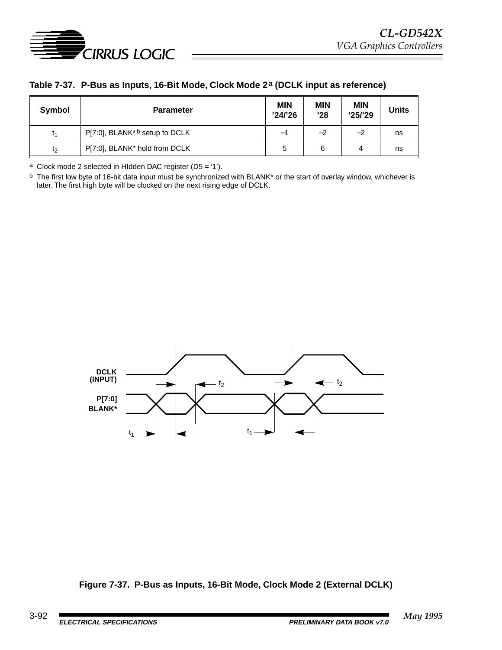

|  |  | Table 7-37. P-Bus as Inputs, 16-Bit Mode, Clock Mode 2 <sup>a</sup> (DCLK input as reference) |
|--|--|-----------------------------------------------------------------------------------------------|
|  |  |                                                                                               |

| Symbol | <b>Parameter</b>                          | <b>MIN</b><br>'24'26 | <b>MIN</b><br>'28 | <b>MIN</b><br>'25'29 | <b>Units</b> |
|--------|-------------------------------------------|----------------------|-------------------|----------------------|--------------|
| 11     | P[7:0], BLANK <sup>*b</sup> setup to DCLK | —                    | $-2$              | $-2$                 | ns           |
| τ2     | P[7:0], BLANK* hold from DCLK             | 5                    | 6                 | 4                    | ns           |

a Clock mode 2 selected in HIdden DAC register  $(D5 = '1')$ .

b The first low byte of 16-bit data input must be synchronized with BLANK\* or the start of overlay window, whichever is later. The first high byte will be clocked on the next rising edge of DCLK.



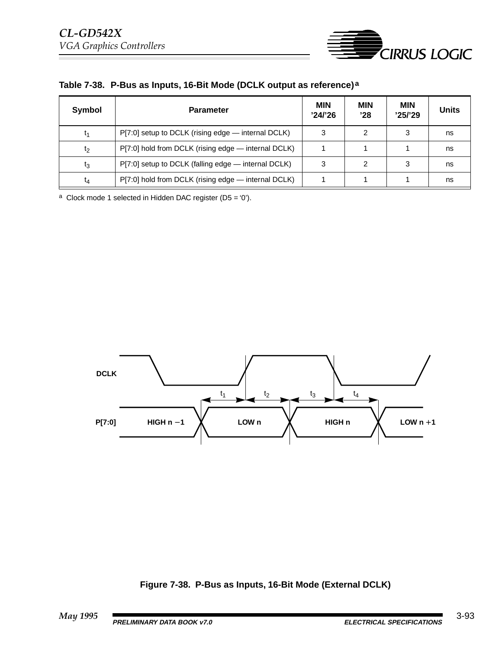

| Table 7-38. P-Bus as Inputs, 16-Bit Mode (DCLK output as reference) <sup>a</sup> |
|----------------------------------------------------------------------------------|
|----------------------------------------------------------------------------------|

| Symbol         | <b>Parameter</b>                                    | MIN<br>'24'26 | <b>MIN</b><br>'28 | <b>MIN</b><br>'25'29 | <b>Units</b> |
|----------------|-----------------------------------------------------|---------------|-------------------|----------------------|--------------|
|                | P[7:0] setup to DCLK (rising edge - internal DCLK)  | 3             | າ                 | з                    | ns           |
| t <sub>2</sub> | P[7:0] hold from DCLK (rising edge - internal DCLK) |               |                   |                      | ns           |
| $t_3$          | P[7:0] setup to DCLK (falling edge - internal DCLK) | 3             | 2                 |                      | ns           |
| $t_4$          | P[7:0] hold from DCLK (rising edge - internal DCLK) |               |                   |                      | ns           |

a Clock mode 1 selected in Hidden DAC register  $(D5 = '0')$ .



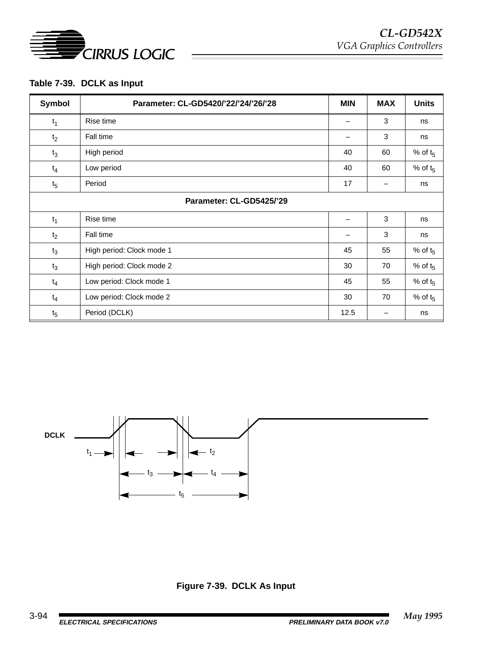

## **Table 7-39. DCLK as Input**

| <b>Symbol</b>            | Parameter: CL-GD5420/'22/'24/'26/'28 | <b>MIN</b> | <b>MAX</b>               | <b>Units</b> |  |  |
|--------------------------|--------------------------------------|------------|--------------------------|--------------|--|--|
| $t_1$                    | Rise time                            |            | 3                        | ns           |  |  |
| t <sub>2</sub>           | Fall time                            |            | 3                        | ns           |  |  |
| $t_3$                    | High period                          | 40         | 60                       | % of $t_5$   |  |  |
| $t_4$                    | Low period                           | 40         | 60                       | % of $t_5$   |  |  |
| $t_{5}$                  | Period                               | 17         | $\overline{\phantom{m}}$ | ns           |  |  |
| Parameter: CL-GD5425/'29 |                                      |            |                          |              |  |  |
| $t_1$                    | Rise time                            |            | 3                        | ns           |  |  |
| t <sub>2</sub>           | Fall time                            |            | 3                        | ns           |  |  |
| $t_3$                    | High period: Clock mode 1            | 45         | 55                       | % of $t_5$   |  |  |
| $t_3$                    | High period: Clock mode 2            | 30         | 70                       | % of $t_5$   |  |  |
| $t_4$                    | Low period: Clock mode 1             | 45         | 55                       | % of $t_5$   |  |  |
| $t_4$                    | Low period: Clock mode 2             | 30         | 70                       | % of $t_5$   |  |  |
| $t_{5}$                  | Period (DCLK)                        | 12.5       |                          | ns           |  |  |



## **Figure 7-39. DCLK As Input**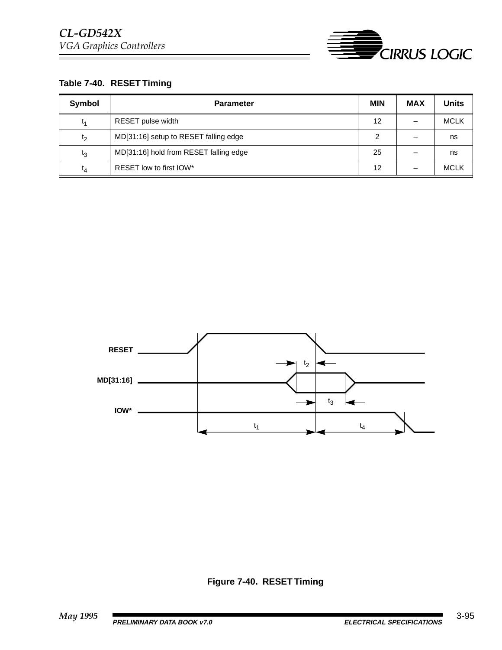

## **Table 7-40. RESET Timing**

| Symbol         | <b>Parameter</b>                       | <b>MIN</b>    | <b>MAX</b> | <b>Units</b> |
|----------------|----------------------------------------|---------------|------------|--------------|
| t4             | RESET pulse width                      | 12            |            | <b>MCLK</b>  |
| t <sub>2</sub> | MD[31:16] setup to RESET falling edge  | $\mathcal{P}$ |            | ns           |
| $t_3$          | MD[31:16] hold from RESET falling edge | 25            |            | ns           |
| $t_4$          | RESET low to first IOW*                | 12            |            | <b>MCLK</b>  |



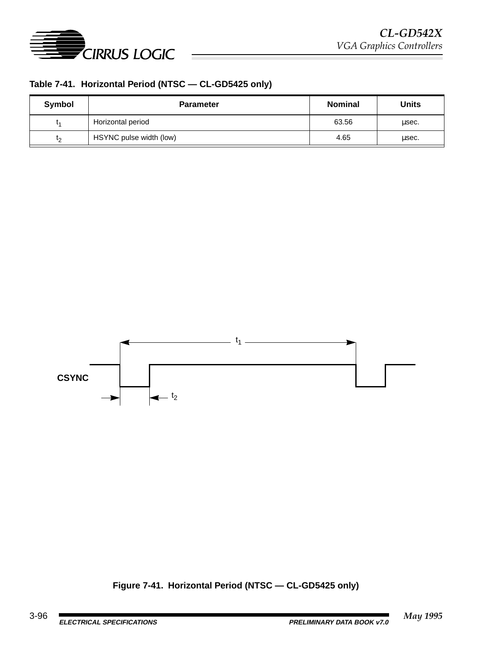

## **Table 7-41. Horizontal Period (NTSC — CL-GD5425 only)**

| Symbol | <b>Parameter</b>        | <b>Nominal</b> | <b>Units</b> |
|--------|-------------------------|----------------|--------------|
|        | Horizontal period       | 63.56          | usec.        |
| いっ     | HSYNC pulse width (low) | 4.65           | usec.        |



**Figure 7-41. Horizontal Period (NTSC — CL-GD5425 only)**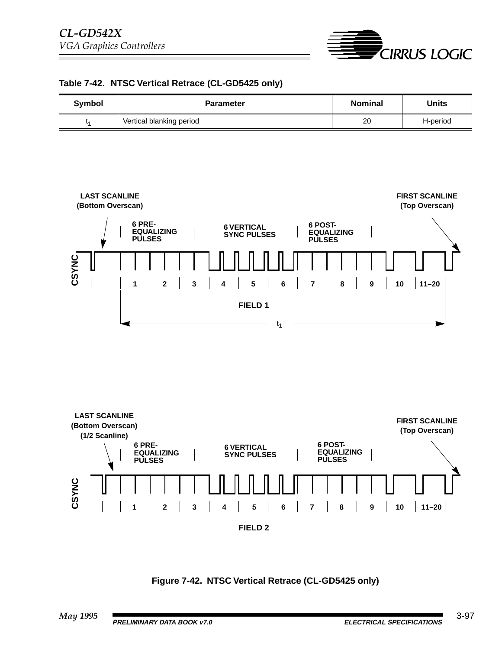

## **Table 7-42. NTSC Vertical Retrace (CL-GD5425 only)**

| Symbol | <b>Parameter</b>         | <b>Nominal</b> | Units    |
|--------|--------------------------|----------------|----------|
|        | Vertical blanking period | 20             | H-period |





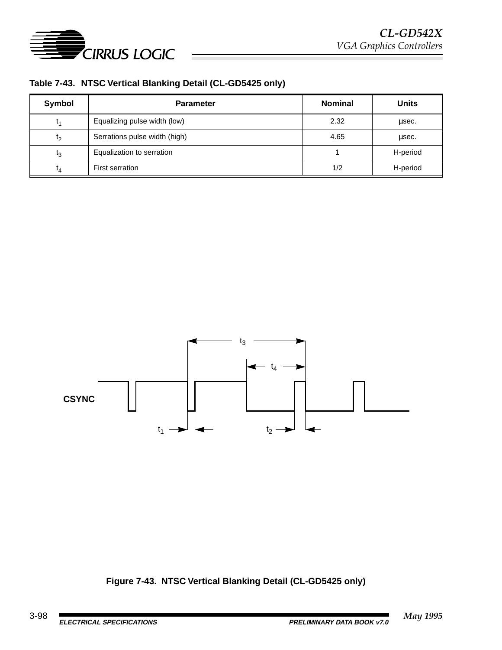

| Symbol | <b>Parameter</b>              | <b>Nominal</b> | <b>Units</b> |
|--------|-------------------------------|----------------|--------------|
| l1     | Equalizing pulse width (low)  | 2.32           | usec.        |
| t2     | Serrations pulse width (high) | 4.65           | usec.        |
| $t_3$  | Equalization to serration     |                | H-period     |
| īΔ     | <b>First serration</b>        | 1/2            | H-period     |



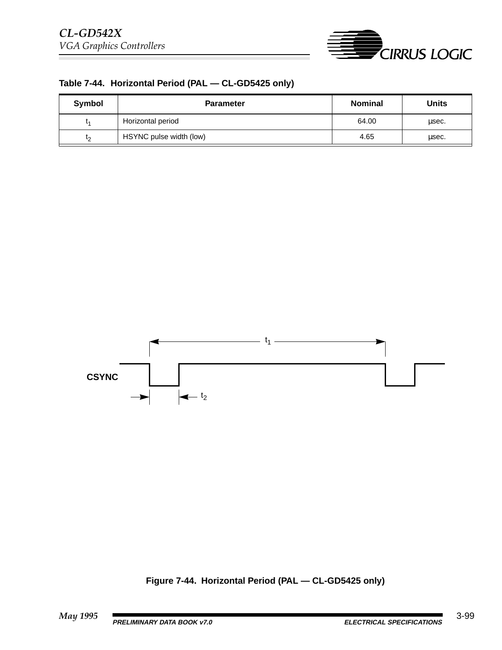

| Symbol   | <b>Parameter</b>        | <b>Nominal</b> | Units |
|----------|-------------------------|----------------|-------|
|          | Horizontal period       | 64.00          | usec. |
| <b>L</b> | HSYNC pulse width (low) | 4.65           | usec. |



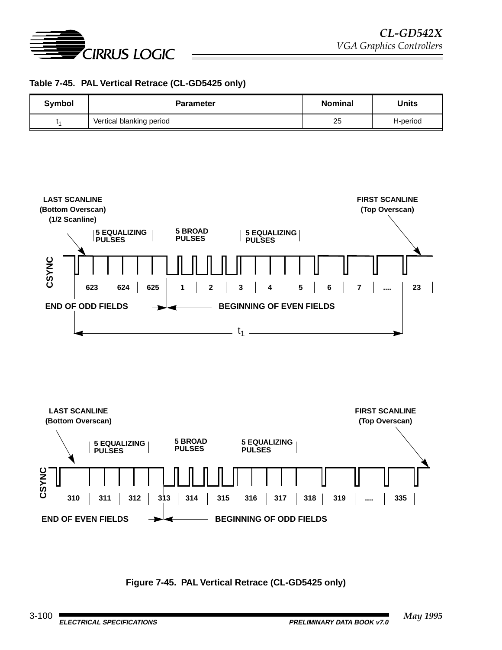

## **Table 7-45. PAL Vertical Retrace (CL-GD5425 only)**

| Symbol | <b>Parameter</b>         | <b>Nominal</b> | Units    |  |
|--------|--------------------------|----------------|----------|--|
|        | Vertical blanking period | 25             | H-period |  |





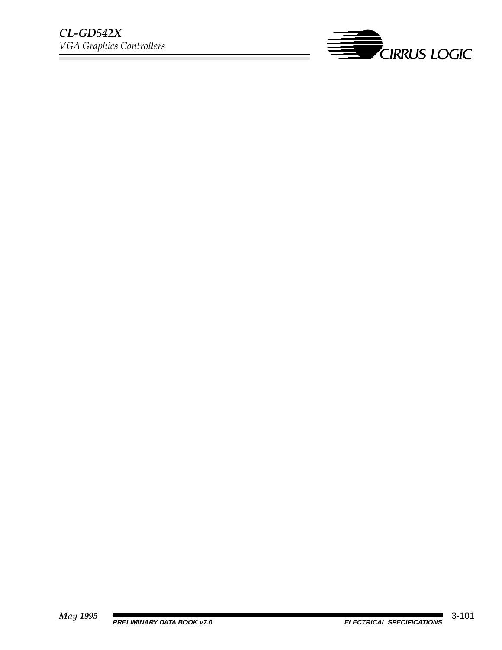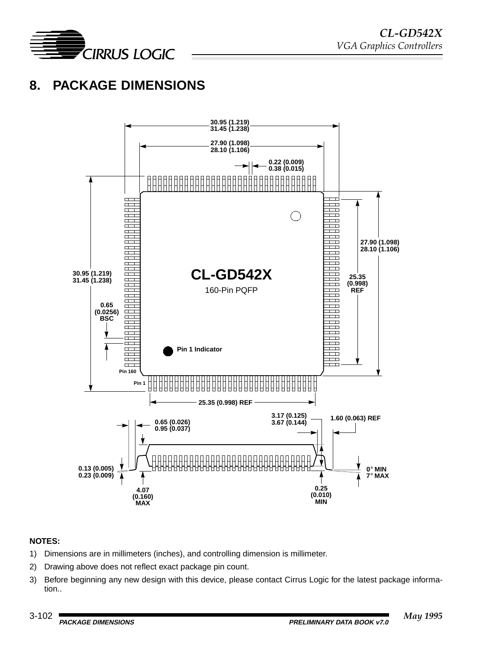

# **8. PACKAGE DIMENSIONS**



## **NOTES:**

- 1) Dimensions are in millimeters (inches), and controlling dimension is millimeter.
- 2) Drawing above does not reflect exact package pin count.
- 3) Before beginning any new design with this device, please contact Cirrus Logic for the latest package information..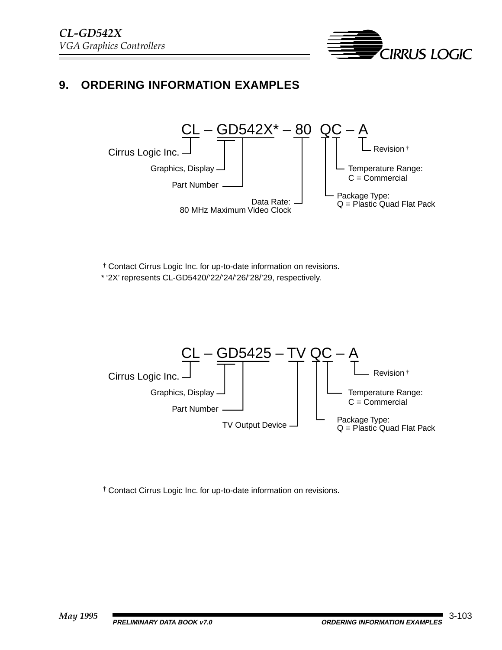

# **9. ORDERING INFORMATION EXAMPLES**



**†** Contact Cirrus Logic Inc. for up-to-date information on revisions.

\* '2X' represents CL-GD5420/'22/'24/'26/'28/'29, respectively.



**†** Contact Cirrus Logic Inc. for up-to-date information on revisions.